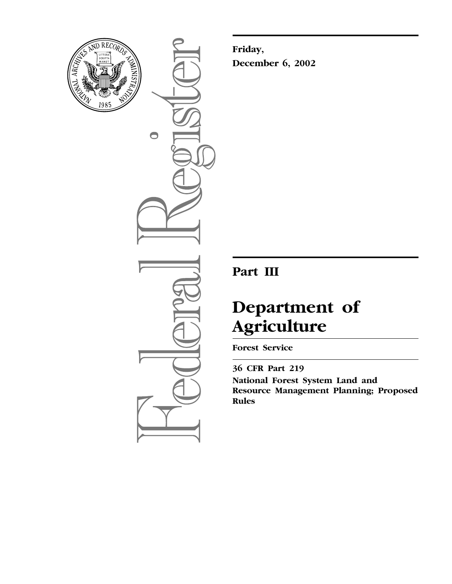

 $\bigcirc$ 

**Friday, December 6, 2002**

## **Part III**

# **Department of Agriculture**

**Forest Service** 

**36 CFR Part 219 National Forest System Land and Resource Management Planning; Proposed Rules**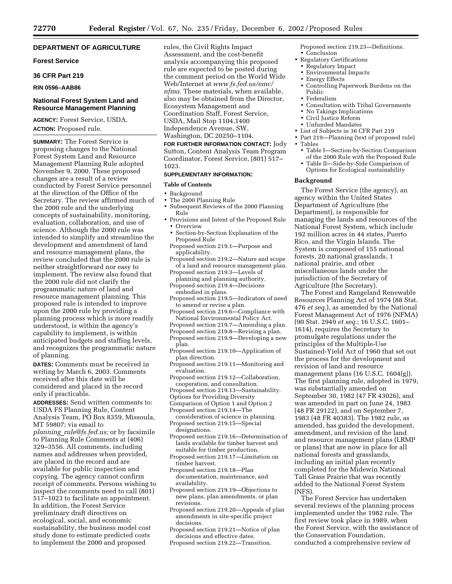#### **DEPARTMENT OF AGRICULTURE**

#### **Forest Service**

#### **36 CFR Part 219**

#### **RIN 0596–AAB86**

#### **National Forest System Land and Resource Management Planning**

**AGENCY:** Forest Service, USDA. **ACTION:** Proposed rule.

**SUMMARY:** The Forest Service is proposing changes to the National Forest System Land and Resource Management Planning Rule adopted November 9, 2000. These proposed changes are a result of a review conducted by Forest Service personnel at the direction of the Office of the Secretary. The review affirmed much of the 2000 rule and the underlying concepts of sustainability, monitoring, evaluation, collaboration, and use of science. Although the 2000 rule was intended to simplify and streamline the development and amendment of land and resource management plans, the review concluded that the 2000 rule is neither straightforward nor easy to implement. The review also found that the 2000 rule did not clarify the programmatic nature of land and resource management planning. This proposed rule is intended to improve upon the 2000 rule by providing a planning process which is more readily understood, is within the agency's capability to implement, is within anticipated budgets and staffing levels, and recognizes the programmatic nature of planning.

**DATES:** Comments must be received in writing by March 6, 2003. Comments received after this date will be considered and placed in the record only if practicable.

**ADDRESSES:** Send written comments to: USDA FS Planning Rule, Content Analysis Team, PO Box 8359, Missoula, [MT 59807; via email to](mailto:planning_rule@fs.fed.us)  *planning*\_*rule@fs.fed.us;* or by facsimile to Planning Rule Comments at (406) 329–3556. All comments, including names and addresses when provided, are placed in the record and are available for public inspection and copying. The agency cannot confirm receipt of comments. Persons wishing to inspect the comments need to call (801) 517–1023 to facilitate an appointment. In addition, the Forest Service preliminary draft directives on ecological, social, and economic sustainability, the business model cost study done to estimate predicted costs to implement the 2000 and proposed

rules, the Civil Rights Impact Assessment, and the cost-benefit analysis accompanying this proposed rule are expected to be posted during the comment period on the World Wide Web/Internet at *www.fs.fed.us/emc/ nfma.* [These materials, when available,](http://www.fs.fed.us/emc/nfma) also may be obtained from the Director, Ecosystem Management and Coordination Staff, Forest Service, USDA, Mail Stop 1104,1400 Independence Avenue, SW, Washington, DC 20250–1104.

**FOR FURTHER INFORMATION CONTACT:** Jody Sutton, Content Analysis Team Program Coordinator, Forest Service, (801) 517– 1023.

#### **SUPPLEMENTARY INFORMATION:**

#### **Table of Contents**

- Background
- The 2000 Planning Rule
- Subsequent Reviews of the 2000 Planning Rule
- Provisions and Intent of the Proposed Rule • Overview
	- Section-by-Section Explanation of the Proposed Rule
	- Proposed section 219.1—Purpose and applicability.
	- Proposed section 219.2—Nature and scope of a land and resource management plan.
	- Proposed section 219.3—Levels of planning and planning authority.
	- Proposed section 219.4—Decisions embodied in plans.
	- Proposed section 219.5—Indicators of need to amend or revise a plan.
	- Proposed section 219.6—Compliance with National Environmental Policy Act.
	- Proposed section 219.7—Amending a plan.
	- Proposed section 219.8—Revising a plan.
	- Proposed section 219.9—Developing a new
	- plan.
	- Proposed section 219.10—Application of plan direction.
	- Proposed section 219.11—Monitoring and evaluation.
	- Proposed section 219.12—Collaboration, cooperation, and consultation.
	- Proposed section 219.13—Sustainability.
	- Options for Providing Diversity
	- Comparison of Option 1 and Option 2
	- Proposed section 219.14—The
	- consideration of science in planning. Proposed section 219.15—Special designations.
	- Proposed section 219.16—Determination of lands available for timber harvest and suitable for timber production.
	- Proposed section 219.17—Limitation on timber harvest.
	- Proposed section 219.18—Plan documentation, maintenance, and availability.
	- Proposed section 219.19—Objections to new plans, plan amendments, or plan revisions.
	- Proposed section 219.20—Appeals of plan amendments in site-specific project decisions.
	- Proposed section 219.21—Notice of plan decisions and effective dates.
	- Proposed section 219.22—Transition.

Proposed section 219.23—Definitions.

- Conclusion
- Regulatory Certifications<br>• Regulatory Impact • Regulatory Impact
	- Environmental Impacts
	- Energy Effects
	- Controlling Paperwork Burdens on the Public
	- Federalism
	- Consultation with Tribal Governments
	- No Takings Implications
	- Civil Justice Reform
- Unfunded Mandates
- List of Subjects in 36 CFR Part 219
- Part 219—Planning (text of proposed rule)
- Tables
	- Table I—Section-by-Section Comparison of the 2000 Rule with the Proposed Rule
	- Table II—Side-by-Side Comparison of Options for Ecological sustainability

#### **Background**

The Forest Service (the agency), an agency within the United States Department of Agriculture (the Department), is responsible for managing the lands and resources of the National Forest System, which include 192 million acres in 44 states, Puerto Rico, and the Virgin Islands. The System is composed of 155 national forests, 20 national grasslands, 1 national prairie, and other miscellaneous lands under the jurisdiction of the Secretary of Agriculture (the Secretary).

The Forest and Rangeland Renewable Resources Planning Act of 1974 (88 Stat. 476 *et seq.*), as amended by the National Forest Management Act of 1976 (NFMA) (90 Stat. 2949 *et seq.*; 16 U.S.C. 1601– 1614), requires the Secretary to promulgate regulations under the principles of the Multiple-Use Sustained-Yield Act of 1960 that set out the process for the development and revision of land and resource management plans (16 U.S.C. 1604(g)). The first planning rule, adopted in 1979, was substantially amended on September 30, 1982 (47 FR 43026), and was amended in part on June 24, 1983 (48 FR 29122), and on September 7, 1983 (48 FR 40383). The 1982 rule, as amended, has guided the development, amendment, and revision of the land and resource management plans (LRMP or plans) that are now in place for all national forests and grasslands, including an initial plan recently completed for the Midewin National Tall Grass Prairie that was recently added to the National Forest System (NFS).

The Forest Service has undertaken several reviews of the planning process implemented under the 1982 rule. The first review took place in 1989, when the Forest Service, with the assistance of the Conservation Foundation, conducted a comprehensive review of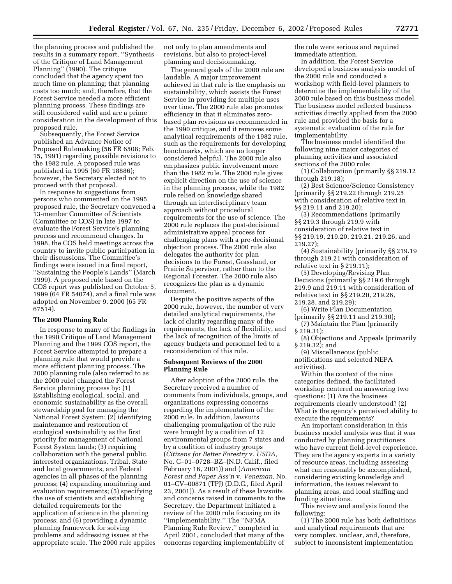the planning process and published the results in a summary report, ''Synthesis of the Critique of Land Management Planning'' (1990). The critique concluded that the agency spent too much time on planning; that planning costs too much; and, therefore, that the Forest Service needed a more efficient planning process. These findings are still considered valid and are a prime consideration in the development of this proposed rule.

Subsequently, the Forest Service published an Advance Notice of Proposed Rulemaking (56 FR 6508; Feb. 15, 1991) regarding possible revisions to the 1982 rule. A proposed rule was published in 1995 (60 FR 18886); however, the Secretary elected not to proceed with that proposal.

In response to suggestions from persons who commented on the 1995 proposed rule, the Secretary convened a 13-member Committee of Scientists (Committee or COS) in late 1997 to evaluate the Forest Service's planning process and recommend changes. In 1998, the COS held meetings across the country to invite public participation in their discussions. The Committee's findings were issued in a final report, ''Sustaining the People's Lands'' (March 1999). A proposed rule based on the COS report was published on October 5, 1999 (64 FR 54074), and a final rule was adopted on November 9, 2000 (65 FR 67514).

#### **The 2000 Planning Rule**

In response to many of the findings in the 1990 Critique of Land Management Planning and the 1999 COS report, the Forest Service attempted to prepare a planning rule that would provide a more efficient planning process. The 2000 planning rule (also referred to as the 2000 rule) changed the Forest Service planning process by: (1) Establishing ecological, social, and economic sustainability as the overall stewardship goal for managing the National Forest System; (2) identifying maintenance and restoration of ecological sustainability as the first priority for management of National Forest System lands; (3) requiring collaboration with the general public, interested organizations, Tribal, State and local governments, and Federal agencies in all phases of the planning process; (4) expanding monitoring and evaluation requirements; (5) specifying the use of scientists and establishing detailed requirements for the application of science in the planning process; and (6) providing a dynamic planning framework for solving problems and addressing issues at the appropriate scale. The 2000 rule applies not only to plan amendments and revisions, but also to project-level planning and decisionmaking.

The general goals of the 2000 rule are laudable. A major improvement achieved in that rule is the emphasis on sustainability, which assists the Forest Service in providing for multiple uses over time. The 2000 rule also promotes efficiency in that it eliminates zerobased plan revisions as recommended in the 1990 critique, and it removes some analytical requirements of the 1982 rule, such as the requirements for developing benchmarks, which are no longer considered helpful. The 2000 rule also emphasizes public involvement more than the 1982 rule. The 2000 rule gives explicit direction on the use of science in the planning process, while the 1982 rule relied on knowledge shared through an interdisciplinary team approach without procedural requirements for the use of science. The 2000 rule replaces the post-decisional administrative appeal process for challenging plans with a pre-decisional objection process. The 2000 rule also delegates the authority for plan decisions to the Forest, Grassland, or Prairie Supervisor, rather than to the Regional Forester. The 2000 rule also recognizes the plan as a dynamic document.

Despite the positive aspects of the 2000 rule, however, the number of very detailed analytical requirements, the lack of clarity regarding many of the requirements, the lack of flexibility, and the lack of recognition of the limits of agency budgets and personnel led to a reconsideration of this rule.

#### **Subsequent Reviews of the 2000 Planning Rule**

After adoption of the 2000 rule, the Secretary received a number of comments from individuals, groups, and organizations expressing concerns regarding the implementation of the 2000 rule. In addition, lawsuits challenging promulgation of the rule were brought by a coalition of 12 environmental groups from 7 states and by a coalition of industry groups (*Citizens for Better Forestry* v. *USDA,* No. C–01–0728–BZ–(N.D. Calif., filed February 16, 2001)) and (*American Forest and Paper Ass'n* v. *Veneman,* No. 01–CV–00871 (TPJ) (D.D.C., filed April 23, 2001)). As a result of these lawsuits and concerns raised in comments to the Secretary, the Department initiated a review of the 2000 rule focusing on its ''implementability.'' The ''NFMA Planning Rule Review,'' completed in April 2001, concluded that many of the concerns regarding implementability of

the rule were serious and required immediate attention.

In addition, the Forest Service developed a business analysis model of the 2000 rule and conducted a workshop with field-level planners to determine the implementability of the 2000 rule based on this business model. The business model reflected business activities directly applied from the 2000 rule and provided the basis for a systematic evaluation of the rule for implementability.

The business model identified the following nine major categories of planning activities and associated sections of the 2000 rule:

(1) Collaboration (primarily §§ 219.12 through 219.18);

(2) Best Science/Science Consistency (primarily §§ 219.22 through 219.25 with consideration of relative text in §§ 219.11 and 219.20);

(3) Recommendations (primarily §§ 219.3 through 219.9 with consideration of relative text in §§ 219.19, 219.20, 219.21, 219.26, and 219.27);

(4) Sustainability (primarily §§ 219.19 through 219.21 with consideration of relative text in § 219.11);

(5) Developing/Revising Plan Decisions (primarily §§ 219.6 through 219.9 and 219.11 with consideration of relative text in §§ 219.20, 219.26, 219.28, and 219.29);

(6) Write Plan Documentation (primarily §§ 219.11 and 219.30);

(7) Maintain the Plan (primarily § 219.31);

(8) Objections and Appeals (primarily § 219.32); and

(9) Miscellaneous (public

notifications and selected NEPA activities).

Within the context of the nine categories defined, the facilitated workshop centered on answering two questions: (1) Are the business requirements clearly understood? (2) What is the agency's perceived ability to execute the requirements?

An important consideration in this business model analysis was that it was conducted by planning practitioners who have current field-level experience. They are the agency experts in a variety of resource areas, including assessing what can reasonably be accomplished, considering existing knowledge and information, the issues relevant to planning areas, and local staffing and funding situations.

This review and analysis found the following:

(1) The 2000 rule has both definitions and analytical requirements that are very complex, unclear, and, therefore, subject to inconsistent implementation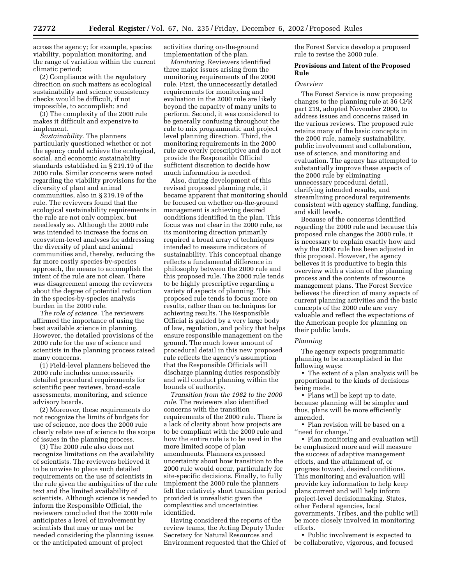across the agency; for example, species viability, population monitoring, and the range of variation within the current climatic period;

(2) Compliance with the regulatory direction on such matters as ecological sustainability and science consistency checks would be difficult, if not impossible, to accomplish; and

(3) The complexity of the 2000 rule makes it difficult and expensive to implement.

*Sustainability.* The planners particularly questioned whether or not the agency could achieve the ecological, social, and economic sustainability standards established in § 219.19 of the 2000 rule. Similar concerns were noted regarding the viability provisions for the diversity of plant and animal communities, also in § 219.19 of the rule. The reviewers found that the ecological sustainability requirements in the rule are not only complex, but needlessly so. Although the 2000 rule was intended to increase the focus on ecosystem-level analyses for addressing the diversity of plant and animal communities and, thereby, reducing the far more costly species-by-species approach, the means to accomplish the intent of the rule are not clear. There was disagreement among the reviewers about the degree of potential reduction in the species-by-species analysis burden in the 2000 rule.

*The role of science.* The reviewers affirmed the importance of using the best available science in planning. However, the detailed provisions of the 2000 rule for the use of science and scientists in the planning process raised many concerns.

(1) Field-level planners believed the 2000 rule includes unnecessarily detailed procedural requirements for scientific peer reviews, broad-scale assessments, monitoring, and science advisory boards.

(2) Moreover, these requirements do not recognize the limits of budgets for use of science, nor does the 2000 rule clearly relate use of science to the scope of issues in the planning process.

(3) The 2000 rule also does not recognize limitations on the availability of scientists. The reviewers believed it to be unwise to place such detailed requirements on the use of scientists in the rule given the ambiguities of the rule text and the limited availability of scientists. Although science is needed to inform the Responsible Official, the reviewers concluded that the 2000 rule anticipates a level of involvement by scientists that may or may not be needed considering the planning issues or the anticipated amount of project

activities during on-the-ground implementation of the plan.

*Monitoring.* Reviewers identified three major issues arising from the monitoring requirements of the 2000 rule. First, the unnecessarily detailed requirements for monitoring and evaluation in the 2000 rule are likely beyond the capacity of many units to perform. Second, it was considered to be generally confusing throughout the rule to mix programmatic and project level planning direction. Third, the monitoring requirements in the 2000 rule are overly prescriptive and do not provide the Responsible Official sufficient discretion to decide how much information is needed.

Also, during development of this revised proposed planning rule, it became apparent that monitoring should be focused on whether on-the-ground management is achieving desired conditions identified in the plan. This focus was not clear in the 2000 rule, as its monitoring direction primarily required a broad array of techniques intended to measure indicators of sustainability. This conceptual change reflects a fundamental difference in philosophy between the 2000 rule and this proposed rule. The 2000 rule tends to be highly prescriptive regarding a variety of aspects of planning. This proposed rule tends to focus more on results, rather than on techniques for achieving results. The Responsible Official is guided by a very large body of law, regulation, and policy that helps ensure responsible management on the ground. The much lower amount of procedural detail in this new proposed rule reflects the agency's assumption that the Responsible Officials will discharge planning duties responsibly and will conduct planning within the bounds of authority.

*Transition from the 1982 to the 2000 rule.* The reviewers also identified concerns with the transition requirements of the 2000 rule. There is a lack of clarity about how projects are to be compliant with the 2000 rule and how the entire rule is to be used in the more limited scope of plan amendments. Planners expressed uncertainty about how transition to the 2000 rule would occur, particularly for site-specific decisions. Finally, to fully implement the 2000 rule the planners felt the relatively short transition period provided is unrealistic given the complexities and uncertainties identified.

Having considered the reports of the review teams, the Acting Deputy Under Secretary for Natural Resources and Environment requested that the Chief of the Forest Service develop a proposed rule to revise the 2000 rule.

#### **Provisions and Intent of the Proposed Rule**

#### *Overview*

The Forest Service is now proposing changes to the planning rule at 36 CFR part 219, adopted November 2000, to address issues and concerns raised in the various reviews. The proposed rule retains many of the basic concepts in the 2000 rule, namely sustainability, public involvement and collaboration, use of science, and monitoring and evaluation. The agency has attempted to substantially improve these aspects of the 2000 rule by eliminating unnecessary procedural detail, clarifying intended results, and streamlining procedural requirements consistent with agency staffing, funding, and skill levels.

Because of the concerns identified regarding the 2000 rule and because this proposed rule changes the 2000 rule, it is necessary to explain exactly how and why the 2000 rule has been adjusted in this proposal. However, the agency believes it is productive to begin this overview with a vision of the planning process and the contents of resource management plans. The Forest Service believes the direction of many aspects of current planning activities and the basic concepts of the 2000 rule are very valuable and reflect the expectations of the American people for planning on their public lands.

#### *Planning*

The agency expects programmatic planning to be accomplished in the following ways:

• The extent of a plan analysis will be proportional to the kinds of decisions being made.

• Plans will be kept up to date, because planning will be simpler and thus, plans will be more efficiently amended.

• Plan revision will be based on a ''need for change.''

• Plan monitoring and evaluation will be emphasized more and will measure the success of adaptive management efforts, and the attainment of, or progress toward, desired conditions. This monitoring and evaluation will provide key information to help keep plans current and will help inform project-level decisionmaking. States, other Federal agencies, local governments, Tribes, and the public will be more closely involved in monitoring efforts.

• Public involvement is expected to be collaborative, vigorous, and focused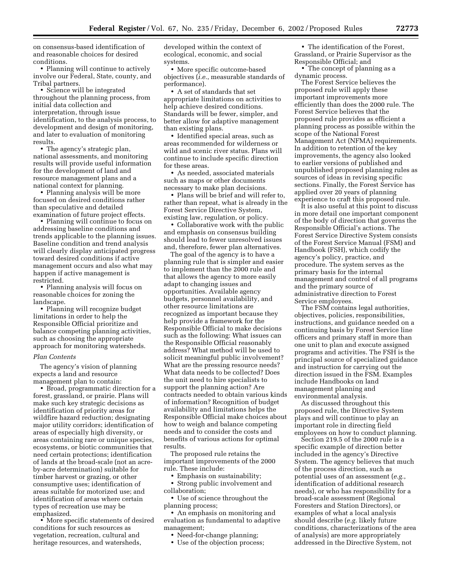on consensus-based identification of and reasonable choices for desired conditions.

• Planning will continue to actively involve our Federal, State, county, and Tribal partners.

• Science will be integrated throughout the planning process, from initial data collection and interpretation, through issue identification, to the analysis process, to development and design of monitoring, and later to evaluation of monitoring results.

• The agency's strategic plan, national assessments, and monitoring results will provide useful information for the development of land and resource management plans and a national context for planning.

• Planning analysis will be more focused on desired conditions rather than speculative and detailed examination of future project effects.

• Planning will continue to focus on addressing baseline conditions and trends applicable to the planning issues. Baseline condition and trend analysis will clearly display anticipated progress toward desired conditions if active management occurs and also what may happen if active management is restricted.

• Planning analysis will focus on reasonable choices for zoning the landscape.

• Planning will recognize budget limitations in order to help the Responsible Official prioritize and balance competing planning activities, such as choosing the appropriate approach for monitoring watersheds.

#### *Plan Contents*

The agency's vision of planning expects a land and resource management plan to contain:

• Broad, programmatic direction for a forest, grassland, or prairie. Plans will make such key strategic decisions as identification of priority areas for wildfire hazard reduction; designating major utility corridors; identification of areas of especially high diversity, or areas containing rare or unique species, ecosystems, or biotic communities that need certain protections; identification of lands at the broad-scale (not an acreby-acre determination) suitable for timber harvest or grazing, or other consumptive uses; identification of areas suitable for motorized use; and identification of areas where certain types of recreation use may be emphasized.

• More specific statements of desired conditions for such resources as vegetation, recreation, cultural and heritage resources, and watersheds,

developed within the context of ecological, economic, and social systems.

• More specific outcome-based objectives (*i.e.*, measurable standards of performance).

• A set of standards that set appropriate limitations on activities to help achieve desired conditions. Standards will be fewer, simpler, and better allow for adaptive management than existing plans.

• Identified special areas, such as areas recommended for wilderness or wild and scenic river status. Plans will continue to include specific direction for these areas.

• As needed, associated materials such as maps or other documents necessary to make plan decisions.

• Plans will be brief and will refer to, rather than repeat, what is already in the Forest Service Directive System, existing law, regulation, or policy.

• Collaborative work with the public and emphasis on consensus building should lead to fewer unresolved issues and, therefore, fewer plan alternatives.

The goal of the agency is to have a planning rule that is simpler and easier to implement than the 2000 rule and that allows the agency to more easily adapt to changing issues and opportunities. Available agency budgets, personnel availability, and other resource limitations are recognized as important because they help provide a framework for the Responsible Official to make decisions such as the following: What issues can the Responsible Official reasonably address? What method will be used to solicit meaningful public involvement? What are the pressing resource needs? What data needs to be collected? Does the unit need to hire specialists to support the planning action? Are contracts needed to obtain various kinds of information? Recognition of budget availability and limitations helps the Responsible Official make choices about how to weigh and balance competing needs and to consider the costs and benefits of various actions for optimal results.

The proposed rule retains the important improvements of the 2000 rule. These include:

• Emphasis on sustainability;

• Strong public involvement and collaboration;

• Use of science throughout the planning process;

• An emphasis on monitoring and evaluation as fundamental to adaptive management;

• Need-for-change planning;

• Use of the objection process;

• The identification of the Forest, Grassland, or Prairie Supervisor as the Responsible Official; and

• The concept of planning as a dynamic process.

The Forest Service believes the proposed rule will apply these important improvements more efficiently than does the 2000 rule. The Forest Service believes that the proposed rule provides as efficient a planning process as possible within the scope of the National Forest Management Act (NFMA) requirements. In addition to retention of the key improvements, the agency also looked to earlier versions of published and unpublished proposed planning rules as sources of ideas in revising specific sections. Finally, the Forest Service has applied over 20 years of planning experience to craft this proposed rule.

It is also useful at this point to discuss in more detail one important component of the body of direction that governs the Responsible Official's actions. The Forest Service Directive System consists of the Forest Service Manual (FSM) and Handbook (FSH), which codify the agency's policy, practice, and procedure. The system serves as the primary basis for the internal management and control of all programs and the primary source of administrative direction to Forest Service employees.

The FSM contains legal authorities, objectives, policies, responsibilities, instructions, and guidance needed on a continuing basis by Forest Service line officers and primary staff in more than one unit to plan and execute assigned programs and activities. The FSH is the principal source of specialized guidance and instruction for carrying out the direction issued in the FSM. Examples include Handbooks on land management planning and environmental analysis.

As discussed throughout this proposed rule, the Directive System plays and will continue to play an important role in directing field employees on how to conduct planning.

Section 219.5 of the 2000 rule is a specific example of direction better included in the agency's Directive System. The agency believes that much of the process direction, such as potential uses of an assessment (*e.g.*, identification of additional research needs), or who has responsibility for a broad-scale assessment (Regional Foresters and Station Directors), or examples of what a local analysis should describe (*e.g.* likely future conditions, characterizations of the area of analysis) are more appropriately addressed in the Directive System, not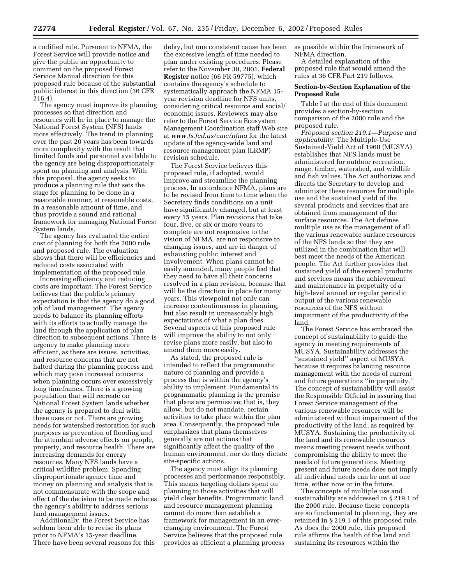a codified rule. Pursuant to NFMA, the Forest Service will provide notice and give the public an opportunity to comment on the proposed Forest Service Manual direction for this proposed rule because of the substantial public interest in this direction (36 CFR 216.4).

The agency must improve its planning processes so that direction and resources will be in place to manage the National Forest System (NFS) lands more effectively. The trend in planning over the past 20 years has been towards more complexity with the result that limited funds and personnel available to the agency are being disproportionately spent on planning and analysis. With this proposal, the agency seeks to produce a planning rule that sets the stage for planning to be done in a reasonable manner, at reasonable costs, in a reasonable amount of time, and thus provide a sound and rational framework for managing National Forest System lands.

The agency has evaluated the entire cost of planning for both the 2000 rule and proposed rule. The evaluation shows that there will be efficiencies and reduced costs associated with implementation of the proposed rule.

Increasing efficiency and reducing costs are important. The Forest Service believes that the public's primary expectation is that the agency do a good job of land management. The agency needs to balance its planning efforts with its efforts to actually manage the land through the application of plan direction to subsequent actions. There is urgency to make planning more efficient, as there are issues, activities, and resource concerns that are not halted during the planning process and which may pose increased concerns when planning occurs over excessively long timeframes. There is a growing population that will recreate on National Forest System lands whether the agency is prepared to deal with these uses or not. There are growing needs for watershed restoration for such purposes as prevention of flooding and the attendant adverse effects on people, property, and resource health. There are increasing demands for energy resources. Many NFS lands have a critical wildfire problem. Spending disproportionate agency time and money on planning and analysis that is not commensurate with the scope and effect of the decision to be made reduces the agency's ability to address serious land management issues.

Additionally, the Forest Service has seldom been able to revise its plans prior to NFMA's 15-year deadline. There have been several reasons for this

delay, but one consistent cause has been the excessive length of time needed to plan under existing procedures. Please refer to the November 30, 2001, **Federal Register** notice (66 FR 59775), which contains the agency's schedule to systematically approach the NFMA 15 year revision deadline for NFS units, considering critical resource and social/ economic issues. Reviewers may also refer to the Forest Service Ecosystem Management Coordination staff Web site at *[www.fs.fed.us/emc/nfma](http://www.fs.fed.us/emc/nfma)* for the latest update of the agency-wide land and resource management plan (LRMP) revision schedule.

The Forest Service believes this proposed rule, if adopted, would improve and streamline the planning process. In accordance NFMA, plans are to be revised from time to time when the Secretary finds conditions on a unit have significantly changed, but at least every 15 years. Plan revisions that take four, five, or six or more years to complete are not responsive to the vision of NFMA, are not responsive to changing issues, and are in danger of exhausting public interest and involvement. When plans cannot be easily amended, many people feel that they need to have all their concerns resolved in a plan revision, because that will be the direction in place for many years. This viewpoint not only can increase contentiousness in planning, but also result in unreasonably high expectations of what a plan does. Several aspects of this proposed rule will improve the ability to not only revise plans more easily, but also to amend them more easily.

As stated, the proposed rule is intended to reflect the programmatic nature of planning and provide a process that is within the agency's ability to implement. Fundamental to programmatic planning is the premise that plans are permissive; that is, they allow, but do not mandate, certain activities to take place within the plan area. Consequently, the proposed rule emphasizes that plans themselves generally are not actions that significantly affect the quality of the human environment, nor do they dictate site-specific actions.

The agency must align its planning processes and performance responsibly. This means targeting dollars spent on planning to those activities that will yield clear benefits. Programmatic land and resource management planning cannot do more than establish a framework for management in an everchanging environment. The Forest Service believes that the proposed rule provides as efficient a planning process

as possible within the framework of NFMA direction.

A detailed explanation of the proposed rule that would amend the rules at 36 CFR Part 219 follows.

#### **Section-by-Section Explanation of the Proposed Rule**

Table I at the end of this document provides a section-by-section comparison of the 2000 rule and the proposed rule.

*Proposed section 219.1—Purpose and applicability.* The Multiple-Use Sustained-Yield Act of 1960 (MUSYA) establishes that NFS lands must be administered for outdoor recreation, range, timber, watershed, and wildlife and fish values. The Act authorizes and directs the Secretary to develop and administer these resources for multiple use and the sustained yield of the several products and services that are obtained from management of the surface resources. The Act defines multiple use as the management of all the various renewable surface resources of the NFS lands so that they are utilized in the combination that will best meet the needs of the American people. The Act further provides that sustained yield of the several products and services means the achievement and maintenance in perpetuity of a high-level annual or regular periodic output of the various renewable resources of the NFS without impairment of the productivity of the land.

The Forest Service has embraced the concept of sustainability to guide the agency in meeting requirements of MUSYA. Sustainability addresses the ''sustained yield'' aspect of MUSYA because it requires balancing resource management with the needs of current and future generations ''in perpetuity.'' The concept of sustainability will assist the Responsible Official in assuring that Forest Service management of the various renewable resources will be administered without impairment of the productivity of the land, as required by MUSYA. Sustaining the productivity of the land and its renewable resources means meeting present needs without compromising the ability to meet the needs of future generations. Meeting present and future needs does not imply all individual needs can be met at one time, either now or in the future.

The concepts of multiple use and sustainability are addressed in § 219.1 of the 2000 rule. Because these concepts are so fundamental to planning, they are retained in § 219.1 of this proposed rule. As does the 2000 rule, this proposed rule affirms the health of the land and sustaining its resources within the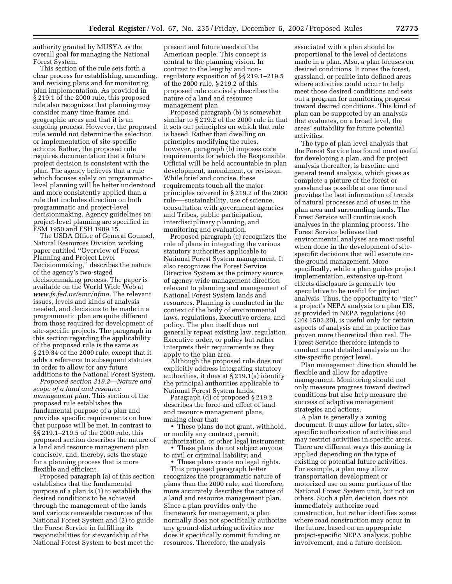authority granted by MUSYA as the overall goal for managing the National Forest System.

This section of the rule sets forth a clear process for establishing, amending, and revising plans and for monitoring plan implementation. As provided in § 219.1 of the 2000 rule, this proposed rule also recognizes that planning may consider many time frames and geographic areas and that it is an ongoing process. However, the proposed rule would not determine the selection or implementation of site-specific actions. Rather, the proposed rule requires documentation that a future project decision is consistent with the plan. The agency believes that a rule which focuses solely on programmaticlevel planning will be better understood and more consistently applied than a rule that includes direction on both programmatic and project-level decisionmaking. Agency guidelines on project-level planning are specified in FSM 1950 and FSH 1909.15.

The USDA Office of General Counsel, Natural Resources Division working paper entitled ''Overview of Forest Planning and Project Level Decisionmaking,'' describes the nature of the agency's two-staged decisionmaking process. The paper is available on the World Wide Web at *[www.fs.fed.us/emc/nfma.](http://www.fs.fed.us/emc/nfma)* The relevant issues, levels and kinds of analysis needed, and decisions to be made in a programmatic plan are quite different from those required for development of site-specific projects. The paragraph in this section regarding the applicability of the proposed rule is the same as § 219.34 of the 2000 rule, except that it adds a reference to subsequent statutes in order to allow for any future additions to the National Forest System.

*Proposed section 219.2—Nature and scope of a land and resource management plan.* This section of the proposed rule establishes the fundamental purpose of a plan and provides specific requirements on how that purpose will be met. In contrast to §§ 219.1–219.5 of the 2000 rule, this proposed section describes the nature of a land and resource management plan concisely, and, thereby, sets the stage for a planning process that is more flexible and efficient.

Proposed paragraph (a) of this section establishes that the fundamental purpose of a plan is (1) to establish the desired conditions to be achieved through the management of the lands and various renewable resources of the National Forest System and (2) to guide the Forest Service in fulfilling its responsibilities for stewardship of the National Forest System to best meet the

present and future needs of the American people. This concept is central to the planning vision. In contrast to the lengthy and nonregulatory exposition of §§ 219.1–219.5 of the 2000 rule, § 219.2 of this proposed rule concisely describes the nature of a land and resource management plan.

Proposed paragraph (b) is somewhat similar to § 219.2 of the 2000 rule in that it sets out principles on which that rule is based. Rather than dwelling on principles modifying the rules, however, paragraph (b) imposes core requirements for which the Responsible Official will be held accountable in plan development, amendment, or revision. While brief and concise, these requirements touch all the major principles covered in § 219.2 of the 2000 rule—-sustainability, use of science, consultation with government agencies and Tribes, public participation, interdisciplinary planning, and monitoring and evaluation.

Proposed paragraph (c) recognizes the role of plans in integrating the various statutory authorities applicable to National Forest System management. It also recognizes the Forest Service Directive System as the primary source of agency-wide management direction relevant to planning and management of National Forest System lands and resources. Planning is conducted in the context of the body of environmental laws, regulations, Executive orders, and policy. The plan itself does not generally repeat existing law, regulation, Executive order, or policy but rather interprets their requirements as they apply to the plan area.

Although the proposed rule does not explicitly address integrating statutory authorities, it does at § 219.1(a) identify the principal authorities applicable to National Forest System lands.

Paragraph (d) of proposed § 219.2 describes the force and effect of land and resource management plans, making clear that:

• These plans do not grant, withhold, or modify any contract, permit,

authorization, or other legal instrument; • These plans do not subject anyone to civil or criminal liability; and

• These plans create no legal rights.

This proposed paragraph better recognizes the programmatic nature of plans than the 2000 rule, and therefore, more accurately describes the nature of a land and resource management plan. Since a plan provides only the framework for management, a plan normally does not specifically authorize any ground-disturbing activities nor does it specifically commit funding or resources. Therefore, the analysis

associated with a plan should be proportional to the level of decisions made in a plan. Also, a plan focuses on desired conditions. It zones the forest, grassland, or prairie into defined areas where activities could occur to help meet those desired conditions and sets out a program for monitoring progress toward desired conditions. This kind of plan can be supported by an analysis that evaluates, on a broad level, the areas' suitability for future potential activities.

The type of plan level analysis that the Forest Service has found most useful for developing a plan, and for project analysis thereafter, is baseline and general trend analysis, which gives as complete a picture of the forest or grassland as possible at one time and provides the best information of trends of natural processes and of uses in the plan area and surrounding lands. The Forest Service will continue such analyses in the planning process. The Forest Service believes that environmental analyses are most useful when done in the development of sitespecific decisions that will execute onthe-ground management. More specifically, while a plan guides project implementation, extensive up-front effects disclosure is generally too speculative to be useful for project analysis. Thus, the opportunity to ''tier'' a project's NEPA analysis to a plan EIS, as provided in NEPA regulations (40 CFR 1502.20), is useful only for certain aspects of analysis and in practice has proven more theoretical than real. The Forest Service therefore intends to conduct most detailed analysis on the site-specific project level.

Plan management direction should be flexible and allow for adaptive management. Monitoring should not only measure progress toward desired conditions but also help measure the success of adaptive management strategies and actions.

A plan is generally a zoning document. It may allow for later, sitespecific authorization of activities and may restrict activities in specific areas. There are different ways this zoning is applied depending on the type of existing or potential future activities. For example, a plan may allow transportation development or motorized use on some portions of the National Forest System unit, but not on others. Such a plan decision does not immediately authorize road construction, but rather identifies zones where road construction may occur in the future, based on an appropriate project-specific NEPA analysis, public involvement, and a future decision.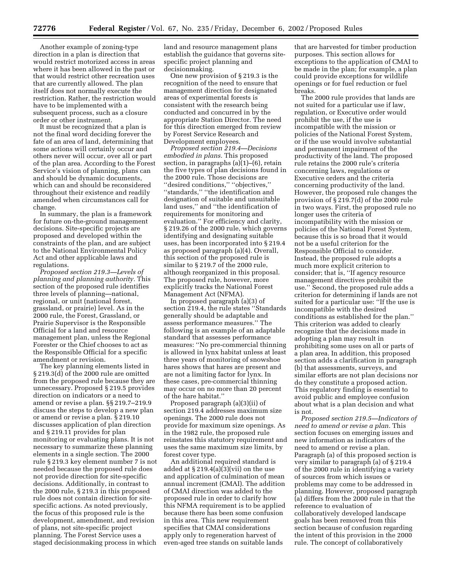Another example of zoning-type direction in a plan is direction that would restrict motorized access in areas where it has been allowed in the past or that would restrict other recreation uses that are currently allowed. The plan itself does not normally execute the restriction. Rather, the restriction would have to be implemented with a subsequent process, such as a closure order or other instrument.

It must be recognized that a plan is not the final word deciding forever the fate of an area of land, determining that some actions will certainly occur and others never will occur, over all or part of the plan area. According to the Forest Service's vision of planning, plans can and should be dynamic documents, which can and should be reconsidered throughout their existence and readily amended when circumstances call for change.

In summary, the plan is a framework for future on-the-ground management decisions. Site-specific projects are proposed and developed within the constraints of the plan, and are subject to the National Environmental Policy Act and other applicable laws and regulations.

*Proposed section 219.3—Levels of planning and planning authority.* This section of the proposed rule identifies three levels of planning—national, regional, or unit (national forest, grassland, or prairie) level. As in the 2000 rule, the Forest, Grassland, or Prairie Supervisor is the Responsible Official for a land and resource management plan, unless the Regional Forester or the Chief chooses to act as the Responsible Official for a specific amendment or revision.

The key planning elements listed in § 219.3(d) of the 2000 rule are omitted from the proposed rule because they are unnecessary. Proposed § 219.5 provides direction on indicators or a need to amend or revise a plan. §§ 219.7–219.9 discuss the steps to develop a new plan or amend or revise a plan. § 219.10 discusses application of plan direction and § 219.11 provides for plan monitoring or evaluating plans. It is not necessary to summarize these planning elements in a single section. The 2000 rule § 219.3 key element number 7 is not needed because the proposed rule does not provide direction for site-specific decisions. Additionally, in contrast to the 2000 rule, § 219.3 in this proposed rule does not contain direction for sitespecific actions. As noted previously, the focus of this proposed rule is the development, amendment, and revision of plans, not site-specific project planning. The Forest Service uses a staged decisionmaking process in which

land and resource management plans establish the guidance that governs sitespecific project planning and decisionmaking.

One new provision of § 219.3 is the recognition of the need to ensure that management direction for designated areas of experimental forests is consistent with the research being conducted and concurred in by the appropriate Station Director. The need for this direction emerged from review by Forest Service Research and Development employees.

*Proposed section 219.4—Decisions embodied in plans.* This proposed section, in paragraphs (a)(1)–(6), retain the five types of plan decisions found in the 2000 rule. Those decisions are ''desired conditions,'' ''objectives,'' ''standards,'' ''the identification and designation of suitable and unsuitable land uses,'' and ''the identification of requirements for monitoring and evaluation.'' For efficiency and clarity, § 219.26 of the 2000 rule, which governs identifying and designating suitable uses, has been incorporated into § 219.4 as proposed paragraph (a)(4). Overall, this section of the proposed rule is similar to § 219.7 of the 2000 rule, although reorganized in this proposal. The proposed rule, however, more explicitly tracks the National Forest Management Act (NFMA).

In proposed paragraph (a)(3) of section 219.4, the rule states ''Standards generally should be adaptable and assess performance measures.'' The following is an example of an adaptable standard that assesses performance measures: ''No pre-commercial thinning is allowed in lynx habitat unless at least three years of monitoring of snowshoe hares shows that hares are present and are not a limiting factor for lynx. In these cases, pre-commercial thinning may occur on no more than 20 percent of the hare habitat.''

Proposed paragraph (a)(3)(ii) of section 219.4 addresses maximum size openings. The 2000 rule does not provide for maximum size openings. As in the 1982 rule, the proposed rule reinstates this statutory requirement and uses the same maximum size limits, by forest cover type.

An additional required standard is added at § 219.4(a)(3)(vii) on the use and application of culmination of mean annual increment (CMAI). The addition of CMAI direction was added to the proposed rule in order to clarify how this NFMA requirement is to be applied because there has been some confusion in this area. This new requirement specifies that CMAI considerations apply only to regeneration harvest of even-aged tree stands on suitable lands

that are harvested for timber production purposes. This section allows for exceptions to the application of CMAI to be made in the plan; for example, a plan could provide exceptions for wildlife openings or for fuel reduction or fuel breaks.

The 2000 rule provides that lands are not suited for a particular use if law, regulation, or Executive order would prohibit the use, if the use is incompatible with the mission or policies of the National Forest System, or if the use would involve substantial and permanent impairment of the productivity of the land. The proposed rule retains the 2000 rule's criteria concerning laws, regulations or Executive orders and the criteria concerning productivity of the land. However, the proposed rule changes the provision of § 219.7(d) of the 2000 rule in two ways. First, the proposed rule no longer uses the criteria of incompatibility with the mission or policies of the National Forest System, because this is so broad that it would not be a useful criterion for the Responsible Official to consider. Instead, the proposed rule adopts a much more explicit criterion to consider; that is, ''If agency resource management directives prohibit the use.'' Second, the proposed rule adds a criterion for determining if lands are not suited for a particular use: ''If the use is incompatible with the desired conditions as established for the plan.'' This criterion was added to clearly recognize that the decisions made in adopting a plan may result in prohibiting some uses on all or parts of a plan area. In addition, this proposed section adds a clarification in paragraph (b) that assessments, surveys, and similar efforts are not plan decisions nor do they constitute a proposed action. This regulatory finding is essential to avoid public and employee confusion about what is a plan decision and what is not.

*Proposed section 219.5—Indicators of need to amend or revise a plan.* This section focuses on emerging issues and new information as indicators of the need to amend or revise a plan. Paragraph (a) of this proposed section is very similar to paragraph (a) of § 219.4 of the 2000 rule in identifying a variety of sources from which issues or problems may come to be addressed in planning. However, proposed paragraph (a) differs from the 2000 rule in that the reference to evaluation of collaboratively developed landscape goals has been removed from this section because of confusion regarding the intent of this provision in the 2000 rule. The concept of collaboratively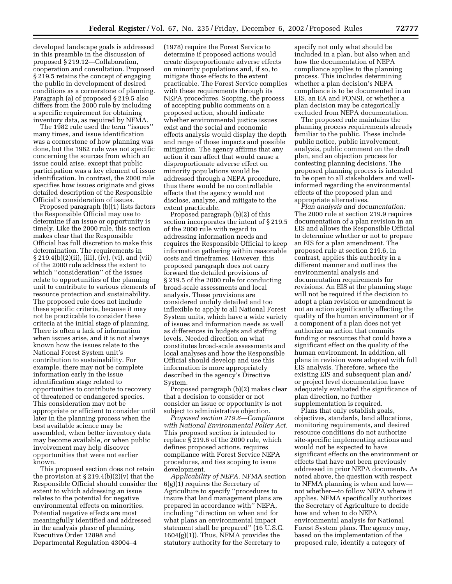developed landscape goals is addressed in this preamble in the discussion of proposed § 219.12—Collaboration, cooperation and consultation. Proposed § 219.5 retains the concept of engaging the public in development of desired conditions as a cornerstone of planning. Paragraph (a) of proposed § 219.5 also differs from the 2000 rule by including a specific requirement for obtaining inventory data, as required by NFMA.

The 1982 rule used the term ''issues'' many times, and issue identification was a cornerstone of how planning was done, but the 1982 rule was not specific concerning the sources from which an issue could arise, except that public participation was a key element of issue identification. In contrast, the 2000 rule specifies how issues originate and gives detailed description of the Responsible Official's consideration of issues.

Proposed paragraph (b)(1) lists factors the Responsible Official may use to determine if an issue or opportunity is timely. Like the 2000 rule, this section makes clear that the Responsible Official has full discretion to make this determination. The requirements in  $\S 219.4(b)(2)(ii)$ , (iii), (iv), (vi), and (vii) of the 2000 rule address the extent to which ''consideration'' of the issues relate to opportunities of the planning unit to contribute to various elements of resource protection and sustainability. The proposed rule does not include these specific criteria, because it may not be practicable to consider these criteria at the initial stage of planning. There is often a lack of information when issues arise, and it is not always known how the issues relate to the National Forest System unit's contribution to sustainability. For example, there may not be complete information early in the issue identification stage related to opportunities to contribute to recovery of threatened or endangered species. This consideration may not be appropriate or efficient to consider until later in the planning process when the best available science may be assembled, when better inventory data may become available, or when public involvement may help discover opportunities that were not earlier known.

This proposed section does not retain the provision at  $\S 219.4(b)(2)(v)$  that the Responsible Official should consider the extent to which addressing an issue relates to the potential for negative environmental effects on minorities. Potential negative effects are most meaningfully identified and addressed in the analysis phase of planning. Executive Order 12898 and Departmental Regulation 43004–4

(1978) require the Forest Service to determine if proposed actions would create disproportionate adverse effects on minority populations and, if so, to mitigate those effects to the extent practicable. The Forest Service complies with these requirements through its NEPA procedures. Scoping, the process of accepting public comments on a proposed action, should indicate whether environmental justice issues exist and the social and economic effects analysis would display the depth and range of those impacts and possible mitigation. The agency affirms that any action it can affect that would cause a disproportionate adverse effect on minority populations would be addressed through a NEPA procedure, thus there would be no controllable effects that the agency would not disclose, analyze, and mitigate to the extent practicable.

Proposed paragraph (b)(2) of this section incorporates the intent of § 219.5 of the 2000 rule with regard to addressing information needs and requires the Responsible Official to keep information gathering within reasonable costs and timeframes. However, this proposed paragraph does not carry forward the detailed provisions of § 219.5 of the 2000 rule for conducting broad-scale assessments and local analysis. These provisions are considered unduly detailed and too inflexible to apply to all National Forest System units, which have a wide variety of issues and information needs as well as differences in budgets and staffing levels. Needed direction on what constitutes broad-scale assessments and local analyses and how the Responsible Official should develop and use this information is more appropriately described in the agency's Directive System.

Proposed paragraph (b)(2) makes clear that a decision to consider or not consider an issue or opportunity is not subject to administrative objection.

*Proposed section 219.6—Compliance with National Environmental Policy Act.* This proposed section is intended to replace § 219.6 of the 2000 rule, which defines proposed actions, requires compliance with Forest Service NEPA procedures, and ties scoping to issue development.

*Applicability of NEPA.* NFMA section 6(g)(1) requires the Secretary of Agriculture to specify ''procedures to insure that land management plans are prepared in accordance with'' NEPA, including ''direction on when and for what plans an environmental impact statement shall be prepared'' (16 U.S.C. 1604(g)(1)). Thus, NFMA provides the statutory authority for the Secretary to

specify not only what should be included in a plan, but also when and how the documentation of NEPA compliance applies to the planning process. This includes determining whether a plan decision's NEPA compliance is to be documented in an EIS, an EA and FONSI, or whether a plan decision may be categorically excluded from NEPA documentation.

The proposed rule maintains the planning process requirements already familiar to the public. These include public notice, public involvement, analysis, public comment on the draft plan, and an objection process for contesting planning decisions. The proposed planning process is intended to be open to all stakeholders and wellinformed regarding the environmental effects of the proposed plan and appropriate alternatives.

*Plan analysis and documentation:* The 2000 rule at section 219.9 requires documentation of a plan revision in an EIS and allows the Responsible Official to determine whether or not to prepare an EIS for a plan amendment. The proposed rule at section 219.6, in contrast, applies this authority in a different manner and outlines the environmental analysis and documentation requirements for revisions. An EIS at the planning stage will not be required if the decision to adopt a plan revision or amendment is not an action significantly affecting the quality of the human environment or if a component of a plan does not yet authorize an action that commits funding or resources that could have a significant effect on the quality of the human environment. In addition, all plans in revision were adopted with full EIS analysis. Therefore, where the existing EIS and subsequent plan and/ or project level documentation have adequately evaluated the significance of plan direction, no further supplementation is required.

Plans that only establish goals, objectives, standards, land allocations, monitoring requirements, and desired resource conditions do not authorize site-specific implementing actions and would not be expected to have significant effects on the environment or effects that have not been previously addressed in prior NEPA documents. As noted above, the question with respect to NFMA planning is when and how not whether—to follow NEPA where it applies. NFMA specifically authorizes the Secretary of Agriculture to decide how and when to do NEPA environmental analysis for National Forest System plans. The agency may, based on the implementation of the proposed rule, identify a category of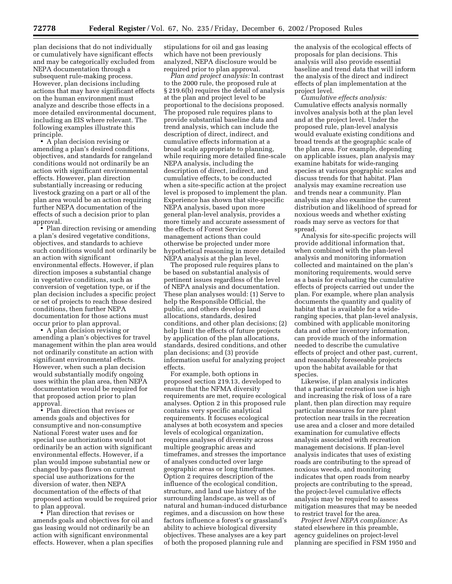plan decisions that do not individually or cumulatively have significant effects and may be categorically excluded from NEPA documentation through a subsequent rule-making process. However, plan decisions including actions that may have significant effects on the human environment must analyze and describe those effects in a more detailed environmental document, including an EIS where relevant. The following examples illustrate this principle.

• A plan decision revising or amending a plan's desired conditions, objectives, and standards for rangeland conditions would not ordinarily be an action with significant environmental effects. However, plan direction substantially increasing or reducing livestock grazing on a part or all of the plan area would be an action requiring further NEPA documentation of the effects of such a decision prior to plan approval.

• Plan direction revising or amending a plan's desired vegetative conditions, objectives, and standards to achieve such conditions would not ordinarily be an action with significant environmental effects. However, if plan direction imposes a substantial change in vegetative conditions, such as conversion of vegetation type, or if the plan decision includes a specific project or set of projects to reach those desired conditions, then further NEPA documentation for those actions must occur prior to plan approval.

• A plan decision revising or amending a plan's objectives for travel management within the plan area would not ordinarily constitute an action with significant environmental effects. However, when such a plan decision would substantially modify ongoing uses within the plan area, then NEPA documentation would be required for that proposed action prior to plan approval.

• Plan direction that revises or amends goals and objectives for consumptive and non-consumptive National Forest water uses and for special use authorizations would not ordinarily be an action with significant environmental effects. However, if a plan would impose substantial new or changed by-pass flows on current special use authorizations for the diversion of water, then NEPA documentation of the effects of that proposed action would be required prior to plan approval.

• Plan direction that revises or amends goals and objectives for oil and gas leasing would not ordinarily be an action with significant environmental effects. However, when a plan specifies

stipulations for oil and gas leasing which have not been previously analyzed, NEPA disclosure would be required prior to plan approval.

*Plan and project analysis:* In contrast to the 2000 rule, the proposed rule at § 219.6(b) requires the detail of analysis at the plan and project level to be proportional to the decisions proposed. The proposed rule requires plans to provide substantial baseline data and trend analysis, which can include the description of direct, indirect, and cumulative effects information at a broad scale appropriate to planning, while requiring more detailed fine-scale NEPA analysis, including the description of direct, indirect, and cumulative effects, to be conducted when a site-specific action at the project level is proposed to implement the plan. Experience has shown that site-specific NEPA analysis, based upon more general plan-level analysis, provides a more timely and accurate assessment of the effects of Forest Service management actions than could otherwise be projected under more hypothetical reasoning in more detailed NEPA analysis at the plan level.

The proposed rule requires plans to be based on substantial analysis of pertinent issues regardless of the level of NEPA analysis and documentation. These plan analyses would: (1) Serve to help the Responsible Official, the public, and others develop land allocations, standards, desired conditions, and other plan decisions; (2) help limit the effects of future projects by application of the plan allocations, standards, desired conditions, and other plan decisions; and (3) provide information useful for analyzing project effects.

For example, both options in proposed section 219.13, developed to ensure that the NFMA diversity requirements are met, require ecological analyses. Option 2 in this proposed rule contains very specific analytical requirements. It focuses ecological analyses at both ecosystem and species levels of ecological organization, requires analyses of diversity across multiple geographic areas and timeframes, and stresses the importance of analyses conducted over large geographic areas or long timeframes. Option 2 requires description of the influence of the ecological condition, structure, and land use history of the surrounding landscape, as well as of natural and human-induced disturbance regimes, and a discussion on how these factors influence a forest's or grassland's ability to achieve biological diversity objectives. These analyses are a key part of both the proposed planning rule and

the analysis of the ecological effects of proposals for plan decisions. This analysis will also provide essential baseline and trend data that will inform the analysis of the direct and indirect effects of plan implementation at the project level.

*Cumulative effects analysis:* Cumulative effects analysis normally involves analysis both at the plan level and at the project level. Under the proposed rule, plan-level analysis would evaluate existing conditions and broad trends at the geographic scale of the plan area. For example, depending on applicable issues, plan analysis may examine habitats for wide-ranging species at various geographic scales and discuss trends for that habitat. Plan analysis may examine recreation use and trends near a community. Plan analysis may also examine the current distribution and likelihood of spread for noxious weeds and whether existing roads may serve as vectors for that spread.

Analysis for site-specific projects will provide additional information that, when combined with the plan-level analysis and monitoring information collected and maintained on the plan's monitoring requirements, would serve as a basis for evaluating the cumulative effects of projects carried out under the plan. For example, where plan analysis documents the quantity and quality of habitat that is available for a wideranging species, that plan-level analysis, combined with applicable monitoring data and other inventory information, can provide much of the information needed to describe the cumulative effects of project and other past, current, and reasonably foreseeable projects upon the habitat available for that species.

Likewise, if plan analysis indicates that a particular recreation use is high and increasing the risk of loss of a rare plant, then plan direction may require particular measures for rare plant protection near trails in the recreation use area and a closer and more detailed examination for cumulative effects analysis associated with recreation management decisions. If plan-level analysis indicates that uses of existing roads are contributing to the spread of noxious weeds, and monitoring indicates that open roads from nearby projects are contributing to the spread, the project-level cumulative effects analysis may be required to assess mitigation measures that may be needed to restrict travel for the area.

*Project level NEPA compliance:* As stated elsewhere in this preamble, agency guidelines on project-level planning are specified in FSM 1950 and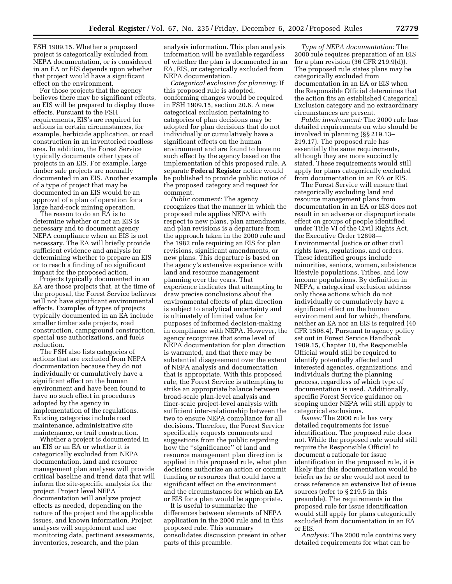FSH 1909.15. Whether a proposed project is categorically excluded from NEPA documentation, or is considered in an EA or EIS depends upon whether that project would have a significant effect on the environment.

For those projects that the agency believes there may be significant effects, an EIS will be prepared to display those effects. Pursuant to the FSH requirements, EIS's are required for actions in certain circumstances, for example, herbicide application, or road construction in an inventoried roadless area. In addition, the Forest Service typically documents other types of projects in an EIS. For example, large timber sale projects are normally documented in an EIS. Another example of a type of project that may be documented in an EIS would be an approval of a plan of operation for a large hard-rock mining operation.

The reason to do an EA is to determine whether or not an EIS is necessary and to document agency NEPA compliance when an EIS is not necessary. The EA will briefly provide sufficient evidence and analysis for determining whether to prepare an EIS or to reach a finding of no significant impact for the proposed action.

Projects typically documented in an EA are those projects that, at the time of the proposal, the Forest Service believes will not have significant environmental effects. Examples of types of projects typically documented in an EA include smaller timber sale projects, road construction, campground construction, special use authorizations, and fuels reduction.

The FSH also lists categories of actions that are excluded from NEPA documentation because they do not individually or cumulatively have a significant effect on the human environment and have been found to have no such effect in procedures adopted by the agency in implementation of the regulations. Existing categories include road maintenance, administrative site maintenance, or trail construction.

Whether a project is documented in an EIS or an EA or whether it is categorically excluded from NEPA documentation, land and resource management plan analyses will provide critical baseline and trend data that will inform the site-specific analysis for the project. Project level NEPA documentation will analyze project effects as needed, depending on the nature of the project and the applicable issues, and known information. Project analyses will supplement and use monitoring data, pertinent assessments, inventories, research, and the plan

analysis information. This plan analysis information will be available regardless of whether the plan is documented in an EA, EIS, or categorically excluded from NEPA documentation.

*Categorical exclusion for planning:* If this proposed rule is adopted, conforming changes would be required in FSH 1909.15, section 20.6. A new categorical exclusion pertaining to categories of plan decisions may be adopted for plan decisions that do not individually or cumulatively have a significant effects on the human environment and are found to have no such effect by the agency based on the implementation of this proposed rule. A separate **Federal Register** notice would be published to provide public notice of the proposed category and request for comment.

*Public comment:* The agency recognizes that the manner in which the proposed rule applies NEPA with respect to new plans, plan amendments, and plan revisions is a departure from the approach taken in the 2000 rule and the 1982 rule requiring an EIS for plan revisions, significant amendments, or new plans. This departure is based on the agency's extensive experience with land and resource management planning over the years. That experience indicates that attempting to draw precise conclusions about the environmental effects of plan direction is subject to analytical uncertainty and is ultimately of limited value for purposes of informed decision-making in compliance with NEPA. However, the agency recognizes that some level of NEPA documentation for plan direction is warranted, and that there may be substantial disagreement over the extent of NEPA analysis and documentation that is appropriate. With this proposed rule, the Forest Service is attempting to strike an appropriate balance between broad-scale plan-level analysis and finer-scale project-level analysis with sufficient inter-relationship between the two to ensure NEPA compliance for all decisions. Therefore, the Forest Service specifically requests comments and suggestions from the public regarding how the ''significance'' of land and resource management plan direction is applied in this proposed rule, what plan decisions authorize an action or commit funding or resources that could have a significant effect on the environment and the circumstances for which an EA or EIS for a plan would be appropriate.

It is useful to summarize the differences between elements of NEPA application in the 2000 rule and in this proposed rule. This summary consolidates discussion present in other parts of this preamble.

*Type of NEPA documentation:* The 2000 rule requires preparation of an EIS for a plan revision (36 CFR 219.9(d)). The proposed rule states plans may be categorically excluded from documentation in an EA or EIS when the Responsible Official determines that the action fits an established Categorical Exclusion category and no extraordinary circumstances are present.

*Public involvement:* The 2000 rule has detailed requirements on who should be involved in planning (§§ 219.13– 219.17). The proposed rule has essentially the same requirements, although they are more succinctly stated. These requirements would still apply for plans categorically excluded from documentation in an EA or EIS.

The Forest Service will ensure that categorically excluding land and resource management plans from documentation in an EA or EIS does not result in an adverse or disproportionate effect on groups of people identified under Title VI of the Civil Rights Act, the Executive Order 12898— Environmental Justice or other civil rights laws, regulations, and orders. These identified groups include minorities, seniors, women, subsistence lifestyle populations, Tribes, and low income populations. By definition in NEPA, a categorical exclusion address only those actions which do not individually or cumulatively have a significant effect on the human environment and for which, therefore, neither an EA nor an EIS is required (40 CFR 1508.4). Pursuant to agency policy set out in Forest Service Handbook 1909.15, Chapter 10, the Responsible Official would still be required to identify potentially affected and interested agencies, organizations, and individuals during the planning process, regardless of which type of documentation is used. Additionally, specific Forest Service guidance on scoping under NEPA will still apply to categorical exclusions.

*Issues:* The 2000 rule has very detailed requirements for issue identification. The proposed rule does not. While the proposed rule would still require the Responsible Official to document a rationale for issue identification in the proposed rule, it is likely that this documentation would be briefer as he or she would not need to cross reference an extensive list of issue sources (refer to § 219.5 in this preamble). The requirements in the proposed rule for issue identification would still apply for plans categorically excluded from documentation in an EA or EIS.

*Analysis:* The 2000 rule contains very detailed requirements for what can be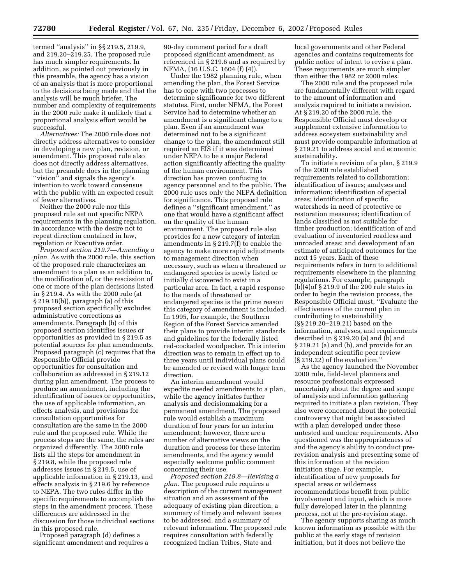termed ''analysis'' in §§ 219.5, 219.9, and 219.20–219.25. The proposed rule has much simpler requirements. In addition, as pointed out previously in this preamble, the agency has a vision of an analysis that is more proportional to the decisions being made and that the analysis will be much briefer. The number and complexity of requirements in the 2000 rule make it unlikely that a proportional analysis effort would be successful.

*Alternatives:* The 2000 rule does not directly address alternatives to consider in developing a new plan, revision, or amendment. This proposed rule also does not directly address alternatives, but the preamble does in the planning "vision" and signals the agency's intention to work toward consensus with the public with an expected result of fewer alternatives.

Neither the 2000 rule nor this proposed rule set out specific NEPA requirements in the planning regulation, in accordance with the desire not to repeat direction contained in law, regulation or Executive order.

*Proposed section 219.7—Amending a plan.* As with the 2000 rule, this section of the proposed rule characterizes an amendment to a plan as an addition to, the modification of, or the rescission of one or more of the plan decisions listed in § 219.4. As with the 2000 rule (at § 219.18(b)), paragraph (a) of this proposed section specifically excludes administrative corrections as amendments. Paragraph (b) of this proposed section identifies issues or opportunities as provided in § 219.5 as potential sources for plan amendments. Proposed paragraph (c) requires that the Responsible Official provide opportunities for consultation and collaboration as addressed in § 219.12 during plan amendment. The process to produce an amendment, including the identification of issues or opportunities, the use of applicable information, an effects analysis, and provisions for consultation opportunities for consultation are the same in the 2000 rule and the proposed rule. While the process steps are the same, the rules are organized differently. The 2000 rule lists all the steps for amendment in § 219.8, while the proposed rule addresses issues in § 219.5, use of applicable information in § 219.13, and effects analysis in § 219.6 by reference to NEPA. The two rules differ in the specific requirements to accomplish the steps in the amendment process. These differences are addressed in the discussion for those individual sections in this proposed rule.

Proposed paragraph (d) defines a significant amendment and requires a

90-day comment period for a draft proposed significant amendment, as referenced in § 219.6 and as required by NFMA, (16 U.S.C. 1604 (f) (4)).

Under the 1982 planning rule, when amending the plan, the Forest Service has to cope with two processes to determine significance for two different statutes. First, under NFMA, the Forest Service had to determine whether an amendment is a significant change to a plan. Even if an amendment was determined not to be a significant change to the plan, the amendment still required an EIS if it was determined under NEPA to be a major Federal action significantly affecting the quality of the human environment. This direction has proven confusing to agency personnel and to the public. The 2000 rule uses only the NEPA definition for significance. This proposed rule defines a ''significant amendment,'' as one that would have a significant affect on the quality of the human environment. The proposed rule also provides for a new category of interim amendments in § 219.7(f) to enable the agency to make more rapid adjustments to management direction when necessary, such as when a threatened or endangered species is newly listed or initially discovered to exist in a particular area. In fact, a rapid response to the needs of threatened or endangered species is the prime reason this category of amendment is included. In 1995, for example, the Southern Region of the Forest Service amended their plans to provide interim standards and guidelines for the federally listed red-cockaded woodpecker. This interim direction was to remain in effect up to three years until individual plans could be amended or revised with longer term direction.

An interim amendment would expedite needed amendments to a plan, while the agency initiates further analysis and decisionmaking for a permanent amendment. The proposed rule would establish a maximum duration of four years for an interim amendment; however, there are a number of alternative views on the duration and process for these interim amendments, and the agency would especially welcome public comment concerning their use.

*Proposed section 219.8—Revising a plan.* The proposed rule requires a description of the current management situation and an assessment of the adequacy of existing plan direction, a summary of timely and relevant issues to be addressed, and a summary of relevant information. The proposed rule requires consultation with federally recognized Indian Tribes, State and

local governments and other Federal agencies and contains requirements for public notice of intent to revise a plan. These requirements are much simpler than either the 1982 or 2000 rules.

The 2000 rule and the proposed rule are fundamentally different with regard to the amount of information and analysis required to initiate a revision. At § 219.20 of the 2000 rule, the Responsible Official must develop or supplement extensive information to address ecosystem sustainability and must provide comparable information at § 219.21 to address social and economic sustainability.

To initiate a revision of a plan, § 219.9 of the 2000 rule established requirements related to collaboration; identification of issues; analyses and information; identification of special areas; identification of specific watersheds in need of protective or restoration measures; identification of lands classified as not suitable for timber production; identification of and evaluation of inventoried roadless and unroaded areas; and development of an estimate of anticipated outcomes for the next 15 years. Each of these requirements refers in turn to additional requirements elsewhere in the planning regulations. For example, paragraph (b)(4)of § 219.9 of the 200 rule states in order to begin the revision process, the Responsible Official must, ''Evaluate the effectiveness of the current plan in contributing to sustainability (§§ 219.20–219.21) based on the information, analyses, and requirements described in § 219.20 (a) and (b) and § 219.21 (a) and (b), and provide for an independent scientific peer review (§ 219.22) of the evaluation.''

As the agency launched the November 2000 rule, field-level planners and resource professionals expressed uncertainty about the degree and scope of analysis and information gathering required to initiate a plan revision. They also were concerned about the potential controversy that might be associated with a plan developed under these untested and unclear requirements. Also questioned was the appropriateness of and the agency's ability to conduct prerevision analysis and presenting some of this information at the revision initiation stage. For example, identification of new proposals for special areas or wilderness recommendations benefit from public involvement and input, which is more fully developed later in the planning process, not at the pre-revision stage.

The agency supports sharing as much known information as possible with the public at the early stage of revision initiation, but it does not believe the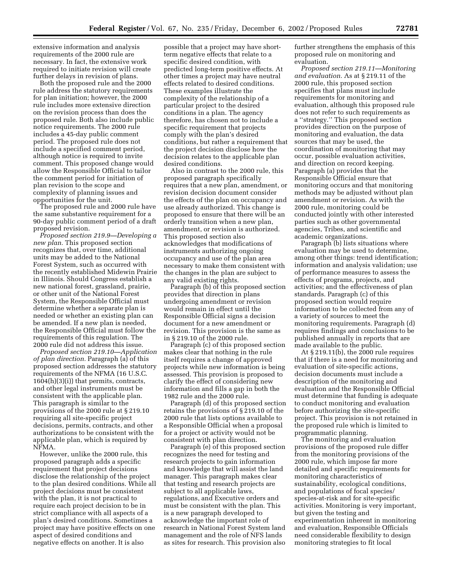extensive information and analysis requirements of the 2000 rule are necessary. In fact, the extensive work required to initiate revision will create further delays in revision of plans.

Both the proposed rule and the 2000 rule address the statutory requirements for plan initiation; however, the 2000 rule includes more extensive direction on the revision process than does the proposed rule. Both also include public notice requirements. The 2000 rule includes a 45-day public comment period. The proposed rule does not include a specified comment period, although notice is required to invite comment. This proposed change would allow the Responsible Official to tailor the comment period for initiation of plan revision to the scope and complexity of planning issues and opportunities for the unit.

The proposed rule and 2000 rule have the same substantive requirement for a 90-day public comment period of a draft proposed revision.

*Proposed section 219.9—Developing a new plan.* This proposed section recognizes that, over time, additional units may be added to the National Forest System, such as occurred with the recently established Midewin Prairie in Illinois. Should Congress establish a new national forest, grassland, prairie, or other unit of the National Forest System, the Responsible Official must determine whether a separate plan is needed or whether an existing plan can be amended. If a new plan is needed, the Responsible Official must follow the requirements of this regulation. The 2000 rule did not address this issue.

*Proposed section 219.10—Application of plan direction.* Paragraph (a) of this proposed section addresses the statutory requirements of the NFMA (16 U.S.C.  $1604(h)(3)(i)$  that permits, contracts, and other legal instruments must be consistent with the applicable plan. This paragraph is similar to the provisions of the 2000 rule at § 219.10 requiring all site-specific project decisions, permits, contracts, and other authorizations to be consistent with the applicable plan, which is required by NFMA.

However, unlike the 2000 rule, this proposed paragraph adds a specific requirement that project decisions disclose the relationship of the project to the plan desired conditions. While all project decisions must be consistent with the plan, it is not practical to require each project decision to be in strict compliance with all aspects of a plan's desired conditions. Sometimes a project may have positive effects on one aspect of desired conditions and negative effects on another. It is also

possible that a project may have shortterm negative effects that relate to a specific desired condition, with predicted long-term positive effects. At other times a project may have neutral effects related to desired conditions. These examples illustrate the complexity of the relationship of a particular project to the desired conditions in a plan. The agency therefore, has chosen not to include a specific requirement that projects comply with the plan's desired conditions, but rather a requirement that the project decision disclose how the decision relates to the applicable plan desired conditions.

Also in contrast to the 2000 rule, this proposed paragraph specifically requires that a new plan, amendment, or revision decision document consider the effects of the plan on occupancy and use already authorized. This change is proposed to ensure that there will be an orderly transition when a new plan, amendment, or revision is authorized. This proposed section also acknowledges that modifications of instruments authorizing ongoing occupancy and use of the plan area necessary to make them consistent with the changes in the plan are subject to any valid existing rights.

Paragraph (b) of this proposed section provides that direction in plans undergoing amendment or revision would remain in effect until the Responsible Official signs a decision document for a new amendment or revision. This provision is the same as in § 219.10 of the 2000 rule.

Paragraph (c) of this proposed section makes clear that nothing in the rule itself requires a change of approved projects while new information is being assessed. This provision is proposed to clarify the effect of considering new information and fills a gap in both the 1982 rule and the 2000 rule.

Paragraph (d) of this proposed section retains the provisions of § 219.10 of the 2000 rule that lists options available to a Responsible Official when a proposal for a project or activity would not be consistent with plan direction.

Paragraph (e) of this proposed section recognizes the need for testing and research projects to gain information and knowledge that will assist the land manager. This paragraph makes clear that testing and research projects are subject to all applicable laws, regulations, and Executive orders and must be consistent with the plan. This is a new paragraph developed to acknowledge the important role of research in National Forest System land management and the role of NFS lands as sites for research. This provision also

further strengthens the emphasis of this proposed rule on monitoring and evaluation.

*Proposed section 219.11—Monitoring and evaluation.* As at § 219.11 of the 2000 rule, this proposed section specifies that plans must include requirements for monitoring and evaluation, although this proposed rule does not refer to such requirements as a ''strategy.'' This proposed section provides direction on the purpose of monitoring and evaluation, the data sources that may be used, the coordination of monitoring that may occur, possible evaluation activities, and direction on record keeping. Paragraph (a) provides that the Responsible Official ensure that monitoring occurs and that monitoring methods may be adjusted without plan amendment or revision. As with the 2000 rule, monitoring could be conducted jointly with other interested parties such as other governmental agencies, Tribes, and scientific and academic organizations.

Paragraph (b) lists situations where evaluation may be used to determine, among other things: trend identification; information and analysis validation; use of performance measures to assess the effects of programs, projects, and activities; and the effectiveness of plan standards. Paragraph (c) of this proposed section would require information to be collected from any of a variety of sources to meet the monitoring requirements. Paragraph (d) requires findings and conclusions to be published annually in reports that are made available to the public.

At § 219.11(b), the 2000 rule requires that if there is a need for monitoring and evaluation of site-specific actions, decision documents must include a description of the monitoring and evaluation and the Responsible Official must determine that funding is adequate to conduct monitoring and evaluation before authorizing the site-specific project. This provision is not retained in the proposed rule which is limited to programmatic planning.

The monitoring and evaluation provisions of the proposed rule differ from the monitoring provisions of the 2000 rule, which impose far more detailed and specific requirements for monitoring characteristics of sustainability, ecological conditions, and populations of focal species/ species-at-risk and for site-specific activities. Monitoring is very important, but given the testing and experimentation inherent in monitoring and evaluation, Responsible Officials need considerable flexibility to design monitoring strategies to fit local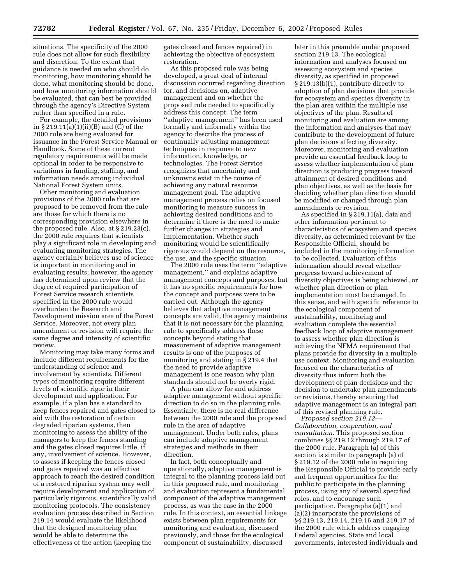situations. The specificity of the 2000 rule does not allow for such flexibility and discretion. To the extent that guidance is needed on who should do monitoring, how monitoring should be done, what monitoring should be done, and how monitoring information should be evaluated, that can best be provided through the agency's Directive System rather than specified in a rule.

For example, the detailed provisions in § 219.11(a)(1)(ii)(B) and (C) of the 2000 rule are being evaluated for issuance in the Forest Service Manual or Handbook. Some of these current regulatory requirements will be made optional in order to be responsive to variations in funding, staffing, and information needs among individual National Forest System units.

Other monitoring and evaluation provisions of the 2000 rule that are proposed to be removed from the rule are those for which there is no corresponding provision elsewhere in the proposed rule. Also, at § 219.23(c), the 2000 rule requires that scientists play a significant role in developing and evaluating monitoring strategies. The agency certainly believes use of science is important in monitoring and in evaluating results; however, the agency has determined upon review that the degree of required participation of Forest Service research scientists specified in the 2000 rule would overburden the Research and Development mission area of the Forest Service. Moreover, not every plan amendment or revision will require the same degree and intensity of scientific review.

Monitoring may take many forms and include different requirements for the understanding of science and involvement by scientists. Different types of monitoring require different levels of scientific rigor in their development and application. For example, if a plan has a standard to keep fences repaired and gates closed to aid with the restoration of certain degraded riparian systems, then monitoring to assess the ability of the managers to keep the fences standing and the gates closed requires little, if any, involvement of science. However, to assess if keeping the fences closed and gates repaired was an effective approach to reach the desired condition of a restored riparian system may well require development and application of particularly rigorous, scientifically valid monitoring protocols. The consistency evaluation process described in Section 219.14 would evaluate the likelihood that the designed monitoring plan would be able to determine the effectiveness of the action (keeping the

gates closed and fences repaired) in achieving the objective of ecosystem restoration.

As this proposed rule was being developed, a great deal of internal discussion occurred regarding direction for, and decisions on, adaptive management and on whether the proposed rule needed to specifically address this concept. The term ''adaptive management'' has been used formally and informally within the agency to describe the process of continually adjusting management techniques in response to new information, knowledge, or technologies. The Forest Service recognizes that uncertainty and unknowns exist in the course of achieving any natural resource management goal. The adaptive management process relies on focused monitoring to measure success in achieving desired conditions and to determine if there is the need to make further changes in strategies and implementation. Whether such monitoring would be scientifically rigorous would depend on the resource, the use, and the specific situation.

The 2000 rule uses the term ''adaptive management,'' and explains adaptive management concepts and purposes, but it has no specific requirements for how the concept and purposes were to be carried out. Although the agency believes that adaptive management concepts are valid, the agency maintains that it is not necessary for the planning rule to specifically address these concepts beyond stating that measurement of adaptive management results is one of the purposes of monitoring and stating in § 219.4 that the need to provide adaptive management is one reason why plan standards should not be overly rigid.

A plan can allow for and address adaptive management without specific direction to do so in the planning rule. Essentially, there is no real difference between the 2000 rule and the proposed rule in the area of adaptive management. Under both rules, plans can include adaptive management strategies and methods in their direction.

In fact, both conceptually and operationally, adaptive management is integral to the planning process laid out in this proposed rule, and monitoring and evaluation represent a fundamental component of the adaptive management process, as was the case in the 2000 rule. In this context, an essential linkage exists between plan requirements for monitoring and evaluation, discussed previously, and those for the ecological component of sustainability, discussed

later in this preamble under proposed section 219.13. The ecological information and analyses focused on assessing ecosystem and species diversity, as specified in proposed § 219.13(b)(1), contribute directly to adoption of plan decisions that provide for ecosystem and species diversity in the plan area within the multiple use objectives of the plan. Results of monitoring and evaluation are among the information and analyses that may contribute to the development of future plan decisions affecting diversity. Moreover, monitoring and evaluation provide an essential feedback loop to assess whether implementation of plan direction is producing progress toward attainment of desired conditions and plan objectives, as well as the basis for deciding whether plan direction should be modified or changed through plan amendments or revision.

As specified in § 219.11(a), data and other information pertinent to characteristics of ecosystem and species diversity, as determined relevant by the Responsible Official, should be included in the monitoring information to be collected. Evaluation of this information should reveal whether progress toward achievement of diversity objectives is being achieved, or whether plan direction or plan implementation must be changed. In this sense, and with specific reference to the ecological component of sustainability, monitoring and evaluation complete the essential feedback loop of adaptive management to assess whether plan direction is achieving the NFMA requirement that plans provide for diversity in a multiple use context. Monitoring and evaluation focused on the characteristics of diversity thus inform both the development of plan decisions and the decision to undertake plan amendments or revisions, thereby ensuring that adaptive management is an integral part of this revised planning rule.

*Proposed section 219.12— Collaboration, cooperation, and consultation.* This proposed section combines §§ 219.12 through 219.17 of the 2000 rule. Paragraph (a) of this section is similar to paragraph (a) of § 219.12 of the 2000 rule in requiring the Responsible Official to provide early and frequent opportunities for the public to participate in the planning process, using any of several specified roles, and to encourage such participation. Paragraphs (a)(1) and (a)(2) incorporate the provisions of §§ 219.13, 219.14, 219.16 and 219.17 of the 2000 rule which address engaging Federal agencies, State and local governments, interested individuals and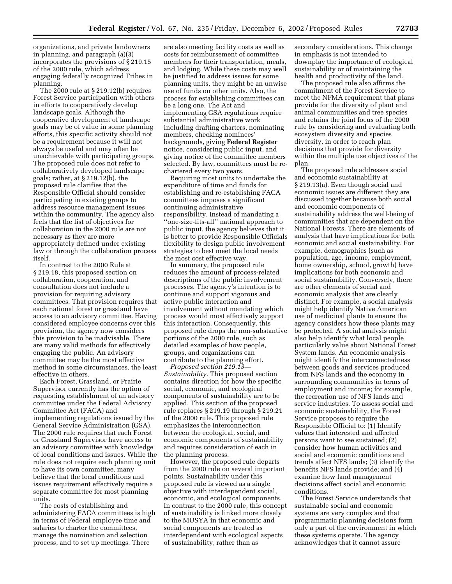organizations, and private landowners in planning, and paragraph (a)(3) incorporates the provisions of § 219.15 of the 2000 rule, which address engaging federally recognized Tribes in planning.

The 2000 rule at § 219.12(b) requires Forest Service participation with others in efforts to cooperatively develop landscape goals. Although the cooperative development of landscape goals may be of value in some planning efforts, this specific activity should not be a requirement because it will not always be useful and may often be unachievable with participating groups. The proposed rule does not refer to collaboratively developed landscape goals; rather, at § 219.12(b), the proposed rule clarifies that the Responsible Official should consider participating in existing groups to address resource management issues within the community. The agency also feels that the list of objectives for collaboration in the 2000 rule are not necessary as they are more appropriately defined under existing law or through the collaboration process itself.

In contrast to the 2000 Rule at § 219.18, this proposed section on collaboration, cooperation, and consultation does not include a provision for requiring advisory committees. That provision requires that each national forest or grassland have access to an advisory committee. Having considered employee concerns over this provision, the agency now considers this provision to be inadvisable. There are many valid methods for effectively engaging the public. An advisory committee may be the most effective method in some circumstances, the least effective in others.

Each Forest, Grassland, or Prairie Supervisor currently has the option of requesting establishment of an advisory committee under the Federal Advisory Committee Act (FACA) and implementing regulations issued by the General Service Administration (GSA). The 2000 rule requires that each Forest or Grassland Supervisor have access to an advisory committee with knowledge of local conditions and issues. While the rule does not require each planning unit to have its own committee, many believe that the local conditions and issues requirement effectively require a separate committee for most planning units.

The costs of establishing and administering FACA committees is high in terms of Federal employee time and salaries to charter the committees, manage the nomination and selection process, and to set up meetings. There

are also meeting facility costs as well as costs for reimbursement of committee members for their transportation, meals, and lodging. While these costs may well be justified to address issues for some planning units, they might be an unwise use of funds on other units. Also, the process for establishing committees can be a long one. The Act and implementing GSA regulations require substantial administrative work including drafting charters, nominating members, checking nominees' backgrounds, giving **Federal Register** notice, considering public input, and giving notice of the committee members selected. By law, committees must be rechartered every two years.

Requiring most units to undertake the expenditure of time and funds for establishing and re-establishing FACA committees imposes a significant continuing administrative responsibility. Instead of mandating a ''one-size-fits-all'' national approach to public input, the agency believes that it is better to provide Responsible Officials flexibility to design public involvement strategies to best meet the local needs the most cost effective way.

In summary, the proposed rule reduces the amount of process-related descriptions of the public involvement processes. The agency's intention is to continue and support vigorous and active public interaction and involvement without mandating which process would most effectively support this interaction. Consequently, this proposed rule drops the non-substantive portions of the 2000 rule, such as detailed examples of how people, groups, and organizations can contribute to the planning effort.

*Proposed section 219.13— Sustainability.* This proposed section contains direction for how the specific social, economic, and ecological components of sustainability are to be applied. This section of the proposed rule replaces § 219.19 through § 219.21 of the 2000 rule. This proposed rule emphasizes the interconnection between the ecological, social, and economic components of sustainability and requires consideration of each in the planning process.

However, the proposed rule departs from the 2000 rule on several important points. Sustainability under this proposed rule is viewed as a single objective with interdependent social, economic, and ecological components. In contrast to the 2000 rule, this concept of sustainability is linked more closely to the MUSYA in that economic and social components are treated as interdependent with ecological aspects of sustainability, rather than as

secondary considerations. This change in emphasis is not intended to downplay the importance of ecological sustainability or of maintaining the health and productivity of the land.

The proposed rule also affirms the commitment of the Forest Service to meet the NFMA requirement that plans provide for the diversity of plant and animal communities and tree species and retains the joint focus of the 2000 rule by considering and evaluating both ecosystem diversity and species diversity, in order to reach plan decisions that provide for diversity within the multiple use objectives of the plan.

The proposed rule addresses social and economic sustainability at § 219.13(a). Even though social and economic issues are different they are discussed together because both social and economic components of sustainability address the well-being of communities that are dependent on the National Forests. There are elements of analysis that have implications for both economic and social sustainability. For example, demographics (such as population, age, income, employment, home ownership, school, growth) have implications for both economic and social sustainability. Conversely, there are other elements of social and economic analysis that are clearly distinct. For example, a social analysis might help identify Native American use of medicinal plants to ensure the agency considers how these plants may be protected. A social analysis might also help identify what local people particularly value about National Forest System lands. An economic analysis might identify the interconnectedness between goods and services produced from NFS lands and the economy in surrounding communities in terms of employment and income; for example, the recreation use of NFS lands and service industries. To assess social and economic sustainability, the Forest Service proposes to require the Responsible Official to: (1) Identify values that interested and affected persons want to see sustained; (2) consider how human activities and social and economic conditions and trends affect NFS lands; (3) identify the benefits NFS lands provide; and (4) examine how land management decisions affect social and economic conditions.

The Forest Service understands that sustainable social and economic systems are very complex and that programmatic planning decisions form only a part of the environment in which these systems operate. The agency acknowledges that it cannot assure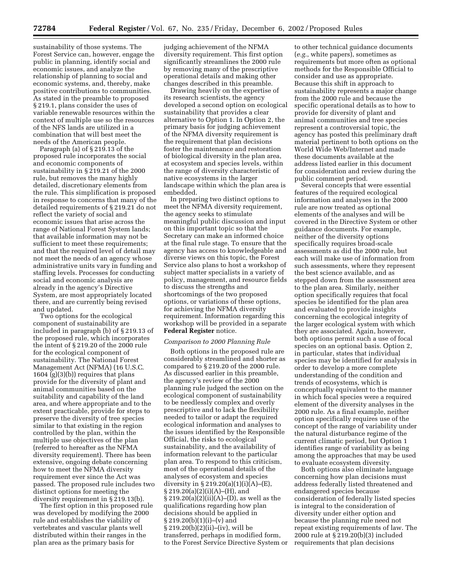sustainability of those systems. The Forest Service can, however, engage the public in planning, identify social and economic issues, and analyze the relationship of planning to social and economic systems, and, thereby, make positive contributions to communities. As stated in the preamble to proposed § 219.1, plans consider the uses of variable renewable resources within the context of multiple use so the resources of the NFS lands are utilized in a combination that will best meet the needs of the American people.

Paragraph (a) of § 219.13 of the proposed rule incorporates the social and economic components of sustainability in § 219.21 of the 2000 rule, but removes the many highly detailed, discretionary elements from the rule. This simplification is proposed in response to concerns that many of the detailed requirements of § 219.21 do not reflect the variety of social and economic issues that arise across the range of National Forest System lands; that available information may not be sufficient to meet these requirements; and that the required level of detail may not meet the needs of an agency whose administrative units vary in funding and staffing levels. Processes for conducting social and economic analysis are already in the agency's Directive System, are most appropriately located there, and are currently being revised and updated.

Two options for the ecological component of sustainability are included in paragraph (b) of § 219.13 of the proposed rule, which incorporates the intent of § 219.20 of the 2000 rule for the ecological component of sustainability. The National Forest Management Act (NFMA) (16 U.S.C. 1604  $(g)(3)(b)$  requires that plans provide for the diversity of plant and animal communities based on the suitability and capability of the land area, and where appropriate and to the extent practicable, provide for steps to preserve the diversity of tree species similar to that existing in the region controlled by the plan, within the multiple use objectives of the plan (referred to hereafter as the NFMA diversity requirement). There has been extensive, ongoing debate concerning how to meet the NFMA diversity requirement ever since the Act was passed. The proposed rule includes two distinct options for meeting the diversity requirement in § 219.13(b).

The first option in this proposed rule was developed by modifying the 2000 rule and establishes the viability of vertebrates and vascular plants well distributed within their ranges in the plan area as the primary basis for

judging achievement of the NFMA diversity requirement. This first option significantly streamlines the 2000 rule by removing many of the prescriptive operational details and making other changes described in this preamble.

Drawing heavily on the expertise of its research scientists, the agency developed a second option on ecological sustainability that provides a clear alternative to Option 1. In Option 2, the primary basis for judging achievement of the NFMA diversity requirement is the requirement that plan decisions foster the maintenance and restoration of biological diversity in the plan area, at ecosystem and species levels, within the range of diversity characteristic of native ecosystems in the larger landscape within which the plan area is embedded.

In preparing two distinct options to meet the NFMA diversity requirement, the agency seeks to stimulate meaningful public discussion and input on this important topic so that the Secretary can make an informed choice at the final rule stage. To ensure that the agency has access to knowledgeable and diverse views on this topic, the Forest Service also plans to host a workshop of subject matter specialists in a variety of policy, management, and resource fields to discuss the strengths and shortcomings of the two proposed options, or variations of these options, for achieving the NFMA diversity requirement. Information regarding this workshop will be provided in a separate **Federal Register** notice.

#### *Comparison to 2000 Planning Rule*

Both options in the proposed rule are considerably streamlined and shorter as compared to § 219.20 of the 2000 rule. As discussed earlier in this preamble, the agency's review of the 2000 planning rule judged the section on the ecological component of sustainability to be needlessly complex and overly prescriptive and to lack the flexibility needed to tailor or adapt the required ecological information and analyses to the issues identified by the Responsible Official, the risks to ecological sustainability, and the availability of information relevant to the particular plan area. To respond to this criticism, most of the operational details of the analyses of ecosystem and species diversity in  $\S 219.20(a)(1)(i)(A)$ –(E), § 219.20(a)(2)(i)(A)–(H), and  $\S 219.20(a)(2)(ii)(A)$ –(D), as well as the qualifications regarding how plan decisions should be applied in  $\S 219.20(b)(1)(i)–(v)$  and § 219.20(b)(2)(ii)–(iv), will be transferred, perhaps in modified form, to the Forest Service Directive System or

to other technical guidance documents (*e.g.*, white papers), sometimes as requirements but more often as optional methods for the Responsible Official to consider and use as appropriate. Because this shift in approach to sustainability represents a major change from the 2000 rule and because the specific operational details as to how to provide for diversity of plant and animal communities and tree species represent a controversial topic, the agency has posted this preliminary draft material pertinent to both options on the World Wide Web/Internet and made these documents available at the address listed earlier in this document for consideration and review during the public comment period.

Several concepts that were essential features of the required ecological information and analyses in the 2000 rule are now treated as optional elements of the analyses and will be covered in the Directive System or other guidance documents. For example, neither of the diversity options specifically requires broad-scale assessments as did the 2000 rule, but each will make use of information from such assessments, where they represent the best science available, and as stepped down from the assessment area to the plan area. Similarly, neither option specifically requires that focal species be identified for the plan area and evaluated to provide insights concerning the ecological integrity of the larger ecological system with which they are associated. Again, however, both options permit such a use of focal species on an optional basis. Option 2, in particular, states that individual species may be identified for analysis in order to develop a more complete understanding of the condition and trends of ecosystems, which is conceptually equivalent to the manner in which focal species were a required element of the diversity analyses in the 2000 rule. As a final example, neither option specifically requires use of the concept of the range of variability under the natural disturbance regime of the current climatic period, but Option 1 identifies range of variability as being among the approaches that may be used to evaluate ecosystem diversity.

Both options also eliminate language concerning how plan decisions must address federally listed threatened and endangered species because consideration of federally listed species is integral to the consideration of diversity under either option and because the planning rule need not repeat existing requirements of law. The 2000 rule at § 219.20(b)(3) included requirements that plan decisions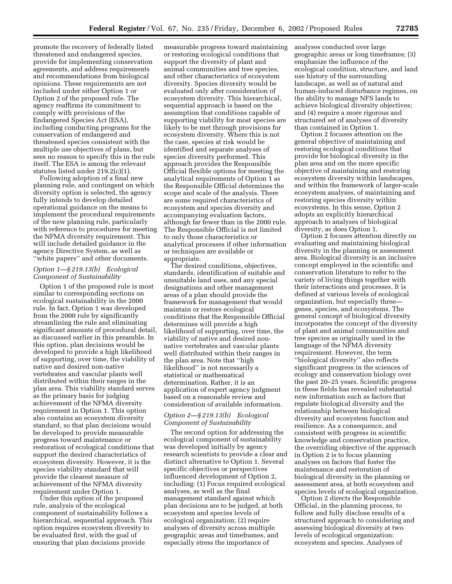promote the recovery of federally listed threatened and endangered species, provide for implementing conservation agreements, and address requirements and recommendations from biological opinions. These requirements are not included under either Option 1 or Option 2 of the proposed rule. The agency reaffirms its commitment to comply with provisions of the Endangered Species Act (ESA), including conducting programs for the conservation of endangered and threatened species consistent with the multiple use objectives of plans, but sees no reason to specify this in the rule itself. The ESA is among the relevant statutes listed under 219.2(c)(1).

Following adoption of a final new planning rule, and contingent on which diversity option is selected, the agency fully intends to develop detailed operational guidance on the means to implement the procedural requirements of the new planning rule, particularly with reference to procedures for meeting the NFMA diversity requirement. This will include detailed guidance in the agency Directive System, as well as ''white papers'' and other documents.

#### *Option 1—§ 219.13(b) Ecological Component of Sustainability*

Option 1 of the proposed rule is most similar to corresponding sections on ecological sustainability in the 2000 rule. In fact, Option 1 was developed from the 2000 rule by significantly streamlining the rule and eliminating significant amounts of procedural detail, as discussed earlier in this preamble. In this option, plan decisions would be developed to provide a high likelihood of supporting, over time, the viability of native and desired non-native vertebrates and vascular plants well distributed within their ranges in the plan area. This viability standard serves as the primary basis for judging achievement of the NFMA diversity requirement in Option 1. This option also contains an ecosystem diversity standard, so that plan decisions would be developed to provide measurable progress toward maintenance or restoration of ecological conditions that support the desired characteristics of ecosystem diversity. However, it is the species viability standard that will provide the clearest measure of achievement of the NFMA diversity requirement under Option 1.

Under this option of the proposed rule, analysis of the ecological component of sustainability follows a hierarchical, sequential approach. This option requires ecosystem diversity to be evaluated first, with the goal of ensuring that plan decisions provide

measurable progress toward maintaining or restoring ecological conditions that support the diversity of plant and animal communities and tree species, and other characteristics of ecosystem diversity. Species diversity would be evaluated only after consideration of ecosystem diversity. This hierarchical, sequential approach is based on the assumption that conditions capable of supporting viability for most species are likely to be met through provisions for ecosystem diversity. Where this is not the case, species at risk would be identified and separate analyses of species diversity performed. This approach provides the Responsible Official flexible options for meeting the analytical requirements of Option 1 as the Responsible Official determines the scope and scale of the analysis. There are some required characteristics of ecosystem and species diversity and accompanying evaluation factors, although far fewer than in the 2000 rule. The Responsible Official is not limited to only those characteristics or analytical processes if other information or techniques are available or appropriate.

The desired conditions, objectives, standards, identification of suitable and unsuitable land uses, and any special designations and other management areas of a plan should provide the framework for management that would maintain or restore ecological conditions that the Responsible Official determines will provide a high likelihood of supporting, over time, the viability of native and desired nonnative vertebrates and vascular plants well distributed within their ranges in the plan area. Note that ''high likelihood'' is not necessarily a statistical or mathematical determination. Rather, it is an application of expert agency judgment based on a reasonable review and consideration of available information.

#### *Option 2—§ 219.13(b) Ecological Component of Sustainability*

The second option for addressing the ecological component of sustainability was developed initially by agency research scientists to provide a clear and distinct alternative to Option 1. Several specific objectives or perspectives influenced development of Option 2, including: (1) Focus required ecological analyses, as well as the final management standard against which plan decisions are to be judged, at both ecosystem and species levels of ecological organization; (2) require analyses of diversity across multiple geographic areas and timeframes, and especially stress the importance of

analyses conducted over large geographic areas or long timeframes; (3) emphasize the influence of the ecological condition, structure, and land use history of the surrounding landscape, as well as of natural and human-induced disturbance regimes, on the ability to manage NFS lands to achieve biological diversity objectives; and (4) require a more rigorous and structured set of analyses of diversity than contained in Option 1.

Option 2 focuses attention on the general objective of maintaining and restoring ecological conditions that provide for biological diversity in the plan area and on the more specific objective of maintaining and restoring ecosystem diversity within landscapes, and within the framework of larger-scale ecosystem analyses, of maintaining and restoring species diversity within ecosystems. In this sense, Option 2 adopts an explicitly hierarchical approach to analyses of biological diversity, as does Option 1.

Option 2 focuses attention directly on evaluating and maintaining biological diversity in the planning or assessment area. Biological diversity is an inclusive concept employed in the scientific and conservation literature to refer to the variety of living things together with their interactions and processes. It is defined at various levels of ecological organization, but especially three genes, species, and ecosystems. The general concept of biological diversity incorporates the concept of the diversity of plant and animal communities and tree species as originally used in the language of the NFMA diversity requirement. However, the term ''biological diversity'' also reflects significant progress in the sciences of ecology and conservation biology over the past 20–25 years. Scientific progress in these fields has revealed substantial new information such as factors that regulate biological diversity and the relationship between biological diversity and ecosystem function and resilience. As a consequence, and consistent with progress in scientific knowledge and conservation practice, the overriding objective of the approach in Option 2 is to focus planning analyses on factors that foster the maintenance and restoration of biological diversity in the planning or assessment area, at both ecosystem and species levels of ecological organization.

Option 2 directs the Responsible Official, in the planning process, to follow and fully disclose results of a structured approach to considering and assessing biological diversity at two levels of ecological organization: ecosystem and species. Analyses of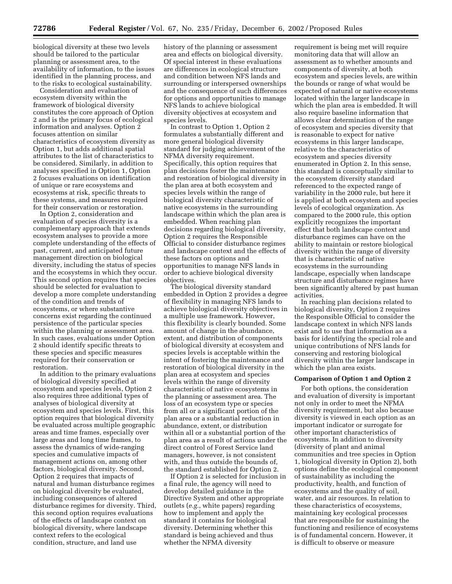biological diversity at these two levels should be tailored to the particular planning or assessment area, to the availability of information, to the issues identified in the planning process, and to the risks to ecological sustainability.

Consideration and evaluation of ecosystem diversity within the framework of biological diversity constitutes the core approach of Option 2 and is the primary focus of ecological information and analyses. Option 2 focuses attention on similar characteristics of ecosystem diversity as Option 1, but adds additional spatial attributes to the list of characteristics to be considered. Similarly, in addition to analyses specified in Option 1, Option 2 focuses evaluations on identification of unique or rare ecosystems and ecosystems at risk, specific threats to these systems, and measures required for their conservation or restoration.

In Option 2, consideration and evaluation of species diversity is a complementary approach that extends ecosystem analyses to provide a more complete understanding of the effects of past, current, and anticipated future management direction on biological diversity, including the status of species and the ecosystems in which they occur. This second option requires that species should be selected for evaluation to develop a more complete understanding of the condition and trends of ecosystems, or where substantive concerns exist regarding the continued persistence of the particular species within the planning or assessment area. In such cases, evaluations under Option 2 should identify specific threats to these species and specific measures required for their conservation or restoration.

In addition to the primary evaluations of biological diversity specified at ecosystem and species levels, Option 2 also requires three additional types of analyses of biological diversity at ecosystem and species levels. First, this option requires that biological diversity be evaluated across multiple geographic areas and time frames, especially over large areas and long time frames, to assess the dynamics of wide-ranging species and cumulative impacts of management actions on, among other factors, biological diversity. Second, Option 2 requires that impacts of natural and human disturbance regimes on biological diversity be evaluated, including consequences of altered disturbance regimes for diversity. Third, this second option requires evaluations of the effects of landscape context on biological diversity, where landscape context refers to the ecological condition, structure, and land use

history of the planning or assessment area and effects on biological diversity. Of special interest in these evaluations are differences in ecological structure and condition between NFS lands and surrounding or interspersed ownerships and the consequence of such differences for options and opportunities to manage NFS lands to achieve biological diversity objectives at ecosystem and species levels.

In contrast to Option 1, Option 2 formulates a substantially different and more general biological diversity standard for judging achievement of the NFMA diversity requirement. Specifically, this option requires that plan decisions foster the maintenance and restoration of biological diversity in the plan area at both ecosystem and species levels within the range of biological diversity characteristic of native ecosystems in the surrounding landscape within which the plan area is embedded. When reaching plan decisions regarding biological diversity, Option 2 requires the Responsible Official to consider disturbance regimes and landscape context and the effects of these factors on options and opportunities to manage NFS lands in order to achieve biological diversity objectives.

The biological diversity standard embedded in Option 2 provides a degree of flexibility in managing NFS lands to achieve biological diversity objectives in a multiple use framework. However, this flexibility is clearly bounded. Some amount of change in the abundance, extent, and distribution of components of biological diversity at ecosystem and species levels is acceptable within the intent of fostering the maintenance and restoration of biological diversity in the plan area at ecosystem and species levels within the range of diversity characteristic of native ecosystems in the planning or assessment area. The loss of an ecosystem type or species from all or a significant portion of the plan area or a substantial reduction in abundance, extent, or distribution within all or a substantial portion of the plan area as a result of actions under the direct control of Forest Service land managers, however, is not consistent with, and thus outside the bounds of, the standard established for Option 2.

If Option 2 is selected for inclusion in a final rule, the agency will need to develop detailed guidance in the Directive System and other appropriate outlets (*e.g.*, white papers) regarding how to implement and apply the standard it contains for biological diversity. Determining whether this standard is being achieved and thus whether the NFMA diversity

requirement is being met will require monitoring data that will allow an assessment as to whether amounts and components of diversity, at both ecosystem and species levels, are within the bounds or range of what would be expected of natural or native ecosystems located within the larger landscape in which the plan area is embedded. It will also require baseline information that allows clear determination of the range of ecosystem and species diversity that is reasonable to expect for native ecosystems in this larger landscape, relative to the characteristics of ecosystem and species diversity enumerated in Option 2. In this sense, this standard is conceptually similar to the ecosystem diversity standard referenced to the expected range of variability in the 2000 rule, but here it is applied at both ecosystem and species levels of ecological organization. As compared to the 2000 rule, this option explicitly recognizes the important effect that both landscape context and disturbance regimes can have on the ability to maintain or restore biological diversity within the range of diversity that is characteristic of native ecosystems in the surrounding landscape, especially when landscape structure and disturbance regimes have been significantly altered by past human activities.

In reaching plan decisions related to biological diversity, Option 2 requires the Responsible Official to consider the landscape context in which NFS lands exist and to use that information as a basis for identifying the special role and unique contributions of NFS lands for conserving and restoring biological diversity within the larger landscape in which the plan area exists.

#### **Comparison of Option 1 and Option 2**

For both options, the consideration and evaluation of diversity is important not only in order to meet the NFMA diversity requirement, but also because diversity is viewed in each option as an important indicator or surrogate for other important characteristics of ecosystems. In addition to diversity (diversity of plant and animal communities and tree species in Option 1, biological diversity in Option 2), both options define the ecological component of sustainability as including the productivity, health, and function of ecosystems and the quality of soil, water, and air resources. In relation to these characteristics of ecosystems, maintaining key ecological processes that are responsible for sustaining the functioning and resilience of ecosystems is of fundamental concern. However, it is difficult to observe or measure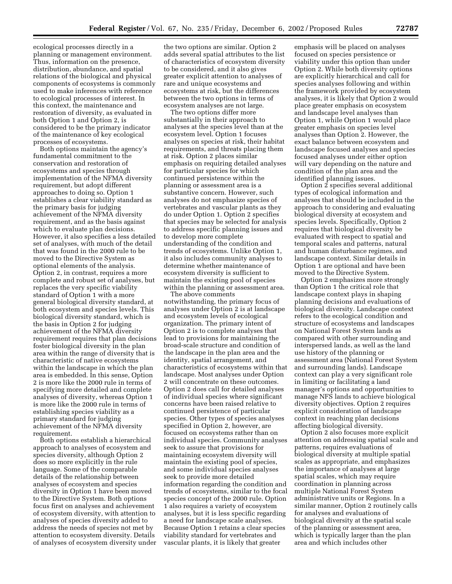ecological processes directly in a planning or management environment. Thus, information on the presence, distribution, abundance, and spatial relations of the biological and physical components of ecosystems is commonly used to make inferences with reference to ecological processes of interest. In this context, the maintenance and restoration of diversity, as evaluated in both Option 1 and Option 2, is considered to be the primary indicator of the maintenance of key ecological processes of ecosystems.

Both options maintain the agency's fundamental commitment to the conservation and restoration of ecosystems and species through implementation of the NFMA diversity requirement, but adopt different approaches to doing so. Option 1 establishes a clear viability standard as the primary basis for judging achievement of the NFMA diversity requirement, and as the basis against which to evaluate plan decisions. However, it also specifies a less detailed set of analyses, with much of the detail that was found in the 2000 rule to be moved to the Directive System as optional elements of the analysis. Option 2, in contrast, requires a more complete and robust set of analyses, but replaces the very specific viability standard of Option 1 with a more general biological diversity standard, at both ecosystem and species levels. This biological diversity standard, which is the basis in Option 2 for judging achievement of the NFMA diversity requirement requires that plan decisions foster biological diversity in the plan area within the range of diversity that is characteristic of native ecosystems within the landscape in which the plan area is embedded. In this sense, Option 2 is more like the 2000 rule in terms of specifying more detailed and complete analyses of diversity, whereas Option 1 is more like the 2000 rule in terms of establishing species viability as a primary standard for judging achievement of the NFMA diversity requirement.

Both options establish a hierarchical approach to analyses of ecosystem and species diversity, although Option 2 does so more explicitly in the rule language. Some of the comparable details of the relationship between analyses of ecosystem and species diversity in Option 1 have been moved to the Directive System. Both options focus first on analyses and achievement of ecosystem diversity, with attention to analyses of species diversity added to address the needs of species not met by attention to ecosystem diversity. Details of analyses of ecosystem diversity under

the two options are similar. Option 2 adds several spatial attributes to the list of characteristics of ecosystem diversity to be considered, and it also gives greater explicit attention to analyses of rare and unique ecosystems and ecosystems at risk, but the differences between the two options in terms of ecosystem analyses are not large.

The two options differ more substantially in their approach to analyses at the species level than at the ecosystem level. Option 1 focuses analyses on species at risk, their habitat requirements, and threats placing them at risk. Option 2 places similar emphasis on requiring detailed analyses for particular species for which continued persistence within the planning or assessment area is a substantive concern. However, such analyses do not emphasize species of vertebrates and vascular plants as they do under Option 1. Option 2 specifies that species may be selected for analysis to address specific planning issues and to develop more complete understanding of the condition and trends of ecosystems. Unlike Option 1, it also includes community analyses to determine whether maintenance of ecosystem diversity is sufficient to maintain the existing pool of species within the planning or assessment area.

The above comments notwithstanding, the primary focus of analyses under Option 2 is at landscape and ecosystem levels of ecological organization. The primary intent of Option 2 is to complete analyses that lead to provisions for maintaining the broad-scale structure and condition of the landscape in the plan area and the identity, spatial arrangement, and characteristics of ecosystems within that landscape. Most analyses under Option 2 will concentrate on these outcomes. Option 2 does call for detailed analyses of individual species where significant concerns have been raised relative to continued persistence of particular species. Other types of species analyses specified in Option 2, however, are focused on ecosystems rather than on individual species. Community analyses seek to assure that provisions for maintaining ecosystem diversity will maintain the existing pool of species, and some individual species analyses seek to provide more detailed information regarding the condition and trends of ecosystems, similar to the focal species concept of the 2000 rule. Option 1 also requires a variety of ecosystem analyses, but it is less specific regarding a need for landscape scale analyses. Because Option 1 retains a clear species viability standard for vertebrates and vascular plants, it is likely that greater

emphasis will be placed on analyses focused on species persistence or viability under this option than under Option 2. While both diversity options are explicitly hierarchical and call for species analyses following and within the framework provided by ecosystem analyses, it is likely that Option 2 would place greater emphasis on ecosystem and landscape level analyses than Option 1, while Option 1 would place greater emphasis on species level analyses than Option 2. However, the exact balance between ecosystem and landscape focused analyses and species focused analyses under either option will vary depending on the nature and condition of the plan area and the identified planning issues.

Option 2 specifies several additional types of ecological information and analyses that should be included in the approach to considering and evaluating biological diversity at ecosystem and species levels. Specifically, Option 2 requires that biological diversity be evaluated with respect to spatial and temporal scales and patterns, natural and human disturbance regimes, and landscape context. Similar details in Option 1 are optional and have been moved to the Directive System.

Option 2 emphasizes more strongly than Option 1 the critical role that landscape context plays in shaping planning decisions and evaluations of biological diversity. Landscape context refers to the ecological condition and structure of ecosystems and landscapes on National Forest System lands as compared with other surrounding and interspersed lands, as well as the land use history of the planning or assessment area (National Forest System and surrounding lands). Landscape context can play a very significant role in limiting or facilitating a land manager's options and opportunities to manage NFS lands to achieve biological diversity objectives. Option 2 requires explicit consideration of landscape context in reaching plan decisions affecting biological diversity.

Option 2 also focuses more explicit attention on addressing spatial scale and patterns, requires evaluations of biological diversity at multiple spatial scales as appropriate, and emphasizes the importance of analyses at large spatial scales, which may require coordination in planning across multiple National Forest System administrative units or Regions. In a similar manner, Option 2 routinely calls for analyses and evaluations of biological diversity at the spatial scale of the planning or assessment area, which is typically larger than the plan area and which includes other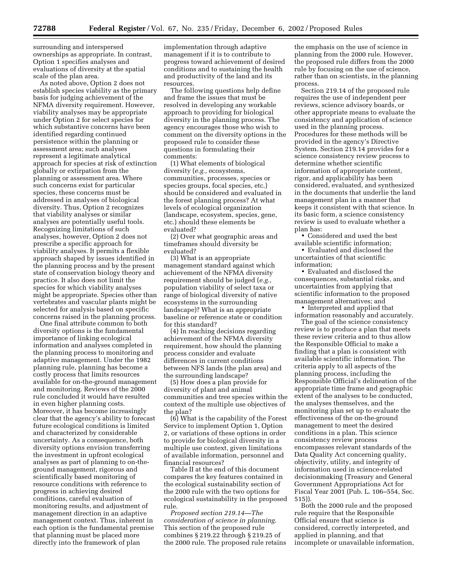surrounding and interspersed ownerships as appropriate. In contrast, Option 1 specifies analyses and evaluations of diversity at the spatial scale of the plan area.

As noted above, Option 2 does not establish species viability as the primary basis for judging achievement of the NFMA diversity requirement. However, viability analyses may be appropriate under Option 2 for select species for which substantive concerns have been identified regarding continued persistence within the planning or assessment area; such analyses represent a legitimate analytical approach for species at risk of extinction globally or extirpation from the planning or assessment area. Where such concerns exist for particular species, these concerns must be addressed in analyses of biological diversity. Thus, Option 2 recognizes that viability analyses or similar analyses are potentially useful tools. Recognizing limitations of such analyses, however, Option 2 does not prescribe a specific approach for viability analyses. It permits a flexible approach shaped by issues identified in the planning process and by the present state of conservation biology theory and practice. It also does not limit the species for which viability analyses might be appropriate. Species other than vertebrates and vascular plants might be selected for analysis based on specific concerns raised in the planning process.

One final attribute common to both diversity options is the fundamental importance of linking ecological information and analyses completed in the planning process to monitoring and adaptive management. Under the 1982 planning rule, planning has become a costly process that limits resources available for on-the-ground management and monitoring. Reviews of the 2000 rule concluded it would have resulted in even higher planning costs. Moreover, it has become increasingly clear that the agency's ability to forecast future ecological conditions is limited and characterized by considerable uncertainty. As a consequence, both diversity options envision transferring the investment in upfront ecological analyses as part of planning to on-theground management, rigorous and scientifically based monitoring of resource conditions with reference to progress in achieving desired conditions, careful evaluation of monitoring results, and adjustment of management direction in an adaptive management context. Thus, inherent in each option is the fundamental premise that planning must be placed more directly into the framework of plan

implementation through adaptive management if it is to contribute to progress toward achievement of desired conditions and to sustaining the health and productivity of the land and its resources.

The following questions help define and frame the issues that must be resolved in developing any workable approach to providing for biological diversity in the planning process. The agency encourages those who wish to comment on the diversity options in the proposed rule to consider these questions in formulating their comments:

(1) What elements of biological diversity (*e.g.*, ecosystems, communities, processes, species or species groups, focal species, etc.) should be considered and evaluated in the forest planning process? At what levels of ecological organization (landscape, ecosystem, species, gene, etc.) should these elements be evaluated?

(2) Over what geographic areas and timeframes should diversity be evaluated?

(3) What is an appropriate management standard against which achievement of the NFMA diversity requirement should be judged (*e.g.*, population viability of select taxa or range of biological diversity of native ecosystems in the surrounding landscape)? What is an appropriate baseline or reference state or condition for this standard?

(4) In reaching decisions regarding achievement of the NFMA diversity requirement, how should the planning process consider and evaluate differences in current conditions between NFS lands (the plan area) and the surrounding landscape?

(5) How does a plan provide for diversity of plant and animal communities and tree species within the context of the multiple use objectives of the plan?

(6) What is the capability of the Forest Service to implement Option 1, Option 2, or variations of these options in order to provide for biological diversity in a multiple use context, given limitations of available information, personnel and financial resources?

Table II at the end of this document compares the key features contained in the ecological sustainability section of the 2000 rule with the two options for ecological sustainability in the proposed rule.

*Proposed section 219.14—The consideration of science in planning.* This section of the proposed rule combines § 219.22 through § 219.25 of the 2000 rule. The proposed rule retains

the emphasis on the use of science in planning from the 2000 rule. However, the proposed rule differs from the 2000 rule by focusing on the use of science, rather than on scientists, in the planning process.

Section 219.14 of the proposed rule requires the use of independent peer reviews, science advisory boards, or other appropriate means to evaluate the consistency and application of science used in the planning process. Procedures for these methods will be provided in the agency's Directive System. Section 219.14 provides for a science consistency review process to determine whether scientific information of appropriate content, rigor, and applicability has been considered, evaluated, and synthesized in the documents that underlie the land management plan in a manner that keeps it consistent with that science. In its basic form, a science consistency review is used to evaluate whether a plan has:

• Considered and used the best available scientific information;

• Evaluated and disclosed the uncertainties of that scientific information;

• Evaluated and disclosed the consequences, substantial risks, and uncertainties from applying that scientific information to the proposed management alternatives; and

• Interpreted and applied that information reasonably and accurately.

The goal of the science consistency review is to produce a plan that meets these review criteria and to thus allow the Responsible Official to make a finding that a plan is consistent with available scientific information. The criteria apply to all aspects of the planning process, including the Responsible Official's delineation of the appropriate time frame and geographic extent of the analyses to be conducted, the analyses themselves, and the monitoring plan set up to evaluate the effectiveness of the on-the-ground management to meet the desired conditions in a plan. This science consistency review process encompasses relevant standards of the Data Quality Act concerning quality, objectivity, utility, and integrity of information used in science-related decisionmaking (Treasury and General Government Appropriations Act for Fiscal Year 2001 (Pub. L. 106–554, Sec. 515)).

Both the 2000 rule and the proposed rule require that the Responsible Official ensure that science is considered, correctly interpreted, and applied in planning, and that incomplete or unavailable information,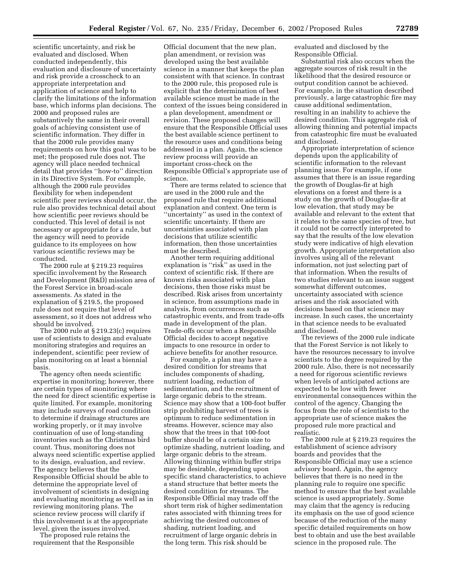scientific uncertainty, and risk be evaluated and disclosed. When conducted independently, this evaluation and disclosure of uncertainty and risk provide a crosscheck to an appropriate interpretation and application of science and help to clarify the limitations of the information base, which informs plan decisions. The 2000 and proposed rules are substantively the same in their overall goals of achieving consistent use of scientific information. They differ in that the 2000 rule provides many requirements on how this goal was to be met; the proposed rule does not. The agency will place needed technical detail that provides ''how-to'' direction in its Directive System. For example, although the 2000 rule provides flexibility for when independent scientific peer reviews should occur, the rule also provides technical detail about how scientific peer reviews should be conducted. This level of detail is not necessary or appropriate for a rule, but the agency will need to provide guidance to its employees on how various scientific reviews may be conducted.

The 2000 rule at § 219.23 requires specific involvement by the Research and Development (R&D) mission area of the Forest Service in broad-scale assessments. As stated in the explanation of § 219.5, the proposed rule does not require that level of assessment, so it does not address who should be involved.

The 2000 rule at § 219.23(c) requires use of scientists to design and evaluate monitoring strategies and requires an independent, scientific peer review of plan monitoring on at least a biennial basis.

The agency often needs scientific expertise in monitoring; however, there are certain types of monitoring where the need for direct scientific expertise is quite limited. For example, monitoring may include surveys of road condition to determine if drainage structures are working properly, or it may involve continuation of use of long-standing inventories such as the Christmas bird count. Thus, monitoring does not always need scientific expertise applied to its design, evaluation, and review. The agency believes that the Responsible Official should be able to determine the appropriate level of involvement of scientists in designing and evaluating monitoring as well as in reviewing monitoring plans. The science review process will clarify if this involvement is at the appropriate level, given the issues involved.

The proposed rule retains the requirement that the Responsible

Official document that the new plan, plan amendment, or revision was developed using the best available science in a manner that keeps the plan consistent with that science. In contrast to the 2000 rule, this proposed rule is explicit that the determination of best available science must be made in the context of the issues being considered in a plan development, amendment or revision. These proposed changes will ensure that the Responsible Official uses the best available science pertinent to the resource uses and conditions being addressed in a plan. Again, the science review process will provide an important cross-check on the Responsible Official's appropriate use of science.

There are terms related to science that are used in the 2000 rule and the proposed rule that require additional explanation and context. One term is ''uncertainty'' as used in the context of scientific uncertainty. If there are uncertainties associated with plan decisions that utilize scientific information, then those uncertainties must be described.

Another term requiring additional explanation is ''risk'' as used in the context of scientific risk. If there are known risks associated with plan decisions, then those risks must be described. Risk arises from uncertainty in science, from assumptions made in analysis, from occurrences such as catastrophic events, and from trade-offs made in development of the plan. Trade-offs occur when a Responsible Official decides to accept negative impacts to one resource in order to achieve benefits for another resource.

For example, a plan may have a desired condition for streams that includes components of shading, nutrient loading, reduction of sedimentation, and the recruitment of large organic debris to the stream. Science may show that a 100-foot buffer strip prohibiting harvest of trees is optimum to reduce sedimentation in streams. However, science may also show that the trees in that 100-foot buffer should be of a certain size to optimize shading, nutrient loading, and large organic debris to the stream. Allowing thinning within buffer strips may be desirable, depending upon specific stand characteristics, to achieve a stand structure that better meets the desired condition for streams. The Responsible Official may trade off the short term risk of higher sedimentation rates associated with thinning trees for achieving the desired outcomes of shading, nutrient loading, and recruitment of large organic debris in the long term. This risk should be

evaluated and disclosed by the Responsible Official.

Substantial risk also occurs when the aggregate sources of risk result in the likelihood that the desired resource or output condition cannot be achieved. For example, in the situation described previously, a large catastrophic fire may cause additional sedimentation, resulting in an inability to achieve the desired condition. This aggregate risk of allowing thinning and potential impacts from catastrophic fire must be evaluated and disclosed.

Appropriate interpretation of science depends upon the applicability of scientific information to the relevant planning issue. For example, if one assumes that there is an issue regarding the growth of Douglas-fir at high elevations on a forest and there is a study on the growth of Douglas-fir at low elevation, that study may be available and relevant to the extent that it relates to the same species of tree, but it could not be correctly interpreted to say that the results of the low elevation study were indicative of high elevation growth. Appropriate interpretation also involves using all of the relevant information, not just selecting part of that information. When the results of two studies relevant to an issue suggest somewhat different outcomes, uncertainty associated with science arises and the risk associated with decisions based on that science may increase. In such cases, the uncertainty in that science needs to be evaluated and disclosed.

The reviews of the 2000 rule indicate that the Forest Service is not likely to have the resources necessary to involve scientists to the degree required by the 2000 rule. Also, there is not necessarily a need for rigorous scientific reviews when levels of anticipated actions are expected to be low with fewer environmental consequences within the control of the agency. Changing the focus from the role of scientists to the appropriate use of science makes the proposed rule more practical and realistic.

The 2000 rule at § 219.23 requires the establishment of science advisory boards and provides that the Responsible Official may use a science advisory board. Again, the agency believes that there is no need in the planning rule to require one specific method to ensure that the best available science is used appropriately. Some may claim that the agency is reducing its emphasis on the use of good science because of the reduction of the many specific detailed requirements on how best to obtain and use the best available science in the proposed rule. The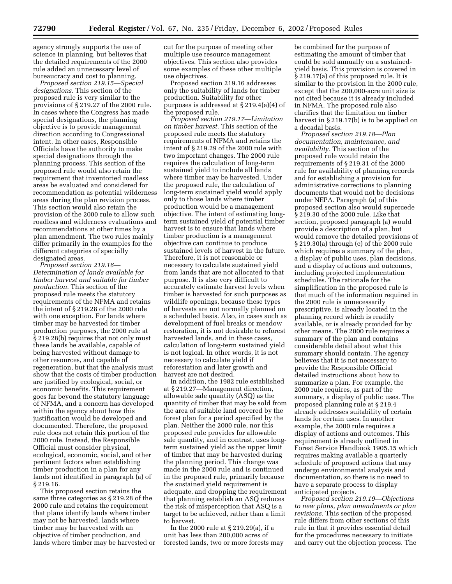agency strongly supports the use of science in planning, but believes that the detailed requirements of the 2000 rule added an unnecessary level of bureaucracy and cost to planning.

*Proposed section 219.15—Special designations.* This section of the proposed rule is very similar to the provisions of § 219.27 of the 2000 rule. In cases where the Congress has made special designations, the planning objective is to provide management direction according to Congressional intent. In other cases, Responsible Officials have the authority to make special designations through the planning process. This section of the proposed rule would also retain the requirement that inventoried roadless areas be evaluated and considered for recommendation as potential wilderness areas during the plan revision process. This section would also retain the provision of the 2000 rule to allow such roadless and wilderness evaluations and recommendations at other times by a plan amendment. The two rules mainly differ primarily in the examples for the different categories of specially designated areas.

*Proposed section 219.16— Determination of lands available for timber harvest and suitable for timber production.* This section of the proposed rule meets the statutory requirements of the NFMA and retains the intent of § 219.28 of the 2000 rule with one exception. For lands where timber may be harvested for timber production purposes, the 2000 rule at § 219.28(b) requires that not only must these lands be available, capable of being harvested without damage to other resources, and capable of regeneration, but that the analysis must show that the costs of timber production are justified by ecological, social, or economic benefits. This requirement goes far beyond the statutory language of NFMA, and a concern has developed within the agency about how this justification would be developed and documented. Therefore, the proposed rule does not retain this portion of the 2000 rule. Instead, the Responsible Official must consider physical, ecological, economic, social, and other pertinent factors when establishing timber production in a plan for any lands not identified in paragraph (a) of § 219.16.

This proposed section retains the same three categories as § 219.28 of the 2000 rule and retains the requirement that plans identify lands where timber may not be harvested, lands where timber may be harvested with an objective of timber production, and lands where timber may be harvested or cut for the purpose of meeting other multiple use resource management objectives. This section also provides some examples of these other multiple use objectives.

Proposed section 219.16 addresses only the suitability of lands for timber production. Suitability for other purposes is addressed at § 219.4(a)(4) of the proposed rule.

*Proposed section 219.17—Limitation on timber harvest.* This section of the proposed rule meets the statutory requirements of NFMA and retains the intent of § 219.29 of the 2000 rule with two important changes. The 2000 rule requires the calculation of long-term sustained yield to include all lands where timber may be harvested. Under the proposed rule, the calculation of long-term sustained yield would apply only to those lands where timber production would be a management objective. The intent of estimating longterm sustained yield of potential timber harvest is to ensure that lands where timber production is a management objective can continue to produce sustained levels of harvest in the future. Therefore, it is not reasonable or necessary to calculate sustained yield from lands that are not allocated to that purpose. It is also very difficult to accurately estimate harvest levels when timber is harvested for such purposes as wildlife openings, because these types of harvests are not normally planned on a scheduled basis. Also, in cases such as development of fuel breaks or meadow restoration, it is not desirable to reforest harvested lands, and in these cases, calculation of long-term sustained yield is not logical. In other words, it is not necessary to calculate yield if reforestation and later growth and harvest are not desired.

In addition, the 1982 rule established at § 219.27—Management direction, allowable sale quantity (ASQ) as the quantity of timber that may be sold from the area of suitable land covered by the forest plan for a period specified by the plan. Neither the 2000 rule, nor this proposed rule provides for allowable sale quantity, and in contrast, uses longterm sustained yield as the upper limit of timber that may be harvested during the planning period. This change was made in the 2000 rule and is continued in the proposed rule, primarily because the sustained yield requirement is adequate, and dropping the requirement that planning establish an ASQ reduces the risk of misperception that ASQ is a target to be achieved, rather than a limit to harvest.

In the 2000 rule at § 219.29(a), if a unit has less than 200,000 acres of forested lands, two or more forests may be combined for the purpose of estimating the amount of timber that could be sold annually on a sustainedyield basis. This provision is covered in § 219.17(a) of this proposed rule. It is similar to the provision in the 2000 rule, except that the 200,000-acre unit size is not cited because it is already included in NFMA. The proposed rule also clarifies that the limitation on timber harvest in § 219.17(b) is to be applied on a decadal basis.

*Proposed section 219.18—Plan documentation, maintenance, and availability.* This section of the proposed rule would retain the requirements of § 219.31 of the 2000 rule for availability of planning records and for establishing a provision for administrative corrections to planning documents that would not be decisions under NEPA. Paragraph (a) of this proposed section also would supercede § 219.30 of the 2000 rule. Like that section, proposed paragraph (a) would provide a description of a plan, but would remove the detailed provisions of § 219.30(a) through (e) of the 2000 rule which requires a summary of the plan, a display of public uses, plan decisions, and a display of actions and outcomes, including projected implementation schedules. The rationale for the simplification in the proposed rule is that much of the information required in the 2000 rule is unnecessarily prescriptive, is already located in the planning record which is readily available, or is already provided for by other means. The 2000 rule requires a summary of the plan and contains considerable detail about what this summary should contain. The agency believes that it is not necessary to provide the Responsible Official detailed instructions about how to summarize a plan. For example, the 2000 rule requires, as part of the summary, a display of public uses. The proposed planning rule at § 219.4 already addresses suitability of certain lands for certain uses. In another example, the 2000 rule requires a display of actions and outcomes. This requirement is already outlined in Forest Service Handbook 1905.15 which requires making available a quarterly schedule of proposed actions that may undergo environmental analysis and documentation, so there is no need to have a separate process to display anticipated projects.

*Proposed section 219.19—Objections to new plans, plan amendments or plan revisions.* This section of the proposed rule differs from other sections of this rule in that it provides essential detail for the procedures necessary to initiate and carry out the objection process. The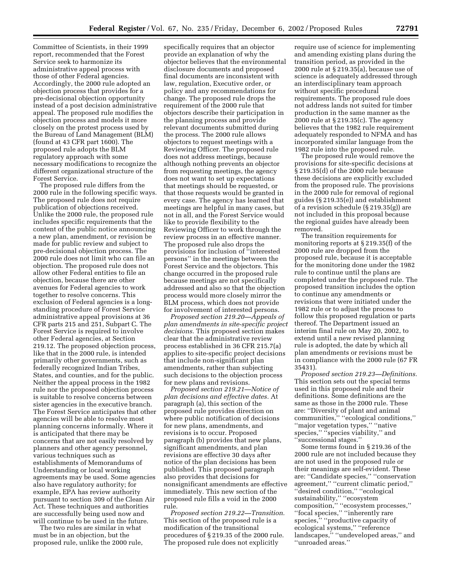Committee of Scientists, in their 1999 report, recommended that the Forest Service seek to harmonize its administrative appeal process with those of other Federal agencies. Accordingly, the 2000 rule adopted an objection process that provides for a pre-decisional objection opportunity instead of a post decision administrative appeal. The proposed rule modifies the objection process and models it more closely on the protest process used by the Bureau of Land Management (BLM) (found at 43 CFR part 1600). The proposed rule adopts the BLM regulatory approach with some necessary modifications to recognize the different organizational structure of the Forest Service.

The proposed rule differs from the 2000 rule in the following specific ways. The proposed rule does not require publication of objections received. Unlike the 2000 rule, the proposed rule includes specific requirements that the content of the public notice announcing a new plan, amendment, or revision be made for public review and subject to pre-decisional objection process. The 2000 rule does not limit who can file an objection. The proposed rule does not allow other Federal entities to file an objection, because there are other avenues for Federal agencies to work together to resolve concerns. This exclusion of Federal agencies is a longstanding procedure of Forest Service administrative appeal provisions at 36 CFR parts 215 and 251, Subpart C. The Forest Service is required to involve other Federal agencies, at Section 219.12. The proposed objection process, like that in the 2000 rule, is intended primarily other governments, such as federally recognized Indian Tribes, States, and counties, and for the public. Neither the appeal process in the 1982 rule nor the proposed objection process is suitable to resolve concerns between sister agencies in the executive branch. The Forest Service anticipates that other agencies will be able to resolve most planning concerns informally. Where it is anticipated that there may be concerns that are not easily resolved by planners and other agency personnel, various techniques such as establishments of Memorandums of Understanding or local working agreements may be used. Some agencies also have regulatory authority; for example, EPA has review authority pursuant to section 309 of the Clean Air Act. These techniques and authorities are successfully being used now and will continue to be used in the future.

The two rules are similar in what must be in an objection, but the proposed rule, unlike the 2000 rule,

specifically requires that an objector provide an explanation of why the objector believes that the environmental disclosure documents and proposed final documents are inconsistent with law, regulation, Executive order, or policy and any recommendations for change. The proposed rule drops the requirement of the 2000 rule that objectors describe their participation in the planning process and provide relevant documents submitted during the process. The 2000 rule allows objectors to request meetings with a Reviewing Officer. The proposed rule does not address meetings, because although nothing prevents an objector from requesting meetings, the agency does not want to set up expectations that meetings should be requested, or that those requests would be granted in every case. The agency has learned that meetings are helpful in many cases, but not in all, and the Forest Service would like to provide flexibility to the Reviewing Officer to work through the review process in an effective manner. The proposed rule also drops the provisions for inclusion of ''interested persons'' in the meetings between the Forest Service and the objectors. This change occurred in the proposed rule because meetings are not specifically addressed and also so that the objection process would more closely mirror the BLM process, which does not provide for involvement of interested persons.

*Proposed section 219.20—Appeals of plan amendments in site-specific project decisions.* This proposed section makes clear that the administrative review process established in 36 CFR 215.7(a) applies to site-specific project decisions that include non-significant plan amendments, rather than subjecting such decisions to the objection process for new plans and revisions.

*Proposed section 219.21—Notice of plan decisions and effective dates.* At paragraph (a), this section of the proposed rule provides direction on where public notification of decisions for new plans, amendments, and revisions is to occur. Proposed paragraph (b) provides that new plans, significant amendments, and plan revisions are effective 30 days after notice of the plan decisions has been published. This proposed paragraph also provides that decisions for nonsignificant amendments are effective immediately. This new section of the proposed rule fills a void in the 2000 rule.

*Proposed section 219.22—Transition.* This section of the proposed rule is a modification of the transitional procedures of § 219.35 of the 2000 rule. The proposed rule does not explicitly

require use of science for implementing and amending existing plans during the transition period, as provided in the 2000 rule at § 219.35(a), because use of science is adequately addressed through an interdisciplinary team approach without specific procedural requirements. The proposed rule does not address lands not suited for timber production in the same manner as the 2000 rule at § 219.35(c). The agency believes that the 1982 rule requirement adequately responded to NFMA and has incorporated similar language from the 1982 rule into the proposed rule.

The proposed rule would remove the provisions for site-specific decisions at § 219.35(d) of the 2000 rule because these decisions are explicitly excluded from the proposed rule. The provisions in the 2000 rule for removal of regional guides (§ 219.35(e)) and establishment of a revision schedule (§ 219.35(g)) are not included in this proposal because the regional guides have already been removed.

The transition requirements for monitoring reports at § 219.35(f) of the 2000 rule are dropped from the proposed rule, because it is acceptable for the monitoring done under the 1982 rule to continue until the plans are completed under the proposed rule. The proposed transition includes the option to continue any amendments or revisions that were initiated under the 1982 rule or to adjust the process to follow this proposed regulation or parts thereof. The Department issued an interim final rule on May 20, 2002, to extend until a new revised planning rule is adopted, the date by which all plan amendments or revisions must be in compliance with the 2000 rule (67 FR 35431).

*Proposed section 219.23—Definitions.* This section sets out the special terms used in this proposed rule and their definitions. Some definitions are the same as those in the 2000 rule. These are: ''Diversity of plant and animal communities,'' ''ecological conditions,'' ''major vegetation types,'' ''native species," "species viability," and ''successional stages.''

Some terms found in § 219.36 of the 2000 rule are not included because they are not used in the proposed rule or their meanings are self-evident. These are: ''Candidate species,'' ''conservation agreement,'' ''current climatic period,'' ''desired condition,'' ''ecological sustainability,'' ''ecosystem composition,'' ''ecosystem processes,'' ''focal species,'' ''inherently rare species,'' ''productive capacity of ecological systems,'' ''reference landscapes," "undeveloped areas," and ''unroaded areas.''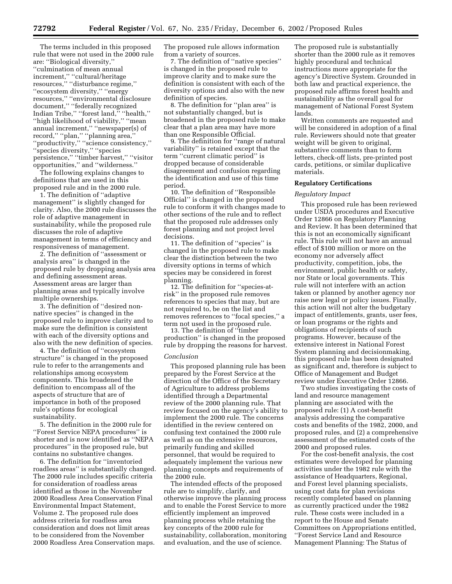The terms included in this proposed rule that were not used in the 2000 rule are: ''Biological diversity,'' ''culmination of mean annual increment,'' ''cultural/heritage resources,'' ''disturbance regime,'' ''ecosystem diversity,'' ''energy resources,'' ''environmental disclosure document,'' ''federally recognized Indian Tribe,'' ''forest land,'' ''health,'' ''high likelihood of viability,'' ''mean annual increment,'' ''newspaper(s) of record,'' ''plan,'' ''planning area,'' ''productivity,'' ''science consistency,'' ''species diversity,'' ''species persistence,'' ''timber harvest,'' ''visitor opportunities,'' and ''wilderness.''

The following explains changes to definitions that are used in this proposed rule and in the 2000 rule.

1. The definition of ''adaptive management'' is slightly changed for clarity. Also, the 2000 rule discusses the role of adaptive management in sustainability, while the proposed rule discusses the role of adaptive management in terms of efficiency and responsiveness of management.

2. The definition of ''assessment or analysis area'' is changed in the proposed rule by dropping analysis area and defining assessment areas. Assessment areas are larger than planning areas and typically involve multiple ownerships.

3. The definition of ''desired nonnative species'' is changed in the proposed rule to improve clarity and to make sure the definition is consistent with each of the diversity options and also with the new definition of species.

4. The definition of ''ecosystem structure'' is changed in the proposed rule to refer to the arrangements and relationships among ecosystem components. This broadened the definition to encompass all of the aspects of structure that are of importance in both of the proposed rule's options for ecological sustainability.

5. The definition in the 2000 rule for ''Forest Service NEPA procedures'' is shorter and is now identified as ''NEPA procedures'' in the proposed rule, but contains no substantive changes.

6. The definition for ''inventoried roadless areas'' is substantially changed. The 2000 rule includes specific criteria for consideration of roadless areas identified as those in the November 2000 Roadless Area Conservation Final Environmental Impact Statement, Volume 2. The proposed rule does address criteria for roadless area consideration and does not limit areas to be considered from the November 2000 Roadless Area Conservation maps.

The proposed rule allows information from a variety of sources.

7. The definition of ''native species'' is changed in the proposed rule to improve clarity and to make sure the definition is consistent with each of the diversity options and also with the new definition of species.

8. The definition for ''plan area'' is not substantially changed, but is broadened in the proposed rule to make clear that a plan area may have more than one Responsible Official.

9. The definition for ''range of natural variability'' is retained except that the term ''current climatic period'' is dropped because of considerable disagreement and confusion regarding the identification and use of this time period.

10. The definition of ''Responsible Official'' is changed in the proposed rule to conform it with changes made to other sections of the rule and to reflect that the proposed rule addresses only forest planning and not project level decisions.

11. The definition of ''species'' is changed in the proposed rule to make clear the distinction between the two diversity options in terms of which species may be considered in forest planning.

12. The definition for ''species-atrisk'' in the proposed rule removes references to species that may, but are not required to, be on the list and removes references to ''focal species,'' a term not used in the proposed rule.

13. The definition of ''timber production'' is changed in the proposed rule by dropping the reasons for harvest.

#### *Conclusion*

This proposed planning rule has been prepared by the Forest Service at the direction of the Office of the Secretary of Agriculture to address problems identified through a Departmental review of the 2000 planning rule. That review focused on the agency's ability to implement the 2000 rule. The concerns identified in the review centered on confusing text contained the 2000 rule as well as on the extensive resources, primarily funding and skilled personnel, that would be required to adequately implement the various new planning concepts and requirements of the 2000 rule.

The intended effects of the proposed rule are to simplify, clarify, and otherwise improve the planning process and to enable the Forest Service to more efficiently implement an improved planning process while retaining the key concepts of the 2000 rule for sustainability, collaboration, monitoring and evaluation, and the use of science.

The proposed rule is substantially shorter than the 2000 rule as it removes highly procedural and technical instructions more appropriate for the agency's Directive System. Grounded in both law and practical experience, the proposed rule affirms forest health and sustainability as the overall goal for management of National Forest System lands.

Written comments are requested and will be considered in adoption of a final rule. Reviewers should note that greater weight will be given to original, substantive comments than to form letters, check-off lists, pre-printed post cards, petitions, or similar duplicative materials.

#### **Regulatory Certifications**

#### *Regulatory Impact*

This proposed rule has been reviewed under USDA procedures and Executive Order 12866 on Regulatory Planning and Review. It has been determined that this is not an economically significant rule. This rule will not have an annual effect of \$100 million or more on the economy nor adversely affect productivity, competition, jobs, the environment, public health or safety, nor State or local governments. This rule will not interfere with an action taken or planned by another agency nor raise new legal or policy issues. Finally, this action will not alter the budgetary impact of entitlements, grants, user fees, or loan programs or the rights and obligations of recipients of such programs. However, because of the extensive interest in National Forest System planning and decisionmaking, this proposed rule has been designated as significant and, therefore is subject to Office of Management and Budget review under Executive Order 12866.

Two studies investigating the costs of land and resource management planning are associated with the proposed rule: (1) A cost-benefit analysis addressing the comparative costs and benefits of the 1982, 2000, and proposed rules, and (2) a comprehensive assessment of the estimated costs of the 2000 and proposed rules.

For the cost-benefit analysis, the cost estimates were developed for planning activities under the 1982 rule with the assistance of Headquarters, Regional, and Forest level planning specialists, using cost data for plan revisions recently completed based on planning as currently practiced under the 1982 rule. These costs were included in a report to the House and Senate Committees on Appropriations entitled, ''Forest Service Land and Resource Management Planning: The Status of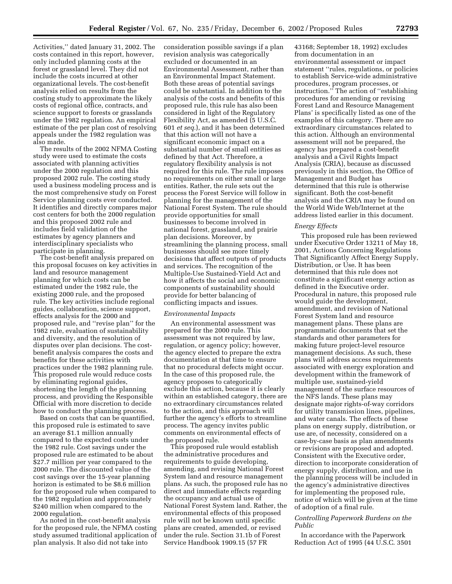Activities,'' dated January 31, 2002. The costs contained in this report, however, only included planning costs at the forest or grassland level. They did not include the costs incurred at other organizational levels. The cost-benefit analysis relied on results from the costing study to approximate the likely costs of regional office, contracts, and science support to forests or grasslands under the 1982 regulation. An empirical estimate of the per plan cost of resolving appeals under the 1982 regulation was also made.

The results of the 2002 NFMA Costing study were used to estimate the costs associated with planning activities under the 2000 regulation and this proposed 2002 rule. The costing study used a business modeling process and is the most comprehensive study on Forest Service planning costs ever conducted. It identifies and directly compares major cost centers for both the 2000 regulation and this proposed 2002 rule and includes field validation of the estimates by agency planners and interdisciplinary specialists who participate in planning.

The cost-benefit analysis prepared on this proposal focuses on key activities in land and resource management planning for which costs can be estimated under the 1982 rule, the existing 2000 rule, and the proposed rule. The key activities include regional guides, collaboration, science support, effects analysis for the 2000 and proposed rule, and ''revise plan'' for the 1982 rule, evaluation of sustainability and diversity, and the resolution of disputes over plan decisions. The costbenefit analysis compares the costs and benefits for these activities with practices under the 1982 planning rule. This proposed rule would reduce costs by eliminating regional guides, shortening the length of the planning process, and providing the Responsible Official with more discretion to decide how to conduct the planning process.

Based on costs that can be quantified, this proposed rule is estimated to save an average \$1.1 million annually compared to the expected costs under the 1982 rule. Cost savings under the proposed rule are estimated to be about \$27.7 million per year compared to the 2000 rule. The discounted value of the cost savings over the 15-year planning horizon is estimated to be \$8.6 million for the proposed rule when compared to the 1982 regulation and approximately \$240 million when compared to the 2000 regulation.

As noted in the cost-benefit analysis for the proposed rule, the NFMA costing study assumed traditional application of plan analysis. It also did not take into

consideration possible savings if a plan revision analysis was categorically excluded or documented in an Environmental Assessment, rather than an Environmental Impact Statement. Both these areas of potential savings could be substantial. In addition to the analysis of the costs and benefits of this proposed rule, this rule has also been considered in light of the Regulatory Flexibility Act, as amended (5 U.S.C. 601 *et seq.*), and it has been determined that this action will not have a significant economic impact on a substantial number of small entities as defined by that Act. Therefore, a regulatory flexibility analysis is not required for this rule. The rule imposes no requirements on either small or large entities. Rather, the rule sets out the process the Forest Service will follow in planning for the management of the National Forest System. The rule should provide opportunities for small businesses to become involved in national forest, grassland, and prairie plan decisions. Moreover, by streamlining the planning process, small businesses should see more timely decisions that affect outputs of products and services. The recognition of the Multiple-Use Sustained-Yield Act and how it affects the social and economic components of sustainability should provide for better balancing of conflicting impacts and issues.

#### *Environmental Impacts*

An environmental assessment was prepared for the 2000 rule. This assessment was not required by law, regulation, or agency policy; however, the agency elected to prepare the extra documentation at that time to ensure that no procedural defects might occur. In the case of this proposed rule, the agency proposes to categorically exclude this action, because it is clearly within an established category, there are no extraordinary circumstances related to the action, and this approach will further the agency's efforts to streamline process. The agency invites public comments on environmental effects of the proposed rule.

This proposed rule would establish the administrative procedures and requirements to guide developing, amending, and revising National Forest System land and resource management plans. As such, the proposed rule has no direct and immediate effects regarding the occupancy and actual use of National Forest System land. Rather, the environmental effects of this proposed rule will not be known until specific plans are created, amended, or revised under the rule. Section 31.1b of Forest Service Handbook 1909.15 (57 FR

43168; September 18, 1992) excludes from documentation in an environmental assessment or impact statement ''rules, regulations, or policies to establish Service-wide administrative procedures, program processes, or instruction.'' The action of ''establishing procedures for amending or revising Forest Land and Resource Management Plans' is specifically listed as one of the examples of this category. There are no extraordinary circumstances related to this action. Although an environmental assessment will not be prepared, the agency has prepared a cost-benefit analysis and a Civil Rights Impact Analysis (CRIA), because as discussed previously in this section, the Office of Management and Budget has determined that this rule is otherwise significant. Both the cost-benefit analysis and the CRIA may be found on the World Wide Web/Internet at the address listed earlier in this document.

#### *Energy Effects*

This proposed rule has been reviewed under Executive Order 13211 of May 18, 2001, Actions Concerning Regulations That Significantly Affect Energy Supply, Distribution, or Use. It has been determined that this rule does not constitute a significant energy action as defined in the Executive order. Procedural in nature, this proposed rule would guide the development, amendment, and revision of National Forest System land and resource management plans. These plans are programmatic documents that set the standards and other parameters for making future project-level resource management decisions. As such, these plans will address access requirements associated with energy exploration and development within the framework of multiple use, sustained-yield management of the surface resources of the NFS lands. These plans may designate major rights-of-way corridors for utility transmission lines, pipelines, and water canals. The effects of these plans on energy supply, distribution, or use are, of necessity, considered on a case-by-case basis as plan amendments or revisions are proposed and adopted. Consistent with the Executive order, direction to incorporate consideration of energy supply, distribution, and use in the planning process will be included in the agency's administrative directives for implementing the proposed rule, notice of which will be given at the time of adoption of a final rule.

#### *Controlling Paperwork Burdens on the Public*

In accordance with the Paperwork Reduction Act of 1995 (44 U.S.C. 3501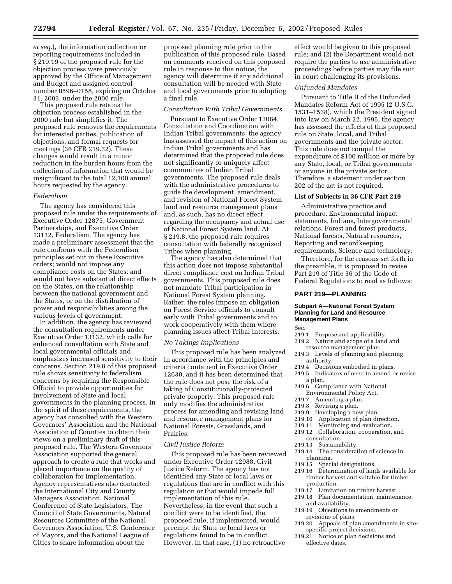*et seq.*), the information collection or reporting requirements included in § 219.19 of the proposed rule for the objection process were previously approved by the Office of Management and Budget and assigned control number 0596–0158, expiring on October 31, 2003, under the 2000 rule.

This proposed rule retains the objection process established in the 2000 rule but simplifies it. The proposed rule removes the requirements for interested parties, publication of objections, and formal requests for meetings (36 CFR 219.32). These changes would result in a minor reduction in the burden hours from the collection of information that would be insignificant to the total 12,100 annual hours requested by the agency.

#### *Federalism*

The agency has considered this proposed rule under the requirements of Executive Order 12875, Government Partnerships, and Executive Order 13132, Federalism. The agency has made a preliminary assessment that the rule conforms with the Federalism principles set out in these Executive orders; would not impose any compliance costs on the States; and would not have substantial direct effects on the States, on the relationship between the national government and the States, or on the distribution of power and responsibilities among the various levels of government.

In addition, the agency has reviewed the consultation requirements under Executive Order 13132, which calls for enhanced consultation with State and local governmental officials and emphasizes increased sensitivity to their concerns. Section 219.8 of this proposed rule shows sensitivity to federalism concerns by requiring the Responsible Official to provide opportunities for involvement of State and local governments in the planning process. In the spirit of these requirements, the agency has consulted with the Western Governors' Association and the National Association of Counties to obtain their views on a preliminary draft of this proposed rule. The Western Governors' Association supported the general approach to create a rule that works and placed importance on the quality of collaboration for implementation. Agency representatives also contacted the International City and County Managers Association, National Conference of State Legislators, The Council of State Governments, Natural Resources Committee of the National Governors Association, U.S. Conference of Mayors, and the National League of Cities to share information about the

proposed planning rule prior to the publication of this proposed rule. Based on comments received on this proposed rule in response to this notice, the agency will determine if any additional consultation will be needed with State and local governments prior to adopting a final rule.

#### *Consultation With Tribal Governments*

Pursuant to Executive Order 13084, Consultation and Coordination with Indian Tribal governments, the agency has assessed the impact of this action on Indian Tribal governments and has determined that the proposed rule does not significantly or uniquely affect communities of Indian Tribal governments. The proposed rule deals with the administrative procedures to guide the development, amendment, and revision of National Forest System land and resource management plans and, as such, has no direct effect regarding the occupancy and actual use of National Forest System land. At § 219.8, the proposed rule requires consultation with federally recognized Tribes when planning.

The agency has also determined that this action does not impose substantial direct compliance cost on Indian Tribal governments. This proposed rule does not mandate Tribal participation in National Forest System planning. Rather, the rules impose an obligation on Forest Service officials to consult early with Tribal governments and to work cooperatively with them where planning issues affect Tribal interests.

#### *No Takings Implications*

This proposed rule has been analyzed in accordance with the principles and criteria contained in Executive Order 12630, and it has been determined that the rule does not pose the risk of a taking of Constitutionally-protected private property. This proposed rule only modifies the administrative process for amending and revising land and resource management plans for National Forests, Grasslands, and Prairies.

#### *Civil Justice Reform*

This proposed rule has been reviewed under Executive Order 12988, Civil Justice Reform. The agency has not identified any State or local laws or regulations that are in conflict with this regulation or that would impede full implementation of this rule. Nevertheless, in the event that such a conflict were to be identified, the proposed rule, if implemented, would preempt the State or local laws or regulations found to be in conflict. However, in that case, (1) no retroactive

effect would be given to this proposed rule; and (2) the Department would not require the parties to use administrative proceedings before parties may file suit in court challenging its provisions.

#### *Unfunded Mandates*

Pursuant to Title II of the Unfunded Mandates Reform Act of 1995 (2 U.S.C. 1531–1538), which the President signed into law on March 22, 1995, the agency has assessed the effects of this proposed rule on State, local, and Tribal governments and the private sector. This rule does not compel the expenditure of \$100 million or more by any State, local, or Tribal governments or anyone in the private sector. Therefore, a statement under section 202 of the act is not required.

#### **List of Subjects in 36 CFR Part 219**

Administrative practice and procedure, Environmental impact statements, Indians, Intergovernmental relations, Forest and forest products, National forests, Natural resources, Reporting and recordkeeping requirements, Science and technology.

Therefore, for the reasons set forth in the preamble, it is proposed to revise Part 219 of Title 36 of the Code of Federal Regulations to read as follows:

#### **PART 219—PLANNING**

#### **Subpart A—National Forest System Planning for Land and Resource Management Plans**

Sec.

- 219.1 Purpose and applicability.
- 219.2 Nature and scope of a land and resource management plan.
- 219.3 Levels of planning and planning authority.
- 219.4 Decisions embodied in plans.
- 219.5 Indicators of need to amend or revise a plan.
- 219.6 Compliance with National Environmental Policy Act.
- 219.7 Amending a plan.
- 
- 219.8 Revising a plan.<br>219.9 Developing a ne Developing a new plan.
- 219.10 Application of plan direction.
- 219.11 Monitoring and evaluation.
- 219.12 Collaboration, cooperation, and
- consultation.
- 219.13 Sustainability.
- 219.14 The consideration of science in planning.<br>219.15 Speci
- Special designations.
- 219.16 Determination of lands available for timber harvest and suitable for timber production.<br>219.17 Limitat
- Limitation on timber harvest.
- 219.18 Plan documentation, maintenance, and availability.
- 219.19 Objections to amendments or revisions of plans.
- 219.20 Appeals of plan amendments in sitespecific project decisions.
- 219.21 Notice of plan decisions and effective dates.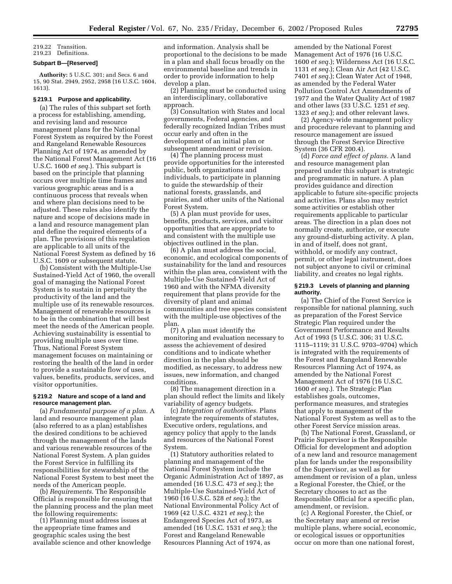219.22 Transition.

219.23 Definitions.

#### **Subpart B—[Reserved]**

**Authority:** 5 U.S.C. 301; and Secs. 6 and 15, 90 Stat. 2949, 2952, 2958 (16 U.S.C. 1604, 1613).

#### **§ 219.1 Purpose and applicability.**

(a) The rules of this subpart set forth a process for establishing, amending, and revising land and resource management plans for the National Forest System as required by the Forest and Rangeland Renewable Resources Planning Act of 1974, as amended by the National Forest Management Act (16 U.S.C. 1600 *et seq.*). This subpart is based on the principle that planning occurs over multiple time frames and various geographic areas and is a continuous process that reveals when and where plan decisions need to be adjusted. These rules also identify the nature and scope of decisions made in a land and resource management plan and define the required elements of a plan. The provisions of this regulation are applicable to all units of the National Forest System as defined by 16 U.S.C. 1609 or subsequent statute.

(b) Consistent with the Multiple-Use Sustained-Yield Act of 1960, the overall goal of managing the National Forest System is to sustain in perpetuity the productivity of the land and the multiple use of its renewable resources. Management of renewable resources is to be in the combination that will best meet the needs of the American people. Achieving sustainability is essential to providing multiple uses over time. Thus, National Forest System management focuses on maintaining or restoring the health of the land in order to provide a sustainable flow of uses, values, benefits, products, services, and visitor opportunities.

#### **§ 219.2 Nature and scope of a land and resource management plan.**

(a) *Fundamental purpose of a plan.* A land and resource management plan (also referred to as a plan) establishes the desired conditions to be achieved through the management of the lands and various renewable resources of the National Forest System. A plan guides the Forest Service in fulfilling its responsibilities for stewardship of the National Forest System to best meet the needs of the American people.

(b) *Requirements.* The Responsible Official is responsible for ensuring that the planning process and the plan meet the following requirements:

(1) Planning must address issues at the appropriate time frames and geographic scales using the best available science and other knowledge and information. Analysis shall be proportional to the decisions to be made in a plan and shall focus broadly on the environmental baseline and trends in order to provide information to help develop a plan.

(2) Planning must be conducted using an interdisciplinary, collaborative approach.

(3) Consultation with States and local governments, Federal agencies, and federally recognized Indian Tribes must occur early and often in the development of an initial plan or subsequent amendment or revision.

(4) The planning process must provide opportunities for the interested public, both organizations and individuals, to participate in planning to guide the stewardship of their national forests, grasslands, and prairies, and other units of the National Forest System.

(5) A plan must provide for uses, benefits, products, services, and visitor opportunities that are appropriate to and consistent with the multiple use objectives outlined in the plan.

(6) A plan must address the social, economic, and ecological components of sustainability for the land and resources within the plan area, consistent with the Multiple-Use Sustained-Yield Act of 1960 and with the NFMA diversity requirement that plans provide for the diversity of plant and animal communities and tree species consistent with the multiple-use objectives of the plan.

(7) A plan must identify the monitoring and evaluation necessary to assess the achievement of desired conditions and to indicate whether direction in the plan should be modified, as necessary, to address new issues, new information, and changed conditions.

(8) The management direction in a plan should reflect the limits and likely variability of agency budgets.

(c) *Integration of authorities.* Plans integrate the requirements of statutes, Executive orders, regulations, and agency policy that apply to the lands and resources of the National Forest System.

(1) Statutory authorities related to planning and management of the National Forest System include the Organic Administration Act of 1897, as amended (16 U.S.C. 473 *et seq.*); the Multiple-Use Sustained-Yield Act of 1960 (16 U.S.C. 528 *et seq.*); the National Environmental Policy Act of 1969 (42 U.S.C. 4321 *et seq.*); the Endangered Species Act of 1973, as amended (16 U.S.C. 1531 *et seq.*); the Forest and Rangeland Renewable Resources Planning Act of 1974, as

amended by the National Forest Management Act of 1976 (16 U.S.C. 1600 *et seq.*); Wilderness Act (16 U.S.C. 1131 *et seq.*); Clean Air Act (42 U.S.C. 7401 *et seq.*); Clean Water Act of 1948, as amended by the Federal Water Pollution Control Act Amendments of 1977 and the Water Quality Act of 1987 and other laws (33 U.S.C. 1251 *et seq.* 1323 *et seq.*); and other relevant laws.

(2) Agency-wide management policy and procedure relevant to planning and resource management are issued through the Forest Service Directive System (36 CFR 200.4).

(d) *Force and effect of plans.* A land and resource management plan prepared under this subpart is strategic and programmatic in nature. A plan provides guidance and direction applicable to future site-specific projects and activities. Plans also may restrict some activities or establish other requirements applicable to particular areas. The direction in a plan does not normally create, authorize, or execute any ground-disturbing activity. A plan, in and of itself, does not grant, withhold, or modify any contract, permit, or other legal instrument, does not subject anyone to civil or criminal liability, and creates no legal rights.

#### **§ 219.3 Levels of planning and planning authority.**

(a) The Chief of the Forest Service is responsible for national planning, such as preparation of the Forest Service Strategic Plan required under the Government Performance and Results Act of 1993 (5 U.S.C. 306; 31 U.S.C. 1115–1119; 31 U.S.C. 9703–9704) which is integrated with the requirements of the Forest and Rangeland Renewable Resources Planning Act of 1974, as amended by the National Forest Management Act of 1976 (16 U.S.C. 1600 *et seq.*). The Strategic Plan establishes goals, outcomes, performance measures, and strategies that apply to management of the National Forest System as well as to the other Forest Service mission areas.

(b) The National Forest, Grassland, or Prairie Supervisor is the Responsible Official for development and adoption of a new land and resource management plan for lands under the responsibility of the Supervisor, as well as for amendment or revision of a plan, unless a Regional Forester, the Chief, or the Secretary chooses to act as the Responsible Official for a specific plan, amendment, or revision.

(c) A Regional Forester, the Chief, or the Secretary may amend or revise multiple plans, where social, economic, or ecological issues or opportunities occur on more than one national forest,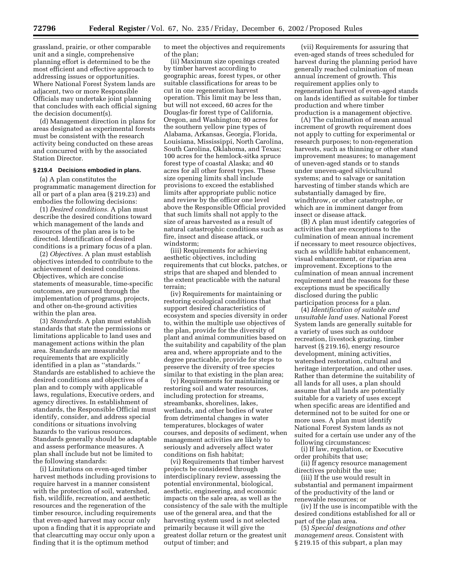grassland, prairie, or other comparable unit and a single, comprehensive planning effort is determined to be the most efficient and effective approach to addressing issues or opportunities. Where National Forest System lands are adjacent, two or more Responsible Officials may undertake joint planning that concludes with each official signing the decision document(s).

(d) Management direction in plans for areas designated as experimental forests must be consistent with the research activity being conducted on these areas and concurred with by the associated Station Director.

#### **§ 219.4 Decisions embodied in plans.**

(a) A plan constitutes the programmatic management direction for all or part of a plan area (§ 219.23) and embodies the following decisions:

(1) *Desired conditions.* A plan must describe the desired conditions toward which management of the lands and resources of the plan area is to be directed. Identification of desired conditions is a primary focus of a plan.

(2) *Objectives.* A plan must establish objectives intended to contribute to the achievement of desired conditions. Objectives, which are concise statements of measurable, time-specific outcomes, are pursued through the implementation of programs, projects, and other on-the-ground activities within the plan area.

(3) *Standards.* A plan must establish standards that state the permissions or limitations applicable to land uses and management actions within the plan area. Standards are measurable requirements that are explicitly identified in a plan as ''standards.'' Standards are established to achieve the desired conditions and objectives of a plan and to comply with applicable laws, regulations, Executive orders, and agency directives. In establishment of standards, the Responsible Official must identify, consider, and address special conditions or situations involving hazards to the various resources. Standards generally should be adaptable and assess performance measures. A plan shall include but not be limited to the following standards:

(i) Limitations on even-aged timber harvest methods including provisions to require harvest in a manner consistent with the protection of soil, watershed, fish, wildlife, recreation, and aesthetic resources and the regeneration of the timber resource, including requirements that even-aged harvest may occur only upon a finding that it is appropriate and that clearcutting may occur only upon a finding that it is the optimum method

to meet the objectives and requirements of the plan;

(ii) Maximum size openings created by timber harvest according to geographic areas, forest types, or other suitable classifications for areas to be cut in one regeneration harvest operation. This limit may be less than, but will not exceed, 60 acres for the Douglas-fir forest type of California, Oregon, and Washington; 80 acres for the southern yellow pine types of Alabama, Arkansas, Georgia, Florida, Louisiana, Mississippi, North Carolina, South Carolina, Oklahoma, and Texas; 100 acres for the hemlock-sitka spruce forest type of coastal Alaska; and 40 acres for all other forest types. These size opening limits shall include provisions to exceed the established limits after appropriate public notice and review by the officer one level above the Responsible Official provided that such limits shall not apply to the size of areas harvested as a result of natural catastrophic conditions such as fire, insect and disease attack, or windstorm;

(iii) Requirements for achieving aesthetic objectives, including requirements that cut blocks, patches, or strips that are shaped and blended to the extent practicable with the natural terrain;

(iv) Requirements for maintaining or restoring ecological conditions that support desired characteristics of ecosystem and species diversity in order to, within the multiple use objectives of the plan, provide for the diversity of plant and animal communities based on the suitability and capability of the plan area and, where appropriate and to the degree practicable, provide for steps to preserve the diversity of tree species similar to that existing in the plan area;

(v) Requirements for maintaining or restoring soil and water resources, including protection for streams, streambanks, shorelines, lakes, wetlands, and other bodies of water from detrimental changes in water temperatures, blockages of water courses, and deposits of sediment, when management activities are likely to seriously and adversely affect water conditions on fish habitat;

(vi) Requirements that timber harvest projects be considered through interdisciplinary review, assessing the potential environmental, biological, aesthetic, engineering, and economic impacts on the sale area, as well as the consistency of the sale with the multiple use of the general area, and that the harvesting system used is not selected primarily because it will give the greatest dollar return or the greatest unit output of timber; and

(vii) Requirements for assuring that even-aged stands of trees scheduled for harvest during the planning period have generally reached culmination of mean annual increment of growth. This requirement applies only to regeneration harvest of even-aged stands on lands identified as suitable for timber production and where timber production is a management objective.

(A) The culmination of mean annual increment of growth requirement does not apply to cutting for experimental or research purposes; to non-regeneration harvests, such as thinning or other stand improvement measures; to management of uneven-aged stands or to stands under uneven-aged silvicultural systems; and to salvage or sanitation harvesting of timber stands which are substantially damaged by fire, windthrow, or other catastrophe, or which are in imminent danger from insect or disease attack.

(B) A plan must identify categories of activities that are exceptions to the culmination of mean annual increment if necessary to meet resource objectives, such as wildlife habitat enhancement, visual enhancement, or riparian area improvement. Exceptions to the culmination of mean annual increment requirement and the reasons for these exceptions must be specifically disclosed during the public participation process for a plan.

(4) *Identification of suitable and unsuitable land uses.* National Forest System lands are generally suitable for a variety of uses such as outdoor recreation, livestock grazing, timber harvest (§ 219.16), energy resource development, mining activities, watershed restoration, cultural and heritage interpretation, and other uses. Rather than determine the suitability of all lands for all uses, a plan should assume that all lands are potentially suitable for a variety of uses except when specific areas are identified and determined not to be suited for one or more uses. A plan must identify National Forest System lands as not suited for a certain use under any of the following circumstances:

(i) If law, regulation, or Executive order prohibits that use;

(ii) If agency resource management directives prohibit the use;

(iii) If the use would result in substantial and permanent impairment of the productivity of the land or renewable resources; or

(iv) If the use is incompatible with the desired conditions established for all or part of the plan area.

(5) *Special designations and other management areas.* Consistent with § 219.15 of this subpart, a plan may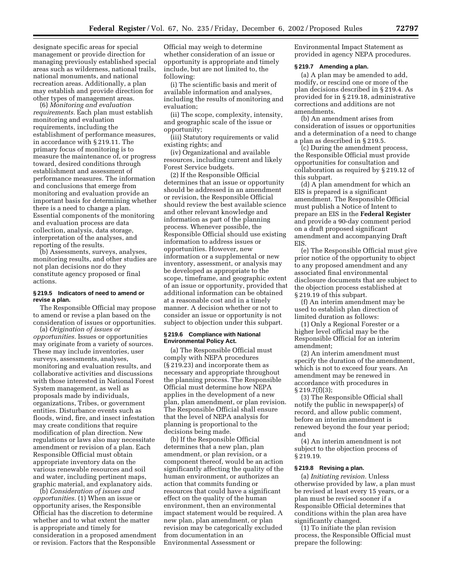designate specific areas for special management or provide direction for managing previously established special areas such as wilderness, national trails, national monuments, and national recreation areas. Additionally, a plan may establish and provide direction for other types of management areas.

(6) *Monitoring and evaluation requirements.* Each plan must establish monitoring and evaluation requirements, including the establishment of performance measures, in accordance with § 219.11. The primary focus of monitoring is to measure the maintenance of, or progress toward, desired conditions through establishment and assessment of performance measures. The information and conclusions that emerge from monitoring and evaluation provide an important basis for determining whether there is a need to change a plan. Essential components of the monitoring and evaluation process are data collection, analysis, data storage, interpretation of the analyses, and reporting of the results.

(b) Assessments, surveys, analyses, monitoring results, and other studies are not plan decisions nor do they constitute agency proposed or final actions.

#### **§ 219.5 Indicators of need to amend or revise a plan.**

The Responsible Official may propose to amend or revise a plan based on the consideration of issues or opportunities.

(a) *Origination of issues or opportunities.* Issues or opportunities may originate from a variety of sources. These may include inventories, user surveys, assessments, analyses, monitoring and evaluation results, and collaborative activities and discussions with those interested in National Forest System management, as well as proposals made by individuals, organizations, Tribes, or government entities. Disturbance events such as floods, wind, fire, and insect infestation may create conditions that require modification of plan direction. New regulations or laws also may necessitate amendment or revision of a plan. Each Responsible Official must obtain appropriate inventory data on the various renewable resources and soil and water, including pertinent maps, graphic material, and explanatory aids.

(b) *Consideration of issues and opportunities.* (1) When an issue or opportunity arises, the Responsible Official has the discretion to determine whether and to what extent the matter is appropriate and timely for consideration in a proposed amendment or revision. Factors that the Responsible

Official may weigh to determine whether consideration of an issue or opportunity is appropriate and timely include, but are not limited to, the following:

(i) The scientific basis and merit of available information and analyses, including the results of monitoring and evaluation;

(ii) The scope, complexity, intensity, and geographic scale of the issue or opportunity;

(iii) Statutory requirements or valid existing rights; and

(iv) Organizational and available resources, including current and likely Forest Service budgets.

(2) If the Responsible Official determines that an issue or opportunity should be addressed in an amendment or revision, the Responsible Official should review the best available science and other relevant knowledge and information as part of the planning process. Whenever possible, the Responsible Official should use existing information to address issues or opportunities. However, new information or a supplemental or new inventory, assessment, or analysis may be developed as appropriate to the scope, timeframe, and geographic extent of an issue or opportunity, provided that additional information can be obtained at a reasonable cost and in a timely manner. A decision whether or not to consider an issue or opportunity is not subject to objection under this subpart.

#### **§ 219.6 Compliance with National Environmental Policy Act.**

(a) The Responsible Official must comply with NEPA procedures (§ 219.23) and incorporate them as necessary and appropriate throughout the planning process. The Responsible Official must determine how NEPA applies in the development of a new plan, plan amendment, or plan revision. The Responsible Official shall ensure that the level of NEPA analysis for planning is proportional to the decisions being made.

(b) If the Responsible Official determines that a new plan, plan amendment, or plan revision, or a component thereof, would be an action significantly affecting the quality of the human environment, or authorizes an action that commits funding or resources that could have a significant effect on the quality of the human environment, then an environmental impact statement would be required. A new plan, plan amendment, or plan revision may be categorically excluded from documentation in an Environmental Assessment or

Environmental Impact Statement as provided in agency NEPA procedures.

#### **§ 219.7 Amending a plan.**

(a) A plan may be amended to add, modify, or rescind one or more of the plan decisions described in § 219.4. As provided for in § 219.18, administrative corrections and additions are not amendments.

(b) An amendment arises from consideration of issues or opportunities and a determination of a need to change a plan as described in § 219.5.

(c) During the amendment process, the Responsible Official must provide opportunities for consultation and collaboration as required by § 219.12 of this subpart.

(d) A plan amendment for which an EIS is prepared is a significant amendment. The Responsible Official must publish a Notice of Intent to prepare an EIS in the **Federal Register** and provide a 90-day comment period on a draft proposed significant amendment and accompanying Draft **EIS** 

(e) The Responsible Official must give prior notice of the opportunity to object to any proposed amendment and any associated final environmental disclosure documents that are subject to the objection process established at § 219.19 of this subpart.

(f) An interim amendment may be used to establish plan direction of limited duration as follows:

(1) Only a Regional Forester or a higher level official may be the Responsible Official for an interim amendment;

(2) An interim amendment must specify the duration of the amendment, which is not to exceed four years. An amendment may be renewed in accordance with procedures in  $\S 219.7(f)(3);$ 

(3) The Responsible Official shall notify the public in newspaper(s) of record, and allow public comment, before an interim amendment is renewed beyond the four year period; and

(4) An interim amendment is not subject to the objection process of § 219.19.

#### **§ 219.8 Revising a plan.**

(a) *Initiating revision.* Unless otherwise provided by law, a plan must be revised at least every 15 years, or a plan must be revised sooner if a Responsible Official determines that conditions within the plan area have significantly changed.

(1) To initiate the plan revision process, the Responsible Official must prepare the following: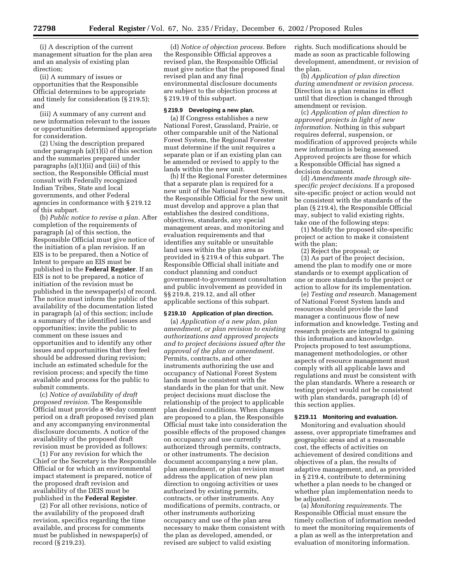(i) A description of the current management situation for the plan area and an analysis of existing plan direction;

(ii) A summary of issues or opportunities that the Responsible Official determines to be appropriate and timely for consideration (§ 219.5); and

(iii) A summary of any current and new information relevant to the issues or opportunities determined appropriate for consideration.

(2) Using the description prepared under paragraph (a)(1)(i) of this section and the summaries prepared under paragraphs (a)(1)(ii) and (iii) of this section, the Responsible Official must consult with Federally recognized Indian Tribes, State and local governments, and other Federal agencies in conformance with § 219.12 of this subpart.

(b) *Public notice to revise a plan.* After completion of the requirements of paragraph (a) of this section, the Responsible Official must give notice of the initiation of a plan revision. If an EIS is to be prepared, then a Notice of Intent to prepare an EIS must be published in the **Federal Register**. If an EIS is not to be prepared, a notice of initiation of the revision must be published in the newspaper(s) of record. The notice must inform the public of the availability of the documentation listed in paragraph (a) of this section; include a summary of the identified issues and opportunities; invite the public to comment on these issues and opportunities and to identify any other issues and opportunities that they feel should be addressed during revision; include an estimated schedule for the revision process; and specify the time available and process for the public to submit comments.

(c) *Notice of availability of draft proposed revision.* The Responsible Official must provide a 90-day comment period on a draft proposed revised plan and any accompanying environmental disclosure documents. A notice of the availability of the proposed draft revision must be provided as follows:

(1) For any revision for which the Chief or the Secretary is the Responsible Official or for which an environmental impact statement is prepared, notice of the proposed draft revision and availability of the DEIS must be published in the **Federal Register**.

(2) For all other revisions, notice of the availability of the proposed draft revision, specifics regarding the time available, and process for comments must be published in newspaper(s) of record (§ 219.23).

(d) *Notice of objection process.* Before the Responsible Official approves a revised plan, the Responsible Official must give notice that the proposed final revised plan and any final environmental disclosure documents are subject to the objection process at § 219.19 of this subpart.

#### **§ 219.9 Developing a new plan.**

(a) If Congress establishes a new National Forest, Grassland, Prairie, or other comparable unit of the National Forest System, the Regional Forester must determine if the unit requires a separate plan or if an existing plan can be amended or revised to apply to the lands within the new unit.

(b) If the Regional Forester determines that a separate plan is required for a new unit of the National Forest System, the Responsible Official for the new unit must develop and approve a plan that establishes the desired conditions, objectives, standards, any special management areas, and monitoring and evaluation requirements and that identifies any suitable or unsuitable land uses within the plan area as provided in § 219.4 of this subpart. The Responsible Official shall initiate and conduct planning and conduct government-to-government consultation and public involvement as provided in §§ 219.8, 219.12, and all other applicable sections of this subpart.

#### **§ 219.10 Application of plan direction.**

(a) *Application of a new plan, plan amendment, or plan revision to existing authorizations and approved projects and to project decisions issued after the approval of the plan or amendment.* Permits, contracts, and other instruments authorizing the use and occupancy of National Forest System lands must be consistent with the standards in the plan for that unit. New project decisions must disclose the relationship of the project to applicable plan desired conditions. When changes are proposed to a plan, the Responsible Official must take into consideration the possible effects of the proposed changes on occupancy and use currently authorized through permits, contracts, or other instruments. The decision document accompanying a new plan, plan amendment, or plan revision must address the application of new plan direction to ongoing activities or uses authorized by existing permits, contracts, or other instruments. Any modifications of permits, contracts, or other instruments authorizing occupancy and use of the plan area necessary to make them consistent with the plan as developed, amended, or revised are subject to valid existing

rights. Such modifications should be made as soon as practicable following development, amendment, or revision of the plan.

(b) *Application of plan direction during amendment or revision process.* Direction in a plan remains in effect until that direction is changed through amendment or revision.

(c) *Application of plan direction to approved projects in light of new information.* Nothing in this subpart requires deferral, suspension, or modification of approved projects while new information is being assessed. Approved projects are those for which a Responsible Official has signed a decision document.

(d) *Amendments made through sitespecific project decisions.* If a proposed site-specific project or action would not be consistent with the standards of the plan (§ 219.4), the Responsible Official may, subject to valid existing rights, take one of the following steps:

(1) Modify the proposed site-specific project or action to make it consistent with the plan;

(2) Reject the proposal; or

(3) As part of the project decision, amend the plan to modify one or more standards or to exempt application of one or more standards to the project or action to allow for its implementation.

(e) *Testing and research.* Management of National Forest System lands and resources should provide the land manager a continuous flow of new information and knowledge. Testing and research projects are integral to gaining this information and knowledge. Projects proposed to test assumptions, management methodologies, or other aspects of resource management must comply with all applicable laws and regulations and must be consistent with the plan standards. Where a research or testing project would not be consistent with plan standards, paragraph (d) of this section applies.

#### **§ 219.11 Monitoring and evaluation.**

Monitoring and evaluation should assess, over appropriate timeframes and geographic areas and at a reasonable cost, the effects of activities on achievement of desired conditions and objectives of a plan, the results of adaptive management, and, as provided in § 219.4, contribute to determining whether a plan needs to be changed or whether plan implementation needs to be adjusted.

(a) *Monitoring requirements.* The Responsible Official must ensure the timely collection of information needed to meet the monitoring requirements of a plan as well as the interpretation and evaluation of monitoring information.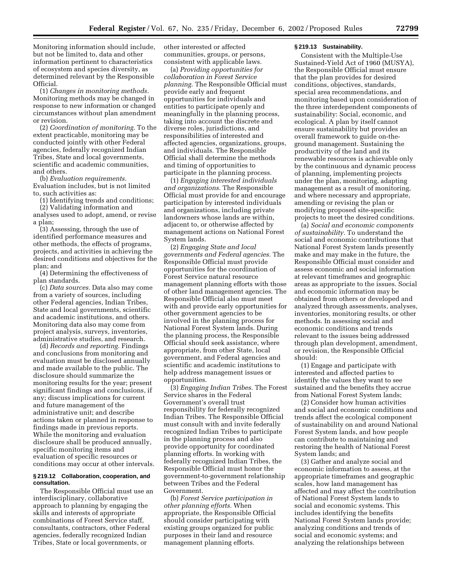Monitoring information should include, but not be limited to, data and other information pertinent to characteristics of ecosystem and species diversity, as determined relevant by the Responsible Official.

(1) *Changes in monitoring methods.* Monitoring methods may be changed in response to new information or changed circumstances without plan amendment or revision.

(2) *Coordination of monitoring.* To the extent practicable, monitoring may be conducted jointly with other Federal agencies, federally recognized Indian Tribes, State and local governments, scientific and academic communities, and others.

(b) *Evaluation requirements.* Evaluation includes, but is not limited to, such activities as:

(1) Identifying trends and conditions;

(2) Validating information and analyses used to adopt, amend, or revise a plan;

(3) Assessing, through the use of identified performance measures and other methods, the effects of programs, projects, and activities in achieving the desired conditions and objectives for the plan; and

(4) Determining the effectiveness of plan standards.

(c) *Data sources.* Data also may come from a variety of sources, including other Federal agencies, Indian Tribes, State and local governments, scientific and academic institutions, and others. Monitoring data also may come from project analysis, surveys, inventories, administrative studies, and research.

(d) *Records and reporting.* Findings and conclusions from monitoring and evaluation must be disclosed annually and made available to the public. The disclosure should summarize the monitoring results for the year; present significant findings and conclusions, if any; discuss implications for current and future management of the administrative unit; and describe actions taken or planned in response to findings made in previous reports. While the monitoring and evaluation disclosure shall be produced annually, specific monitoring items and evaluation of specific resources or conditions may occur at other intervals.

#### **§ 219.12 Collaboration, cooperation, and consultation.**

The Responsible Official must use an interdisciplinary, collaborative approach to planning by engaging the skills and interests of appropriate combinations of Forest Service staff, consultants, contractors, other Federal agencies, federally recognized Indian Tribes, State or local governments, or

other interested or affected communities, groups, or persons, consistent with applicable laws.

(a) *Providing opportunities for collaboration in Forest Service planning.* The Responsible Official must provide early and frequent opportunities for individuals and entities to participate openly and meaningfully in the planning process, taking into account the discrete and diverse roles, jurisdictions, and responsibilities of interested and affected agencies, organizations, groups, and individuals. The Responsible Official shall determine the methods and timing of opportunities to participate in the planning process.

(1) *Engaging interested individuals and organizations.* The Responsible Official must provide for and encourage participation by interested individuals and organizations, including private landowners whose lands are within, adjacent to, or otherwise affected by management actions on National Forest System lands.

(2) *Engaging State and local governments and Federal agencies.* The Responsible Official must provide opportunities for the coordination of Forest Service natural resource management planning efforts with those of other land management agencies. The Responsible Official also must meet with and provide early opportunities for other government agencies to be involved in the planning process for National Forest System lands. During the planning process, the Responsible Official should seek assistance, where appropriate, from other State, local government, and Federal agencies and scientific and academic institutions to help address management issues or opportunities.

(3) *Engaging Indian Tribes.* The Forest Service shares in the Federal Government's overall trust responsibility for federally recognized Indian Tribes. The Responsible Official must consult with and invite federally recognized Indian Tribes to participate in the planning process and also provide opportunity for coordinated planning efforts. In working with federally recognized Indian Tribes, the Responsible Official must honor the government-to-government relationship between Tribes and the Federal Government.

(b) *Forest Service participation in other planning efforts.* When appropriate, the Responsible Official should consider participating with existing groups organized for public purposes in their land and resource management planning efforts.

#### **§ 219.13 Sustainability.**

Consistent with the Multiple-Use Sustained-Yield Act of 1960 (MUSYA), the Responsible Official must ensure that the plan provides for desired conditions, objectives, standards, special area recommendations, and monitoring based upon consideration of the three interdependent components of sustainability: Social, economic, and ecological. A plan by itself cannot ensure sustainability but provides an overall framework to guide on-theground management. Sustaining the productivity of the land and its renewable resources is achievable only by the continuous and dynamic process of planning, implementing projects under the plan, monitoring, adapting management as a result of monitoring, and where necessary and appropriate, amending or revising the plan or modifying proposed site-specific projects to meet the desired conditions.

(a) *Social and economic components of sustainability.* To understand the social and economic contributions that National Forest System lands presently make and may make in the future, the Responsible Official must consider and assess economic and social information at relevant timeframes and geographic areas as appropriate to the issues. Social and economic information may be obtained from others or developed and analyzed through assessments, analyses, inventories, monitoring results, or other methods. In assessing social and economic conditions and trends relevant to the issues being addressed through plan development, amendment, or revision, the Responsible Official should:

(1) Engage and participate with interested and affected parties to identify the values they want to see sustained and the benefits they accrue from National Forest System lands;

(2) Consider how human activities and social and economic conditions and trends affect the ecological component of sustainability on and around National Forest System lands, and how people can contribute to maintaining and restoring the health of National Forest System lands; and

(3) Gather and analyze social and economic information to assess, at the appropriate timeframes and geographic scales, how land management has affected and may affect the contribution of National Forest System lands to social and economic systems. This includes identifying the benefits National Forest System lands provide; analyzing conditions and trends of social and economic systems; and analyzing the relationships between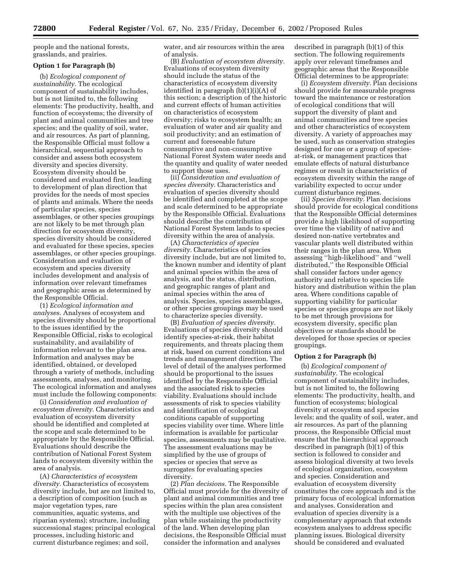people and the national forests, grasslands, and prairies.

#### **Option 1 for Paragraph (b)**

(b) *Ecological component of sustainability.* The ecological component of sustainability includes, but is not limited to, the following elements: The productivity, health, and function of ecosystems; the diversity of plant and animal communities and tree species; and the quality of soil, water, and air resources. As part of planning, the Responsible Official must follow a hierarchical, sequential approach to consider and assess both ecosystem diversity and species diversity. Ecosystem diversity should be considered and evaluated first, leading to development of plan direction that provides for the needs of most species of plants and animals. Where the needs of particular species, species assemblages, or other species groupings are not likely to be met through plan direction for ecosystem diversity, species diversity should be considered and evaluated for these species, species assemblages, or other species groupings. Consideration and evaluation of ecosystem and species diversity includes development and analysis of information over relevant timeframes and geographic areas as determined by the Responsible Official.

(1) *Ecological information and analyses.* Analyses of ecosystem and species diversity should be proportional to the issues identified by the Responsible Official, risks to ecological sustainability, and availability of information relevant to the plan area. Information and analyses may be identified, obtained, or developed through a variety of methods, including assessments, analyses, and monitoring. The ecological information and analyses must include the following components:

(i) *Consideration and evaluation of ecosystem diversity.* Characteristics and evaluation of ecosystem diversity should be identified and completed at the scope and scale determined to be appropriate by the Responsible Official. Evaluations should describe the contribution of National Forest System lands to ecosystem diversity within the area of analysis.

(A) *Characteristics of ecosystem diversity.* Characteristics of ecosystem diversity include, but are not limited to, a description of composition (such as major vegetation types, rare communities, aquatic systems, and riparian systems); structure, including successional stages; principal ecological processes, including historic and current disturbance regimes; and soil,

water, and air resources within the area of analysis.

(B) *Evaluation of ecosystem diversity.* Evaluations of ecosystem diversity should include the status of the characteristics of ecosystem diversity identified in paragraph (b)(1)(i)(A) of this section; a description of the historic and current effects of human activities on characteristics of ecosystem diversity; risks to ecosystem health; an evaluation of water and air quality and soil productivity; and an estimation of current and foreseeable future consumptive and non-consumptive National Forest System water needs and the quantity and quality of water needed to support those uses.

(ii) *Consideration and evaluation of species diversity.* Characteristics and evaluation of species diversity should be identified and completed at the scope and scale determined to be appropriate by the Responsible Official. Evaluations should describe the contribution of National Forest System lands to species diversity within the area of analysis.

(A) *Characteristics of species diversity.* Characteristics of species diversity include, but are not limited to, the known number and identity of plant and animal species within the area of analysis, and the status, distribution, and geographic ranges of plant and animal species within the area of analysis. Species, species assemblages, or other species groupings may be used to characterize species diversity.

(B) *Evaluation of species diversity.* Evaluations of species diversity should identify species-at-risk, their habitat requirements, and threats placing them at risk, based on current conditions and trends and management direction. The level of detail of the analyses performed should be proportional to the issues identified by the Responsible Official and the associated risk to species viability. Evaluations should include assessments of risk to species viability and identification of ecological conditions capable of supporting species viability over time. Where little information is available for particular species, assessments may be qualitative. The assessment evaluations may be simplified by the use of groups of species or species that serve as surrogates for evaluating species diversity.

(2) *Plan decisions.* The Responsible Official must provide for the diversity of plant and animal communities and tree species within the plan area consistent with the multiple use objectives of the plan while sustaining the productivity of the land. When developing plan decisions, the Responsible Official must consider the information and analyses

described in paragraph (b)(1) of this section. The following requirements apply over relevant timeframes and geographic areas that the Responsible Official determines to be appropriate:

(i) *Ecosystem diversity.* Plan decisions should provide for measurable progress toward the maintenance or restoration of ecological conditions that will support the diversity of plant and animal communities and tree species and other characteristics of ecosystem diversity. A variety of approaches may be used, such as conservation strategies designed for one or a group of speciesat-risk, or management practices that emulate effects of natural disturbance regimes or result in characteristics of ecosystem diversity within the range of variability expected to occur under current disturbance regimes.

(ii) *Species diversity.* Plan decisions should provide for ecological conditions that the Responsible Official determines provide a high likelihood of supporting over time the viability of native and desired non-native vertebrates and vascular plants well distributed within their ranges in the plan area. When assessing ''high-likelihood'' and ''well distributed,'' the Responsible Official shall consider factors under agency authority and relative to species life history and distribution within the plan area. Where conditions capable of supporting viability for particular species or species groups are not likely to be met through provisions for ecosystem diversity, specific plan objectives or standards should be developed for those species or species groupings.

#### **Option 2 for Paragraph (b)**

(b) *Ecological component of sustainability.* The ecological component of sustainability includes, but is not limited to, the following elements: The productivity, health, and function of ecosystems; biological diversity at ecosystem and species levels; and the quality of soil, water, and air resources. As part of the planning process, the Responsible Official must ensure that the hierarchical approach described in paragraph (b)(1) of this section is followed to consider and assess biological diversity at two levels of ecological organization, ecosystem and species. Consideration and evaluation of ecosystem diversity constitutes the core approach and is the primary focus of ecological information and analyses. Consideration and evaluation of species diversity is a complementary approach that extends ecosystem analyses to address specific planning issues. Biological diversity should be considered and evaluated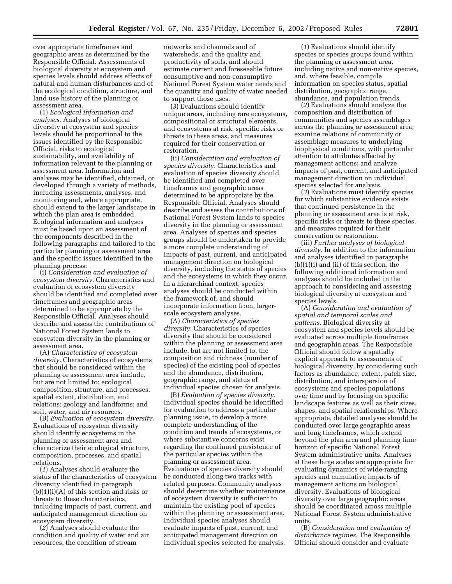over appropriate timeframes and geographic areas as determined by the Responsible Official. Assessments of biological diversity at ecosystem and species levels should address effects of natural and human disturbances and of the ecological condition, structure, and land use history of the planning or assessment area.

(1) *Ecological information and analyses.* Analyses of biological diversity at ecosystem and species levels should be proportional to the issues identified by the Responsible Official, risks to ecological sustainability, and availability of information relevant to the planning or assessment area. Information and analyses may be identified, obtained, or developed through a variety of methods, including assessments, analyses, and monitoring and, where appropriate, should extend to the larger landscape in which the plan area is embedded. Ecological information and analyses must be based upon an assessment of the components described in the following paragraphs and tailored to the particular planning or assessment area and the specific issues identified in the planning process:

(i) *Consideration and evaluation of ecosystem diversity.* Characteristics and evaluation of ecosystem diversity should be identified and completed over timeframes and geographic areas determined to be appropriate by the Responsible Official. Analyses should describe and assess the contributions of National Forest System lands to ecosystem diversity in the planning or assessment area.

(A) *Characteristics of ecosystem diversity.* Characteristics of ecosystems that should be considered within the planning or assessment area include, but are not limited to: ecological composition, structure, and processes; spatial extent, distribution, and relations; geology and landforms; and soil, water, and air resources.

(B) *Evaluation of ecosystem diversity.* Evaluations of ecosystem diversity should identify ecosystems in the planning or assessment area and characterize their ecological structure, composition, processes, and spatial relations.

(*1*) Analyses should evaluate the status of the characteristics of ecosystem diversity identified in paragraph  $(b)(1)(i)(A)$  of this section and risks or threats to these characteristics, including impacts of past, current, and anticipated management direction on ecosystem diversity.

(*2*) Analyses should evaluate the condition and quality of water and air resources, the condition of stream

networks and channels and of watersheds, and the quality and productivity of soils, and should estimate current and foreseeable future consumptive and non-consumptive National Forest System water needs and the quantity and quality of water needed to support those uses.

(*3*) Evaluations should identify unique areas, including rare ecosystems, compositional or structural elements, and ecosystems at risk, specific risks or threats to these areas, and measures required for their conservation or restoration.

(ii) *Consideration and evaluation of species diversity.* Characteristics and evaluation of species diversity should be identified and completed over timeframes and geographic areas determined to be appropriate by the Responsible Official. Analyses should describe and assess the contributions of National Forest System lands to species diversity in the planning or assessment area. Analyses of species and species groups should be undertaken to provide a more complete understanding of impacts of past, current, and anticipated management direction on biological diversity, including the status of species and the ecosystems in which they occur. In a hierarchical context, species analyses should be conducted within the framework of, and should incorporate information from, largerscale ecosystem analyses.

(A) *Characteristics of species diversity.* Characteristics of species diversity that should be considered within the planning or assessment area include, but are not limited to, the composition and richness (number of species) of the existing pool of species and the abundance, distribution, geographic range, and status of individual species chosen for analysis.

(B) *Evaluation of species diversity.* Individual species should be identified for evaluation to address a particular planning issue, to develop a more complete understanding of the condition and trends of ecosystems, or where substantive concerns exist regarding the continued persistence of the particular species within the planning or assessment area. Evaluations of species diversity should be conducted along two tracks with related purposes. Community analyses should determine whether maintenance of ecosystem diversity is sufficient to maintain the existing pool of species within the planning or assessment area. Individual species analyses should evaluate impacts of past, current, and anticipated management direction on individual species selected for analysis.

(*1*) Evaluations should identify species or species groups found within the planning or assessment area, including native and non-native species, and, where feasible, compile information on species status, spatial distribution, geographic range, abundance, and population trends.

(*2*) Evaluations should analyze the composition and distribution of communities and species assemblages across the planning or assessment area; examine relations of community or assemblage measures to underlying biophysical conditions, with particular attention to attributes affected by management actions; and analyze impacts of past, current, and anticipated management direction on individual species selected for analysis.

(*3*) Evaluations must identify species for which substantive evidence exists that continued persistence in the planning or assessment area is at risk, specific risks or threats to these species, and measures required for their conservation or restoration.

(iii) *Further analyses of biological diversity.* In addition to the information and analyses identified in paragraphs (b)(1)(i) and (ii) of this section, the following additional information and analyses should be included in the approach to considering and assessing biological diversity at ecosystem and species levels.

(A) *Consideration and evaluation of spatial and temporal scales and patterns.* Biological diversity at ecosystem and species levels should be evaluated across multiple timeframes and geographic areas. The Responsible Official should follow a spatially explicit approach to assessments of biological diversity, by considering such factors as abundance, extent, patch size, distribution, and interspersion of ecosystems and species populations over time and by focusing on specific landscape features as well as their sizes, shapes, and spatial relationships. Where appropriate, detailed analyses should be conducted over large geographic areas and long timeframes, which extend beyond the plan area and planning time horizon of specific National Forest System administrative units. Analyses at these large scales are appropriate for evaluating dynamics of wide-ranging species and cumulative impacts of management actions on biological diversity. Evaluations of biological diversity over large geographic areas should be coordinated across multiple National Forest System administrative units.

(B) *Consideration and evaluation of disturbance regimes.* The Responsible Official should consider and evaluate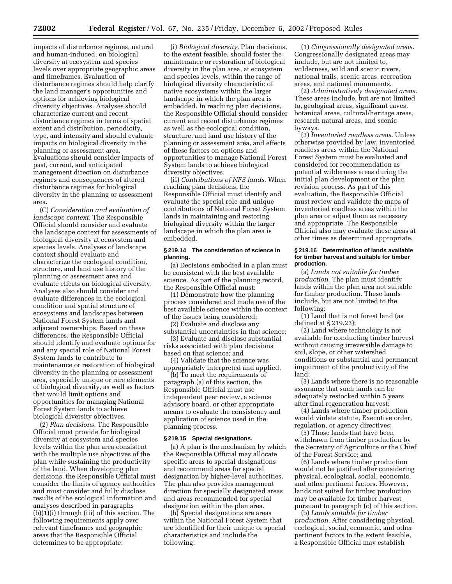impacts of disturbance regimes, natural and human-induced, on biological diversity at ecosystem and species levels over appropriate geographic areas and timeframes. Evaluation of disturbance regimes should help clarify the land manager's opportunities and options for achieving biological diversity objectives. Analyses should characterize current and recent disturbance regimes in terms of spatial extent and distribution, periodicity, type, and intensity and should evaluate impacts on biological diversity in the planning or assessment area. Evaluations should consider impacts of past, current, and anticipated management direction on disturbance regimes and consequences of altered disturbance regimes for biological diversity in the planning or assessment area.

(C) *Consideration and evaluation of landscape context.* The Responsible Official should consider and evaluate the landscape context for assessments of biological diversity at ecosystem and species levels. Analyses of landscape context should evaluate and characterize the ecological condition, structure, and land use history of the planning or assessment area and evaluate effects on biological diversity. Analyses also should consider and evaluate differences in the ecological condition and spatial structure of ecosystems and landscapes between National Forest System lands and adjacent ownerships. Based on these differences, the Responsible Official should identify and evaluate options for and any special role of National Forest System lands to contribute to maintenance or restoration of biological diversity in the planning or assessment area, especially unique or rare elements of biological diversity, as well as factors that would limit options and opportunities for managing National Forest System lands to achieve biological diversity objectives.

(2) *Plan decisions.* The Responsible Official must provide for biological diversity at ecosystem and species levels within the plan area consistent with the multiple use objectives of the plan while sustaining the productivity of the land. When developing plan decisions, the Responsible Official must consider the limits of agency authorities and must consider and fully disclose results of the ecological information and analyses described in paragraphs (b)(1)(i) through (iii) of this section. The following requirements apply over relevant timeframes and geographic areas that the Responsible Official determines to be appropriate:

(i) *Biological diversity.* Plan decisions, to the extent feasible, should foster the maintenance or restoration of biological diversity in the plan area, at ecosystem and species levels, within the range of biological diversity characteristic of native ecosystems within the larger landscape in which the plan area is embedded. In reaching plan decisions, the Responsible Official should consider current and recent disturbance regimes as well as the ecological condition, structure, and land use history of the planning or assessment area, and effects of these factors on options and opportunities to manage National Forest System lands to achieve biological diversity objectives.

(ii) *Contributions of NFS lands.* When reaching plan decisions, the Responsible Official must identify and evaluate the special role and unique contributions of National Forest System lands in maintaining and restoring biological diversity within the larger landscape in which the plan area is embedded.

#### **§ 219.14 The consideration of science in planning.**

(a) Decisions embodied in a plan must be consistent with the best available science. As part of the planning record, the Responsible Official must:

(1) Demonstrate how the planning process considered and made use of the best available science within the context of the issues being considered;

(2) Evaluate and disclose any substantial uncertainties in that science;

(3) Evaluate and disclose substantial risks associated with plan decisions based on that science; and

(4) Validate that the science was appropriately interpreted and applied.

(b) To meet the requirements of paragraph (a) of this section, the Responsible Official must use independent peer review, a science advisory board, or other appropriate means to evaluate the consistency and application of science used in the planning process.

#### **§ 219.15 Special designations.**

(a) A plan is the mechanism by which the Responsible Official may allocate specific areas to special designations and recommend areas for special designation by higher-level authorities. The plan also provides management direction for specially designated areas and areas recommended for special designation within the plan area.

(b) Special designations are areas within the National Forest System that are identified for their unique or special characteristics and include the following:

(1) *Congressionally designated areas.* Congressionally designated areas may include, but are not limited to, wilderness, wild and scenic rivers, national trails, scenic areas, recreation areas, and national monuments.

(2) *Administratively designated areas.* These areas include, but are not limited to, geological areas, significant caves, botanical areas, cultural/heritage areas, research natural areas, and scenic byways.

(3) *Inventoried roadless areas.* Unless otherwise provided by law, inventoried roadless areas within the National Forest System must be evaluated and considered for recommendation as potential wilderness areas during the initial plan development or the plan revision process. As part of this evaluation, the Responsible Official must review and validate the maps of inventoried roadless areas within the plan area or adjust them as necessary and appropriate. The Responsible Official also may evaluate these areas at other times as determined appropriate.

#### **§ 219.16 Determination of lands available for timber harvest and suitable for timber production.**

(a) *Lands not suitable for timber production.* The plan must identify lands within the plan area not suitable for timber production. These lands include, but are not limited to the following:

(1) Land that is not forest land (as defined at § 219.23);

(2) Land where technology is not available for conducting timber harvest without causing irreversible damage to soil, slope, or other watershed conditions or substantial and permanent impairment of the productivity of the land;

(3) Lands where there is no reasonable assurance that such lands can be adequately restocked within 5 years after final regeneration harvest;

(4) Lands where timber production would violate statute, Executive order, regulation, or agency directives;

(5) Those lands that have been withdrawn from timber production by the Secretary of Agriculture or the Chief of the Forest Service; and

(6) Lands where timber production would not be justified after considering physical, ecological, social, economic, and other pertinent factors. However, lands not suited for timber production may be available for timber harvest pursuant to paragraph (c) of this section.

(b) *Lands suitable for timber production.* After considering physical, ecological, social, economic, and other pertinent factors to the extent feasible, a Responsible Official may establish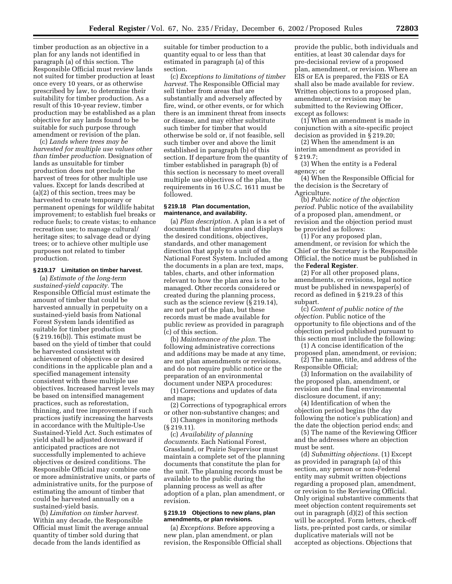timber production as an objective in a plan for any lands not identified in paragraph (a) of this section. The Responsible Official must review lands not suited for timber production at least once every 10 years, or as otherwise prescribed by law, to determine their suitability for timber production. As a result of this 10-year review, timber production may be established as a plan objective for any lands found to be suitable for such purpose through amendment or revision of the plan.

(c) *Lands where trees may be harvested for multiple use values other than timber production.* Designation of lands as unsuitable for timber production does not preclude the harvest of trees for other multiple use values. Except for lands described at (a)(2) of this section, trees may be harvested to create temporary or permanent openings for wildlife habitat improvement; to establish fuel breaks or reduce fuels; to create vistas; to enhance recreation use; to manage cultural/ heritage sites; to salvage dead or dying trees; or to achieve other multiple use purposes not related to timber production.

#### **§ 219.17 Limitation on timber harvest.**

(a) *Estimate of the long-term sustained-yield capacity.* The Responsible Official must estimate the amount of timber that could be harvested annually in perpetuity on a sustained-yield basis from National Forest System lands identified as suitable for timber production (§ 219.16(b)). This estimate must be based on the yield of timber that could be harvested consistent with achievement of objectives or desired conditions in the applicable plan and a specified management intensity consistent with these multiple use objectives. Increased harvest levels may be based on intensified management practices, such as reforestation, thinning, and tree improvement if such practices justify increasing the harvests in accordance with the Multiple-Use Sustained-Yield Act. Such estimates of yield shall be adjusted downward if anticipated practices are not successfully implemented to achieve objectives or desired conditions. The Responsible Official may combine one or more administrative units, or parts of administrative units, for the purpose of estimating the amount of timber that could be harvested annually on a sustained-yield basis.

(b) *Limitation on timber harvest.* Within any decade, the Responsible Official must limit the average annual quantity of timber sold during that decade from the lands identified as

suitable for timber production to a quantity equal to or less than that estimated in paragraph (a) of this section.

(c) *Exceptions to limitations of timber harvest.* The Responsible Official may sell timber from areas that are substantially and adversely affected by fire, wind, or other events, or for which there is an imminent threat from insects or disease, and may either substitute such timber for timber that would otherwise be sold or, if not feasible, sell such timber over and above the limit established in paragraph (b) of this section. If departure from the quantity of timber established in paragraph (b) of this section is necessary to meet overall multiple use objectives of the plan, the requirements in 16 U.S.C. 1611 must be followed.

#### **§ 219.18 Plan documentation, maintenance, and availability.**

(a) *Plan description.* A plan is a set of documents that integrates and displays the desired conditions, objectives, standards, and other management direction that apply to a unit of the National Forest System. Included among the documents in a plan are text, maps, tables, charts, and other information relevant to how the plan area is to be managed. Other records considered or created during the planning process, such as the science review (§ 219.14), are not part of the plan, but these records must be made available for public review as provided in paragraph (c) of this section.

(b) *Maintenance of the plan.* The following administrative corrections and additions may be made at any time, are not plan amendments or revisions, and do not require public notice or the preparation of an environmental document under NEPA procedures:

(1) Corrections and updates of data and maps;

(2) Corrections of typographical errors or other non-substantive changes; and

(3) Changes in monitoring methods (§ 219.11).

(c) *Availability of planning documents.* Each National Forest, Grassland, or Prairie Supervisor must maintain a complete set of the planning documents that constitute the plan for the unit. The planning records must be available to the public during the planning process as well as after adoption of a plan, plan amendment, or revision.

#### **§ 219.19 Objections to new plans, plan amendments, or plan revisions.**

(a) *Exceptions.* Before approving a new plan, plan amendment, or plan revision, the Responsible Official shall

provide the public, both individuals and entities, at least 30 calendar days for pre-decisional review of a proposed plan, amendment, or revision. Where an EIS or EA is prepared, the FEIS or EA shall also be made available for review. Written objections to a proposed plan, amendment, or revision may be submitted to the Reviewing Officer, except as follows:

(1) When an amendment is made in conjunction with a site-specific project decision as provided in § 219.20;

(2) When the amendment is an interim amendment as provided in § 219.7;

(3) When the entity is a Federal agency; or

(4) When the Responsible Official for the decision is the Secretary of Agriculture.

(b) *Public notice of the objection period.* Public notice of the availability of a proposed plan, amendment, or revision and the objection period must be provided as follows:

(1) For any proposed plan, amendment, or revision for which the Chief or the Secretary is the Responsible Official, the notice must be published in the **Federal Register**.

(2) For all other proposed plans, amendments, or revisions, legal notice must be published in newspaper(s) of record as defined in § 219.23 of this subpart.

(c) *Content of public notice of the objection.* Public notice of the opportunity to file objections and of the objection period published pursuant to this section must include the following:

(1) A concise identification of the proposed plan, amendment, or revision;

(2) The name, title, and address of the Responsible Official;

(3) Information on the availability of the proposed plan, amendment, or revision and the final environmental disclosure document, if any;

(4) Identification of when the objection period begins (the day following the notice's publication) and the date the objection period ends; and

(5) The name of the Reviewing Officer and the addresses where an objection must be sent.

(d) *Submitting objections.* (1) Except as provided in paragraph (a) of this section, any person or non-Federal entity may submit written objections regarding a proposed plan, amendment, or revision to the Reviewing Official. Only original substantive comments that meet objection content requirements set out in paragraph (d)(2) of this section will be accepted. Form letters, check-off lists, pre-printed post cards, or similar duplicative materials will not be accepted as objections. Objections that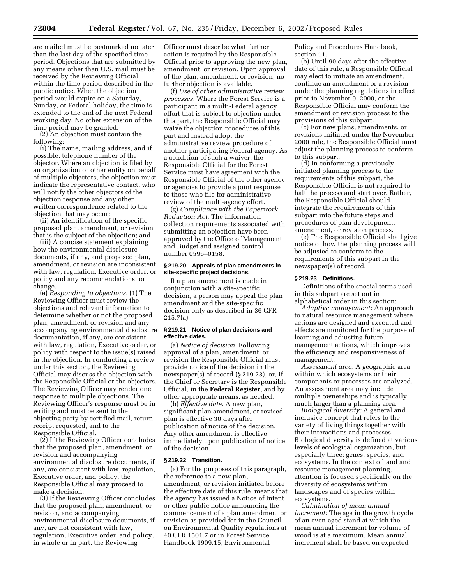are mailed must be postmarked no later than the last day of the specified time period. Objections that are submitted by any means other than U.S. mail must be received by the Reviewing Official within the time period described in the public notice. When the objection period would expire on a Saturday, Sunday, or Federal holiday, the time is extended to the end of the next Federal working day. No other extension of the time period may be granted.

(2) An objection must contain the following:

(i) The name, mailing address, and if possible, telephone number of the objector. Where an objection is filed by an organization or other entity on behalf of multiple objectors, the objection must indicate the representative contact, who will notify the other objectors of the objection response and any other written correspondence related to the objection that may occur;

(ii) An identification of the specific proposed plan, amendment, or revision that is the subject of the objection; and

(iii) A concise statement explaining how the environmental disclosure documents, if any, and proposed plan, amendment, or revision are inconsistent with law, regulation, Executive order, or policy and any recommendations for change.

(e) *Responding to objections.* (1) The Reviewing Officer must review the objections and relevant information to determine whether or not the proposed plan, amendment, or revision and any accompanying environmental disclosure documentation, if any, are consistent with law, regulation, Executive order, or policy with respect to the issue(s) raised in the objection. In conducting a review under this section, the Reviewing Official may discuss the objection with the Responsible Official or the objectors. The Reviewing Officer may render one response to multiple objections. The Reviewing Officer's response must be in writing and must be sent to the objecting party by certified mail, return receipt requested, and to the Responsible Official.

(2) If the Reviewing Officer concludes that the proposed plan, amendment, or revision and accompanying environmental disclosure documents, if any, are consistent with law, regulation, Executive order, and policy, the Responsible Official may proceed to make a decision.

(3) If the Reviewing Officer concludes that the proposed plan, amendment, or revision, and accompanying environmental disclosure documents, if any, are not consistent with law, regulation, Executive order, and policy, in whole or in part, the Reviewing

Officer must describe what further action is required by the Responsible Official prior to approving the new plan, amendment, or revision. Upon approval of the plan, amendment, or revision, no further objection is available.

(f) *Use of other administrative review processes.* Where the Forest Service is a participant in a multi-Federal agency effort that is subject to objection under this part, the Responsible Official may waive the objection procedures of this part and instead adopt the administrative review procedure of another participating Federal agency. As a condition of such a waiver, the Responsible Official for the Forest Service must have agreement with the Responsible Official of the other agency or agencies to provide a joint response to those who file for administrative review of the multi-agency effort.

(g) *Compliance with the Paperwork Reduction Act.* The information collection requirements associated with submitting an objection have been approved by the Office of Management and Budget and assigned control number 0596–0158.

#### **§ 219.20 Appeals of plan amendments in site-specific project decisions.**

If a plan amendment is made in conjunction with a site-specific decision, a person may appeal the plan amendment and the site-specific decision only as described in 36 CFR 215.7(a).

#### **§ 219.21 Notice of plan decisions and effective dates.**

(a) *Notice of decision.* Following approval of a plan, amendment, or revision the Responsible Official must provide notice of the decision in the newspaper(s) of record (§ 219.23), or, if the Chief or Secretary is the Responsible Official, in the **Federal Register**, and by other appropriate means, as needed.

(b) *Effective date.* A new plan, significant plan amendment, or revised plan is effective 30 days after publication of notice of the decision. Any other amendment is effective immediately upon publication of notice of the decision.

#### **§ 219.22 Transition.**

(a) For the purposes of this paragraph, the reference to a new plan, amendment, or revision initiated before the effective date of this rule, means that the agency has issued a Notice of Intent or other public notice announcing the commencement of a plan amendment or revision as provided for in the Council on Environmental Quality regulations at 40 CFR 1501.7 or in Forest Service Handbook 1909.15, Environmental

Policy and Procedures Handbook, section 11.

(b) Until 90 days after the effective date of this rule, a Responsible Official may elect to initiate an amendment, continue an amendment or a revision under the planning regulations in effect prior to November 9, 2000, or the Responsible Official may conform the amendment or revision process to the provisions of this subpart.

(c) For new plans, amendments, or revisions initiated under the November 2000 rule, the Responsible Official must adjust the planning process to conform to this subpart.

(d) In conforming a previously initiated planning process to the requirements of this subpart, the Responsible Official is not required to halt the process and start over. Rather, the Responsible Official should integrate the requirements of this subpart into the future steps and procedures of plan development, amendment, or revision process.

(e) The Responsible Official shall give notice of how the planning process will be adjusted to conform to the requirements of this subpart in the newspaper(s) of record.

#### **§ 219.23 Definitions.**

Definitions of the special terms used in this subpart are set out in alphabetical order in this section:

*Adaptive management:* An approach to natural resource management where actions are designed and executed and effects are monitored for the purpose of learning and adjusting future management actions, which improves the efficiency and responsiveness of management.

*Assessment area:* A geographic area within which ecosystems or their components or processes are analyzed. An assessment area may include multiple ownerships and is typically much larger than a planning area.

*Biological diversity:* A general and inclusive concept that refers to the variety of living things together with their interactions and processes. Biological diversity is defined at various levels of ecological organization, but especially three: genes, species, and ecosystems. In the context of land and resource management planning, attention is focused specifically on the diversity of ecosystems within landscapes and of species within ecosystems.

*Culmination of mean annual increment:* The age in the growth cycle of an even-aged stand at which the mean annual increment for volume of wood is at a maximum. Mean annual increment shall be based on expected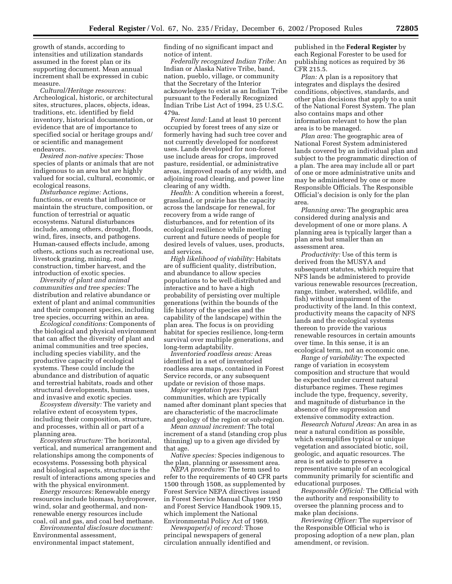growth of stands, according to intensities and utilization standards assumed in the forest plan or its supporting document. Mean annual increment shall be expressed in cubic measure.

*Cultural/Heritage resources:* Archeological, historic, or architectural sites, structures, places, objects, ideas, traditions, etc. identified by field inventory, historical documentation, or evidence that are of importance to specified social or heritage groups and/ or scientific and management endeavors.

*Desired non-native species:* Those species of plants or animals that are not indigenous to an area but are highly valued for social, cultural, economic, or ecological reasons.

*Disturbance regime:* Actions, functions, or events that influence or maintain the structure, composition, or function of terrestrial or aquatic ecosystems. Natural disturbances include, among others, drought, floods, wind, fires, insects, and pathogens. Human-caused effects include, among others, actions such as recreational use, livestock grazing, mining, road construction, timber harvest, and the introduction of exotic species.

*Diversity of plant and animal communities and tree species:* The distribution and relative abundance or extent of plant and animal communities and their component species, including tree species, occurring within an area.

*Ecological conditions:* Components of the biological and physical environment that can affect the diversity of plant and animal communities and tree species, including species viability, and the productive capacity of ecological systems. These could include the abundance and distribution of aquatic and terrestrial habitats, roads and other structural developments, human uses, and invasive and exotic species.

*Ecosystem diversity:* The variety and relative extent of ecosystem types, including their composition, structure, and processes, within all or part of a planning area.

*Ecosystem structure:* The horizontal, vertical, and numerical arrangement and relationships among the components of ecosystems. Possessing both physical and biological aspects, structure is the result of interactions among species and with the physical environment.

*Energy resources:* Renewable energy resources include biomass, hydropower, wind, solar and geothermal, and nonrenewable energy resources include coal, oil and gas, and coal bed methane.

*Environmental disclosure document:* Environmental assessment, environmental impact statement,

finding of no significant impact and notice of intent.

*Federally recognized Indian Tribe:* An Indian or Alaska Native Tribe, band, nation, pueblo, village, or community that the Secretary of the Interior acknowledges to exist as an Indian Tribe pursuant to the Federally Recognized Indian Tribe List Act of 1994, 25 U.S.C. 479a.

*Forest land:* Land at least 10 percent occupied by forest trees of any size or formerly having had such tree cover and not currently developed for nonforest uses. Lands developed for non-forest use include areas for crops, improved pasture, residential, or administrative areas, improved roads of any width, and adjoining road clearing, and power line clearing of any width.

*Health:* A condition wherein a forest, grassland, or prairie has the capacity across the landscape for renewal, for recovery from a wide range of disturbances, and for retention of its ecological resilience while meeting current and future needs of people for desired levels of values, uses, products, and services.

*High likelihood of viability:* Habitats are of sufficient quality, distribution, and abundance to allow species populations to be well-distributed and interactive and to have a high probability of persisting over multiple generations (within the bounds of the life history of the species and the capability of the landscape) within the plan area. The focus is on providing habitat for species resilience, long-term survival over multiple generations, and long-term adaptability.

*Inventoried roadless areas:* Areas identified in a set of inventoried roadless area maps, contained in Forest Service records, or any subsequent update or revision of those maps.

*Major vegetation types:* Plant communities, which are typically named after dominant plant species that are characteristic of the macroclimate and geology of the region or sub-region.

*Mean annual increment:* The total increment of a stand (standing crop plus thinning) up to a given age divided by that age.

*Native species:* Species indigenous to the plan, planning or assessment area.

*NEPA procedures:* The term used to refer to the requirements of 40 CFR parts 1500 through 1508, as supplemented by Forest Service NEPA directives issued in Forest Service Manual Chapter 1950 and Forest Service Handbook 1909.15, which implement the National Environmental Policy Act of 1969.

*Newspaper(s) of record:* Those principal newspapers of general circulation annually identified and

published in the **Federal Register** by each Regional Forester to be used for publishing notices as required by 36 CFR 215.5.

*Plan:* A plan is a repository that integrates and displays the desired conditions, objectives, standards, and other plan decisions that apply to a unit of the National Forest System. The plan also contains maps and other information relevant to how the plan area is to be managed.

*Plan area:* The geographic area of National Forest System administered lands covered by an individual plan and subject to the programmatic direction of a plan. The area may include all or part of one or more administrative units and may be administered by one or more Responsible Officials. The Responsible Official's decision is only for the plan area.

*Planning area:* The geographic area considered during analysis and development of one or more plans. A planning area is typically larger than a plan area but smaller than an assessment area.

*Productivity:* Use of this term is derived from the MUSYA and subsequent statutes, which require that NFS lands be administered to provide various renewable resources (recreation, range, timber, watershed, wildlife, and fish) without impairment of the productivity of the land. In this context, productivity means the capacity of NFS lands and the ecological systems thereon to provide the various renewable resources in certain amounts over time. In this sense, it is an ecological term, not an economic one.

*Range of variability:* The expected range of variation in ecosystem composition and structure that would be expected under current natural disturbance regimes. These regimes include the type, frequency, severity, and magnitude of disturbance in the absence of fire suppression and extensive commodity extraction.

*Research Natural Areas:* An area in as near a natural condition as possible, which exemplifies typical or unique vegetation and associated biotic, soil, geologic, and aquatic resources. The area is set aside to preserve a representative sample of an ecological community primarily for scientific and educational purposes.

*Responsible Official:* The Official with the authority and responsibility to oversee the planning process and to make plan decisions.

*Reviewing Officer:* The supervisor of the Responsible Official who is proposing adoption of a new plan, plan amendment, or revision.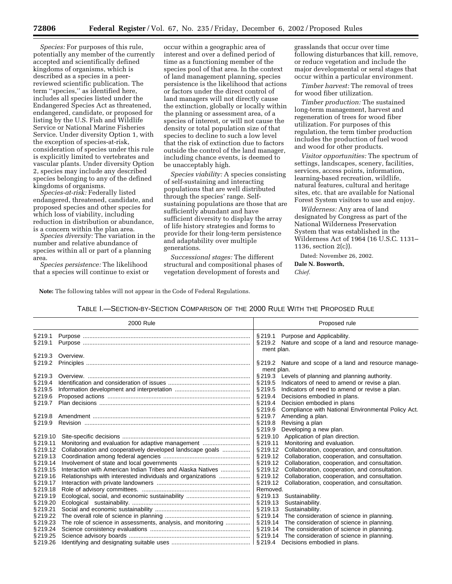*Species:* For purposes of this rule, potentially any member of the currently accepted and scientifically defined kingdoms of organisms, which is described as a species in a peerreviewed scientific publication. The term ''species,'' as identified here, includes all species listed under the Endangered Species Act as threatened, endangered, candidate, or proposed for listing by the U.S. Fish and Wildlife Service or National Marine Fisheries Service. Under diversity Option 1, with the exception of species-at-risk, consideration of species under this rule is explicitly limited to vertebrates and vascular plants. Under diversity Option 2, species may include any described species belonging to any of the defined kingdoms of organisms.

*Species-at-risk:* Federally listed endangered, threatened, candidate, and proposed species and other species for which loss of viability, including reduction in distribution or abundance, is a concern within the plan area.

*Species diversity:* The variation in the number and relative abundance of species within all or part of a planning area.

*Species persistence:* The likelihood that a species will continue to exist or

occur within a geographic area of interest and over a defined period of time as a functioning member of the species pool of that area. In the context of land management planning, species persistence is the likelihood that actions or factors under the direct control of land managers will not directly cause the extinction, globally or locally within the planning or assessment area, of a species of interest, or will not cause the density or total population size of that species to decline to such a low level that the risk of extinction due to factors outside the control of the land manager, including chance events, is deemed to be unacceptably high.

*Species viability:* A species consisting of self-sustaining and interacting populations that are well distributed through the species' range. Selfsustaining populations are those that are sufficiently abundant and have sufficient diversity to display the array of life history strategies and forms to provide for their long-term persistence and adaptability over multiple generations.

*Successional stages:* The different structural and compositional phases of vegetation development of forests and

grasslands that occur over time following disturbances that kill, remove, or reduce vegetation and include the major developmental or seral stages that occur within a particular environment.

*Timber harvest:* The removal of trees for wood fiber utilization.

*Timber production:* The sustained long-term management, harvest and regeneration of trees for wood fiber utilization. For purposes of this regulation, the term timber production includes the production of fuel wood and wood for other products.

*Visitor opportunities:* The spectrum of settings, landscapes, scenery, facilities, services, access points, information, learning-based recreation, wildlife, natural features, cultural and heritage sites, etc. that are available for National Forest System visitors to use and enjoy.

*Wilderness:* Any area of land designated by Congress as part of the National Wilderness Preservation System that was established in the Wilderness Act of 1964 (16 U.S.C. 1131– 1136, section 2(c)).

Dated: November 26, 2002. **Dale N. Bosworth,**  *Chief.*

**Note:** The following tables will not appear in the Code of Federal Regulations.

TABLE I.—SECTION-BY-SECTION COMPARISON OF THE 2000 RULE WITH THE PROPOSED RULE

|          | 2000 Rule                                                    | Proposed rule                                                 |
|----------|--------------------------------------------------------------|---------------------------------------------------------------|
| §219.1   |                                                              | §219.1 Purpose and Applicability.                             |
| §219.1   |                                                              | §219.2 Nature and scope of a land and resource manage-        |
|          |                                                              | ment plan.                                                    |
| §219.3   | Overview.                                                    |                                                               |
| §219.2   |                                                              | §219.2 Nature and scope of a land and resource manage-        |
|          |                                                              | ment plan.                                                    |
| § 219.3  |                                                              | §219.3 Levels of planning and planning authority.             |
| §219.4   |                                                              | § 219.5<br>Indicators of need to amend or revise a plan.      |
| §219.5   |                                                              | §219.5 Indicators of need to amend or revise a plan.          |
| §219.6   |                                                              | § 219.4<br>Decisions embodied in plans.                       |
| §219.7   |                                                              | § 219.4<br>Decision embodied in plans                         |
|          |                                                              | Compliance with National Environmental Policy Act.<br>\$219.6 |
| §219.8   |                                                              | § 219.7<br>Amending a plan.                                   |
| §219.9   |                                                              | §219.8<br>Revising a plan                                     |
|          |                                                              | § 219.9<br>Developing a new plan.                             |
| §219.10  |                                                              | § 219.10<br>Application of plan direction.                    |
| §219.11  | Monitoring and evaluation for adaptive management            | § 219.11<br>Monitoring and evaluation.                        |
| §219.12  | Collaboration and cooperatively developed landscape goals    | § 219.12<br>Collaboration, cooperation, and consultation.     |
| §219.13  |                                                              | § 219.12<br>Collaboration, cooperation, and consultation.     |
| §219.14  |                                                              | $§$ 219.12<br>Collaboration, cooperation, and consultation.   |
| §219.15  | Interaction with American Indian Tribes and Alaska Natives   | § 219.12<br>Collaboration, cooperation, and consultation.     |
| §219.16  | Relationships with interested individuals and organizations  | Collaboration, cooperation, and consultation.<br>§ 219.12     |
| §219.17  |                                                              | § 219.12<br>Collaboration, cooperation, and consultation.     |
| §219.18  |                                                              | Removed.                                                      |
| §219.19  |                                                              | §219.13 Sustainability.                                       |
| §219.20  |                                                              | § 219.13<br>Sustainability.                                   |
| §219.21  |                                                              | § 219.13<br>Sustainability.                                   |
| §219.22  |                                                              | § 219.14<br>The consideration of science in planning.         |
| §219.23  | The role of science in assessments, analysis, and monitoring | § 219.14<br>The consideration of science in planning.         |
| §219.24  |                                                              | §219.14 The consideration of science in planning.             |
| § 219.25 |                                                              |                                                               |
| §219.26  |                                                              |                                                               |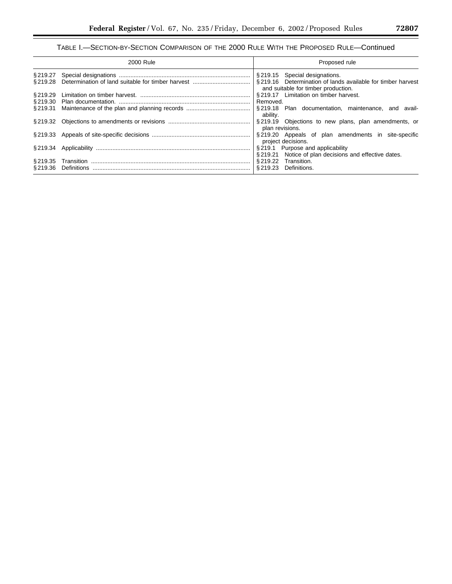## TABLE I.—SECTION-BY-SECTION COMPARISON OF THE 2000 RULE WITH THE PROPOSED RULE—Continued

|          | 2000 Rule   | Proposed rule                                                                                      |
|----------|-------------|----------------------------------------------------------------------------------------------------|
| § 219.27 |             | §219.15 Special designations.                                                                      |
| § 219.28 |             | §219.16 Determination of lands available for timber harvest<br>and suitable for timber production. |
| § 219.29 |             | §219.17 Limitation on timber harvest.                                                              |
| § 219.30 |             | Removed.                                                                                           |
| § 219.31 |             | §219.18 Plan documentation, maintenance, and avail-<br>ability.                                    |
|          |             | §219.19 Objections to new plans, plan amendments, or<br>plan revisions.                            |
|          |             | §219.20 Appeals of plan amendments in site-specific<br>project decisions.                          |
| § 219.34 |             | §219.1 Purpose and applicability<br>§219.21 Notice of plan decisions and effective dates.          |
| S 219.35 |             | Transition.<br>§ 219.22                                                                            |
| § 219.36 | Definitions | S 219.23<br>Definitions.                                                                           |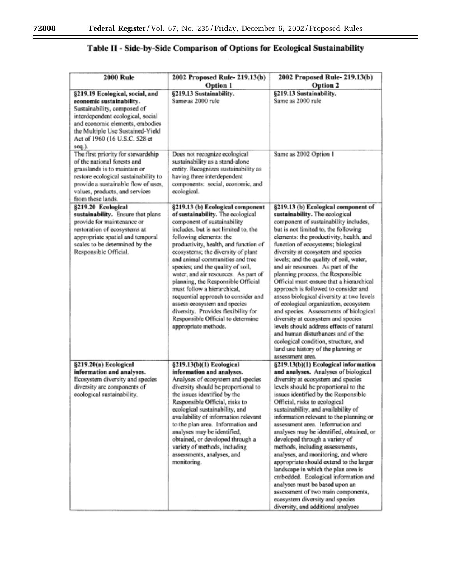## Table II - Side-by-Side Comparison of Options for Ecological Sustainability

| <b>2000 Rule</b>                                                                                                                                                                                                                                  | 2002 Proposed Rule- 219.13(b)<br><b>Option 1</b>                                                                                                                                                                                                                                                                                                                                                                                                                                                                                                                                                                       | 2002 Proposed Rule- 219.13(b)<br><b>Option 2</b>                                                                                                                                                                                                                                                                                                                                                                                                                                                                                                                                                                                                                                                                                                                                                                                                 |
|---------------------------------------------------------------------------------------------------------------------------------------------------------------------------------------------------------------------------------------------------|------------------------------------------------------------------------------------------------------------------------------------------------------------------------------------------------------------------------------------------------------------------------------------------------------------------------------------------------------------------------------------------------------------------------------------------------------------------------------------------------------------------------------------------------------------------------------------------------------------------------|--------------------------------------------------------------------------------------------------------------------------------------------------------------------------------------------------------------------------------------------------------------------------------------------------------------------------------------------------------------------------------------------------------------------------------------------------------------------------------------------------------------------------------------------------------------------------------------------------------------------------------------------------------------------------------------------------------------------------------------------------------------------------------------------------------------------------------------------------|
| §219.19 Ecological, social, and<br>economic sustainability.<br>Sustainability, composed of<br>interdependent ecological, social<br>and economic elements, embodies<br>the Multiple Use Sustained-Yield<br>Act of 1960 (16 U.S.C. 528 et<br>seq.). | §219.13 Sustainability.<br>Same as 2000 rule                                                                                                                                                                                                                                                                                                                                                                                                                                                                                                                                                                           | §219.13 Sustainability.<br>Same as 2000 rule                                                                                                                                                                                                                                                                                                                                                                                                                                                                                                                                                                                                                                                                                                                                                                                                     |
| The first priority for stewardship<br>of the national forests and<br>grasslands is to maintain or<br>restore ecological sustainability to<br>provide a sustainable flow of uses,<br>values, products, and services<br>from these lands.           | Does not recognize ecological<br>sustainability as a stand-alone<br>entity. Recognizes sustainability as<br>having three interdependent<br>components: social, economic, and<br>ecological.                                                                                                                                                                                                                                                                                                                                                                                                                            | Same as 2002 Option 1                                                                                                                                                                                                                                                                                                                                                                                                                                                                                                                                                                                                                                                                                                                                                                                                                            |
| §219.20 Ecological<br>sustainability. Ensure that plans<br>provide for maintenance or<br>restoration of ecosystems at<br>appropriate spatial and temporal<br>scales to be determined by the<br>Responsible Official.                              | §219.13 (b) Ecological component<br>of sustainability. The ecological<br>component of sustainability<br>includes, but is not limited to, the<br>following elements: the<br>productivity, health, and function of<br>ecosystems; the diversity of plant<br>and animal communities and tree<br>species; and the quality of soil,<br>water, and air resources. As part of<br>planning, the Responsible Official<br>must follow a hierarchical.<br>sequential approach to consider and<br>assess ecosystem and species<br>diversity. Provides flexibility for<br>Responsible Official to determine<br>appropriate methods. | §219.13 (b) Ecological component of<br>sustainability. The ecological<br>component of sustainability includes,<br>but is not limited to, the following<br>elements: the productivity, health, and<br>function of ecosystems; biological<br>diversity at ecosystem and species<br>levels; and the quality of soil, water,<br>and air resources. As part of the<br>planning process, the Responsible<br>Official must ensure that a hierarchical<br>approach is followed to consider and<br>assess biological diversity at two levels<br>of ecological organization, ecosystem<br>and species. Assessments of biological<br>diversity at ecosystem and species<br>levels should address effects of natural<br>and human disturbances and of the<br>ecological condition, structure, and<br>land use history of the planning or<br>assessment area. |
| §219.20(a) Ecological<br>information and analyses.<br>Ecosystem diversity and species<br>diversity are components of<br>ecological sustainability.                                                                                                | §219.13(b)(1) Ecological<br>information and analyses.<br>Analyses of ecosystem and species<br>diversity should be proportional to<br>the issues identified by the<br>Responsible Official, risks to<br>ecological sustainability, and<br>availability of information relevant<br>to the plan area. Information and<br>analyses may be identified,<br>obtained, or developed through a<br>variety of methods, including<br>assessments, analyses, and<br>monitoring.                                                                                                                                                    | §219.13(b)(1) Ecological information<br>and analyses. Analyses of biological<br>diversity at ecosystem and species<br>levels should be proportional to the<br>issues identified by the Responsible<br>Official, risks to ecological<br>sustainability, and availability of<br>information relevant to the planning or<br>assessment area. Information and<br>analyses may be identified, obtained, or<br>developed through a variety of<br>methods, including assessments,<br>analyses, and monitoring, and where<br>appropriate should extend to the larger<br>landscape in which the plan area is<br>embedded. Ecological information and<br>analyses must be based upon an<br>assessment of two main components,<br>ecosystem diversity and species<br>diversity, and additional analyses                                                     |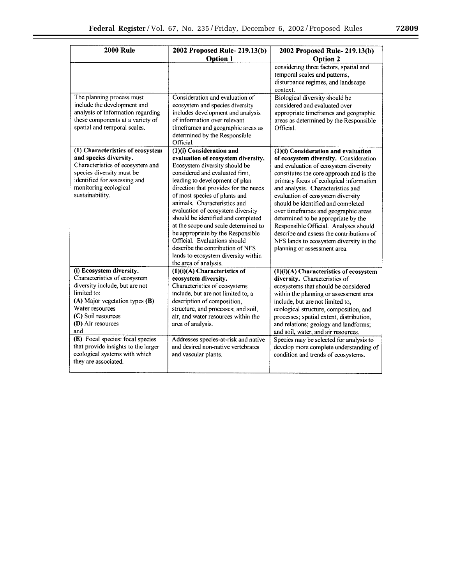| <b>2000 Rule</b>                                                                                                                                                                                                                                                                                                             | 2002 Proposed Rule- 219.13(b)                                                                                                                                                                                                                                                                                                                                                                                                                                                                                                                                                | 2002 Proposed Rule- 219.13(b)                                                                                                                                                                                                                                                                                                                                                                                                                                                                                                                                               |
|------------------------------------------------------------------------------------------------------------------------------------------------------------------------------------------------------------------------------------------------------------------------------------------------------------------------------|------------------------------------------------------------------------------------------------------------------------------------------------------------------------------------------------------------------------------------------------------------------------------------------------------------------------------------------------------------------------------------------------------------------------------------------------------------------------------------------------------------------------------------------------------------------------------|-----------------------------------------------------------------------------------------------------------------------------------------------------------------------------------------------------------------------------------------------------------------------------------------------------------------------------------------------------------------------------------------------------------------------------------------------------------------------------------------------------------------------------------------------------------------------------|
|                                                                                                                                                                                                                                                                                                                              | <b>Option 1</b>                                                                                                                                                                                                                                                                                                                                                                                                                                                                                                                                                              | <b>Option 2</b>                                                                                                                                                                                                                                                                                                                                                                                                                                                                                                                                                             |
|                                                                                                                                                                                                                                                                                                                              |                                                                                                                                                                                                                                                                                                                                                                                                                                                                                                                                                                              | considering three factors, spatial and<br>temporal scales and patterns,<br>disturbance regimes, and landscape<br>context.                                                                                                                                                                                                                                                                                                                                                                                                                                                   |
| The planning process must<br>include the development and<br>analysis of information regarding<br>these components at a variety of<br>spatial and temporal scales.                                                                                                                                                            | Consideration and evaluation of<br>ecosystem and species diversity<br>includes development and analysis<br>of information over relevant<br>timeframes and geographic areas as<br>determined by the Responsible<br>Official.                                                                                                                                                                                                                                                                                                                                                  | Biological diversity should be<br>considered and evaluated over<br>appropriate timeframes and geographic<br>areas as determined by the Responsible<br>Official.                                                                                                                                                                                                                                                                                                                                                                                                             |
| (1) Characteristics of ecosystem<br>and species diversity.<br>Characteristics of ecosystem and<br>species diversity must be<br>identified for assessing and<br>monitoring ecological<br>sustainability.                                                                                                                      | $(1)(i)$ Consideration and<br>evaluation of ecosystem diversity.<br>Ecosystem diversity should be<br>considered and evaluated first.<br>leading to development of plan<br>direction that provides for the needs<br>of most species of plants and<br>animals. Characteristics and<br>evaluation of ecosystem diversity<br>should be identified and completed<br>at the scope and scale determined to<br>be appropriate by the Responsible<br>Official. Evaluations should<br>describe the contribution of NFS<br>lands to ecosystem diversity within<br>the area of analysis. | (1)(i) Consideration and evaluation<br>of ecosystem diversity. Consideration<br>and evaluation of ecosystem diversity<br>constitutes the core approach and is the<br>primary focus of ecological information<br>and analysis. Characteristics and<br>evaluation of ecosystem diversity<br>should be identified and completed<br>over timeframes and geographic areas<br>determined to be appropriate by the<br>Responsible Official. Analyses should<br>describe and assess the contributions of<br>NFS lands to ecosystem diversity in the<br>planning or assessment area. |
| (i) Ecosystem diversity.<br>Characteristics of ecosystem<br>diversity include, but are not<br>limited to:<br>(A) Major vegetation types (B)<br>Water resources<br>(C) Soil resources<br>(D) Air resources<br>and<br>(E) Focal species: focal species<br>that provide insights to the larger<br>ecological systems with which | $(1)(i)(A)$ Characteristics of<br>ecosystem diversity.<br>Characteristics of ecosystems<br>include, but are not limited to, a<br>description of composition,<br>structure, and processes; and soil,<br>air, and water resources within the<br>area of analysis.<br>Addresses species-at-risk and native<br>and desired non-native vertebrates<br>and vascular plants.                                                                                                                                                                                                        | (1)(i)(A) Characteristics of ecosystem<br>diversity. Characteristics of<br>ecosystems that should be considered<br>within the planning or assessment area<br>include, but are not limited to,<br>ecological structure, composition, and<br>processes; spatial extent, distribution,<br>and relations; geology and landforms;<br>and soil, water, and air resources.<br>Species may be selected for analysis to<br>develop more complete understanding of<br>condition and trends of ecosystems.                                                                             |
| they are associated.                                                                                                                                                                                                                                                                                                         |                                                                                                                                                                                                                                                                                                                                                                                                                                                                                                                                                                              |                                                                                                                                                                                                                                                                                                                                                                                                                                                                                                                                                                             |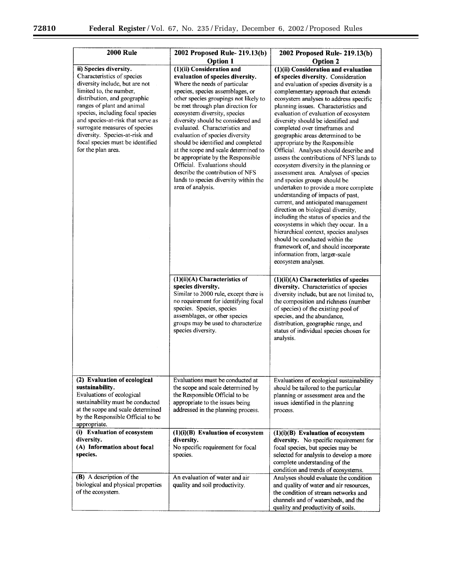$\equiv$ 

 $\equiv$ 

| <b>2000 Rule</b>                                                                                                                                                                                                                                                                                                                                                                      | 2002 Proposed Rule- 219.13(b)                                                                                                                                                                                                                                                                                                                                                                                                                                                                                                                                                                                                                                                                | 2002 Proposed Rule- 219.13(b)                                                                                                                                                                                                                                                                                                                                                                                                                                                                                                                                                                                                                                                                                                                                                                                                                                                                                                                                                                                                                                                                                                                                                       |
|---------------------------------------------------------------------------------------------------------------------------------------------------------------------------------------------------------------------------------------------------------------------------------------------------------------------------------------------------------------------------------------|----------------------------------------------------------------------------------------------------------------------------------------------------------------------------------------------------------------------------------------------------------------------------------------------------------------------------------------------------------------------------------------------------------------------------------------------------------------------------------------------------------------------------------------------------------------------------------------------------------------------------------------------------------------------------------------------|-------------------------------------------------------------------------------------------------------------------------------------------------------------------------------------------------------------------------------------------------------------------------------------------------------------------------------------------------------------------------------------------------------------------------------------------------------------------------------------------------------------------------------------------------------------------------------------------------------------------------------------------------------------------------------------------------------------------------------------------------------------------------------------------------------------------------------------------------------------------------------------------------------------------------------------------------------------------------------------------------------------------------------------------------------------------------------------------------------------------------------------------------------------------------------------|
| ii) Species diversity.<br>Characteristics of species<br>diversity include, but are not<br>limited to, the number,<br>distribution, and geographic<br>ranges of plant and animal<br>species, including focal species<br>and species-at-risk that serve as<br>surrogate measures of species<br>diversity. Species-at-risk and<br>focal species must be identified<br>for the plan area. | <b>Option 1</b><br>(1)(ii) Consideration and<br>evaluation of species diversity.<br>Where the needs of particular<br>species, species assemblages, or<br>other species groupings not likely to<br>be met through plan direction for<br>ecosystem diversity, species<br>diversity should be considered and<br>evaluated. Characteristics and<br>evaluation of species diversity<br>should be identified and completed<br>at the scope and scale determined to<br>be appropriate by the Responsible<br>Official. Evaluations should<br>describe the contribution of NFS<br>lands to species diversity within the<br>area of analysis.<br>$(1)(ii)(A)$ Characteristics of<br>species diversity. | <b>Option 2</b><br>$(1)(ii)$ Consideration and evaluation<br>of species diversity. Consideration<br>and evaluation of species diversity is a<br>complementary approach that extends<br>ecosystem analyses to address specific<br>planning issues. Characteristics and<br>evaluation of evaluation of ecosystem<br>diversity should be identified and<br>completed over timeframes and<br>geographic areas determined to be<br>appropriate by the Responsible<br>Official. Analyses should describe and<br>assess the contributions of NFS lands to<br>ecosystem diversity in the planning or<br>assessment area. Analyses of species<br>and species groups should be<br>undertaken to provide a more complete<br>understanding of impacts of past,<br>current, and anticipated management<br>direction on biological diversity,<br>including the status of species and the<br>ecosystems in which they occur. In a<br>hierarchical context, species analyses<br>should be conducted within the<br>framework of, and should incorporate<br>information from, larger-scale<br>ecosystem analyses.<br>$(1)(ii)(A)$ Characteristics of species<br>diversity. Characteristics of species |
|                                                                                                                                                                                                                                                                                                                                                                                       | Similar to 2000 rule, except there is<br>no requirement for identifying focal<br>species. Species, species<br>assemblages, or other species<br>groups may be used to characterize<br>species diversity.                                                                                                                                                                                                                                                                                                                                                                                                                                                                                      | diversity include, but are not limited to,<br>the composition and richness (number<br>of species) of the existing pool of<br>species, and the abundance,<br>distribution, geographic range, and<br>status of individual species chosen for<br>analysis.                                                                                                                                                                                                                                                                                                                                                                                                                                                                                                                                                                                                                                                                                                                                                                                                                                                                                                                             |
| (2) Evaluation of ecological<br>sustainability.<br>Evaluations of ecological<br>sustainability must be conducted<br>at the scope and scale determined<br>by the Responsible Official to be<br>appropriate.                                                                                                                                                                            | Evaluations must be conducted at<br>the scope and scale determined by<br>the Responsible Official to be<br>appropriate to the issues being<br>addressed in the planning process.                                                                                                                                                                                                                                                                                                                                                                                                                                                                                                             | Evaluations of ecological sustainability<br>should be tailored to the particular<br>planning or assessment area and the<br>issues identified in the planning<br>process.                                                                                                                                                                                                                                                                                                                                                                                                                                                                                                                                                                                                                                                                                                                                                                                                                                                                                                                                                                                                            |
| (i) Evaluation of ecosystem<br>diversity.<br>(A) Information about focal<br>species.                                                                                                                                                                                                                                                                                                  | (1)(i)(B) Evaluation of ecosystem<br>diversity.<br>No specific requirement for focal<br>species.                                                                                                                                                                                                                                                                                                                                                                                                                                                                                                                                                                                             | $(1)(i)(B)$ Evaluation of ecosystem<br>diversity. No specific requirement for<br>focal species, but species may be<br>selected for analysis to develop a more<br>complete understanding of the<br>condition and trends of ecosystems.                                                                                                                                                                                                                                                                                                                                                                                                                                                                                                                                                                                                                                                                                                                                                                                                                                                                                                                                               |
| (B) A description of the<br>biological and physical properties<br>of the ecosystem.                                                                                                                                                                                                                                                                                                   | An evaluation of water and air<br>quality and soil productivity.                                                                                                                                                                                                                                                                                                                                                                                                                                                                                                                                                                                                                             | Analyses should evaluate the condition<br>and quality of water and air resources,<br>the condition of stream networks and<br>channels and of watersheds, and the<br>quality and productivity of soils.                                                                                                                                                                                                                                                                                                                                                                                                                                                                                                                                                                                                                                                                                                                                                                                                                                                                                                                                                                              |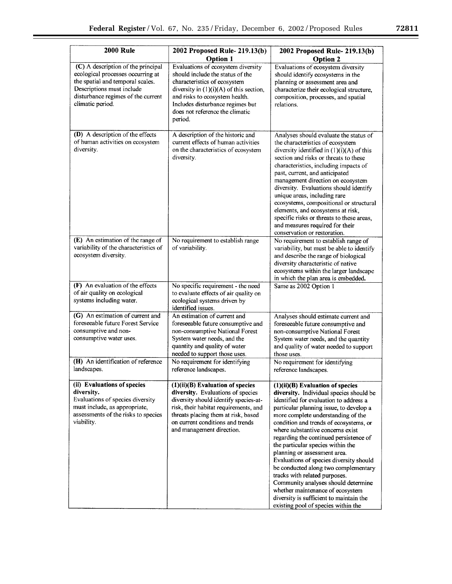▀

| <b>2000 Rule</b>                                                                                                                                                                                   | 2002 Proposed Rule- 219.13(b)<br><b>Option 1</b>                                                                                                                                                                                                                        | 2002 Proposed Rule- 219.13(b)<br><b>Option 2</b>                                                                                                                                                                                                                                                                                                                                                                                                                                                                                                                                                                                                                                       |
|----------------------------------------------------------------------------------------------------------------------------------------------------------------------------------------------------|-------------------------------------------------------------------------------------------------------------------------------------------------------------------------------------------------------------------------------------------------------------------------|----------------------------------------------------------------------------------------------------------------------------------------------------------------------------------------------------------------------------------------------------------------------------------------------------------------------------------------------------------------------------------------------------------------------------------------------------------------------------------------------------------------------------------------------------------------------------------------------------------------------------------------------------------------------------------------|
| (C) A description of the principal<br>ecological processes occurring at<br>the spatial and temporal scales.<br>Descriptions must include<br>disturbance regimes of the current<br>climatic period. | Evaluations of ecosystem diversity<br>should include the status of the<br>characteristics of ecosystem<br>diversity in $(1)(i)(A)$ of this section,<br>and risks to ecosystem health.<br>Includes disturbance regimes but<br>does not reference the climatic<br>period. | Evaluations of ecosystem diversity<br>should identify ecosystems in the<br>planning or assessment area and<br>characterize their ecological structure,<br>composition, processes, and spatial<br>relations.                                                                                                                                                                                                                                                                                                                                                                                                                                                                            |
| (D) A description of the effects<br>of human activities on ecosystem<br>diversity.                                                                                                                 | A description of the historic and<br>current effects of human activities<br>on the characteristics of ecosystem<br>diversity.                                                                                                                                           | Analyses should evaluate the status of<br>the characteristics of ecosystem<br>diversity identified in $(1)(i)(A)$ of this<br>section and risks or threats to these<br>characteristics, including impacts of<br>past, current, and anticipated<br>management direction on ecosystem<br>diversity. Evaluations should identify<br>unique areas, including rare<br>ecosystems, compositional or structural<br>elements, and ecosystems at risk,<br>specific risks or threats to these areas,<br>and measures required for their<br>conservation or restoration.                                                                                                                           |
| (E) An estimation of the range of<br>variability of the characteristics of<br>ecosystem diversity.                                                                                                 | No requirement to establish range<br>of variability.                                                                                                                                                                                                                    | No requirement to establish range of<br>variability, but must be able to identify<br>and describe the range of biological<br>diversity characteristic of native<br>ecosystems within the larger landscape<br>in which the plan area is embedded.                                                                                                                                                                                                                                                                                                                                                                                                                                       |
| (F) An evaluation of the effects<br>of air quality on ecological<br>systems including water.                                                                                                       | No specific requirement - the need<br>to evaluate effects of air quality on<br>ecological systems driven by<br>identified issues.                                                                                                                                       | Same as 2002 Option 1                                                                                                                                                                                                                                                                                                                                                                                                                                                                                                                                                                                                                                                                  |
| (G) An estimation of current and<br>foreseeable future Forest Service<br>consumptive and non-<br>consumptive water uses.                                                                           | An estimation of current and<br>foreseeable future consumptive and<br>non-consumptive National Forest<br>System water needs, and the<br>quantity and quality of water<br>needed to support those uses.                                                                  | Analyses should estimate current and<br>foreseeable future consumptive and<br>non-consumptive National Forest<br>System water needs, and the quantity<br>and quality of water needed to support<br>those uses.                                                                                                                                                                                                                                                                                                                                                                                                                                                                         |
| (H) An identification of reference<br>landscapes.                                                                                                                                                  | No requirement for identifying<br>reference landscapes.                                                                                                                                                                                                                 | No requirement for identifying<br>reference landscapes.                                                                                                                                                                                                                                                                                                                                                                                                                                                                                                                                                                                                                                |
| (ii) Evaluations of species<br>diversity.<br>Evaluations of species diversity<br>must include, as appropriate,<br>assessments of the risks to species<br>viability.                                | (1)(ii)(B) Evaluation of species<br>diversity. Evaluations of species<br>diversity should identify species-at-<br>risk, their habitat requirements, and<br>threats placing them at risk, based<br>on current conditions and trends<br>and management direction.         | $(1)(ii)(B)$ Evaluation of species<br>diversity. Individual species should be<br>identified for evaluation to address a<br>particular planning issue, to develop a<br>more complete understanding of the<br>condition and trends of ecosystems, or<br>where substantive concerns exist<br>regarding the continued persistence of<br>the particular species within the<br>planning or assessment area.<br>Evaluations of species diversity should<br>be conducted along two complementary<br>tracks with related purposes.<br>Community analyses should determine<br>whether maintenance of ecosystem<br>diversity is sufficient to maintain the<br>existing pool of species within the |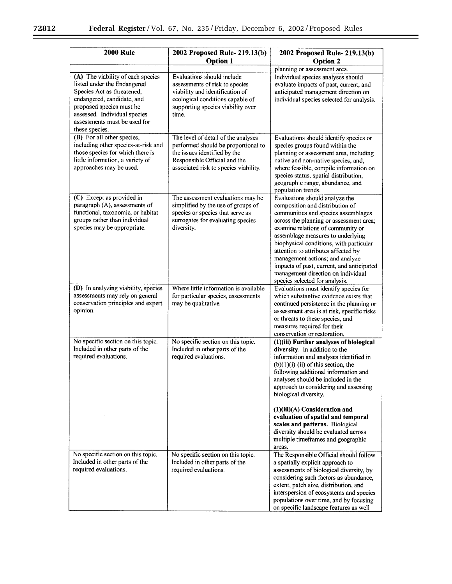$\equiv$ 

 $\equiv$ 

| <b>2000 Rule</b>                                                                                                                                                                                                                           | 2002 Proposed Rule- 219.13(b)<br><b>Option 1</b>                                                                                                                                    | 2002 Proposed Rule- 219.13(b)                                                                                                                                                                                                                                                                                                                                                                                                                                                                                    |
|--------------------------------------------------------------------------------------------------------------------------------------------------------------------------------------------------------------------------------------------|-------------------------------------------------------------------------------------------------------------------------------------------------------------------------------------|------------------------------------------------------------------------------------------------------------------------------------------------------------------------------------------------------------------------------------------------------------------------------------------------------------------------------------------------------------------------------------------------------------------------------------------------------------------------------------------------------------------|
|                                                                                                                                                                                                                                            |                                                                                                                                                                                     | <b>Option 2</b><br>planning or assessment area.                                                                                                                                                                                                                                                                                                                                                                                                                                                                  |
| (A) The viability of each species<br>listed under the Endangered<br>Species Act as threatened,<br>endangered, candidate, and<br>proposed species must be<br>assessed. Individual species<br>assessments must be used for<br>these species. | Evaluations should include<br>assessments of risk to species<br>viability and identification of<br>ecological conditions capable of<br>supporting species viability over<br>time.   | Individual species analyses should<br>evaluate impacts of past, current, and<br>anticipated management direction on<br>individual species selected for analysis.                                                                                                                                                                                                                                                                                                                                                 |
| (B) For all other species,<br>including other species-at-risk and<br>those species for which there is<br>little information, a variety of<br>approaches may be used.                                                                       | The level of detail of the analyses<br>performed should be proportional to<br>the issues identified by the<br>Responsible Official and the<br>associated risk to species viability. | Evaluations should identify species or<br>species groups found within the<br>planning or assessment area, including<br>native and non-native species, and,<br>where feasible, compile information on<br>species status, spatial distribution,<br>geographic range, abundance, and<br>population trends.                                                                                                                                                                                                          |
| (C) Except as provided in<br>paragraph (A), assessments of<br>functional, taxonomic, or habitat<br>groups rather than individual<br>species may be appropriate.                                                                            | The assessment evaluations may be<br>simplified by the use of groups of<br>species or species that serve as<br>surrogates for evaluating species<br>diversity.                      | Evaluations should analyze the<br>composition and distribution of<br>communities and species assemblages<br>across the planning or assessment area;<br>examine relations of community or<br>assemblage measures to underlying<br>biophysical conditions, with particular<br>attention to attributes affected by<br>management actions; and analyze<br>impacts of past, current, and anticipated<br>management direction on individual<br>species selected for analysis.                                          |
| (D) In analyzing viability, species<br>assessments may rely on general<br>conservation principles and expert<br>opinion.                                                                                                                   | Where little information is available<br>for particular species, assessments<br>may be qualitative.                                                                                 | Evaluations must identify species for<br>which substantive evidence exists that<br>continued persistence in the planning or<br>assessment area is at risk, specific risks<br>or threats to these species, and<br>measures required for their<br>conservation or restoration.                                                                                                                                                                                                                                     |
| No specific section on this topic.<br>Included in other parts of the<br>required evaluations.                                                                                                                                              | No specific section on this topic.<br>Included in other parts of the<br>required evaluations.                                                                                       | (1)(iii) Further analyses of biological<br>diversity. In addition to the<br>information and analyses identified in<br>$(b)(1)(i)$ -(ii) of this section, the<br>following additional information and<br>analyses should be included in the<br>approach to considering and assessing<br>biological diversity.<br>$(1)(iii)(A)$ Consideration and<br>evaluation of spatial and temporal<br>scales and patterns. Biological<br>diversity should be evaluated across<br>multiple timeframes and geographic<br>areas. |
| No specific section on this topic.<br>Included in other parts of the<br>required evaluations.                                                                                                                                              | No specific section on this topic.<br>Included in other parts of the<br>required evaluations.                                                                                       | The Responsible Official should follow<br>a spatially explicit approach to<br>assessments of biological diversity, by<br>considering such factors as abundance,<br>extent, patch size, distribution, and<br>interspersion of ecosystems and species<br>populations over time, and by focusing<br>on specific landscape features as well                                                                                                                                                                          |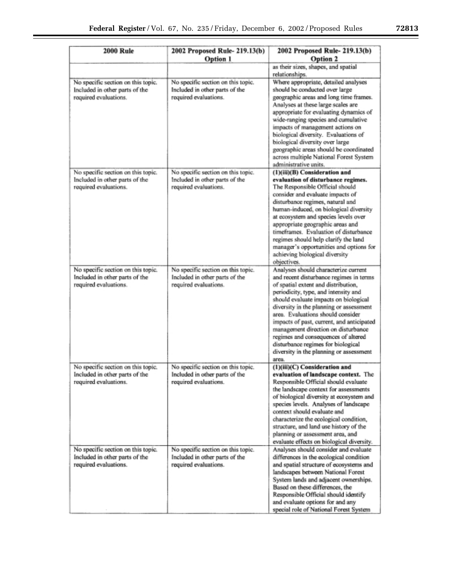| <b>2000 Rule</b>                                                                              | 2002 Proposed Rule- 219.13(b)<br>Option 1                                                     | 2002 Proposed Rule- 219.13(b)<br><b>Option 2</b>                                                                                                                                                                                                                                                                                                                                                                                                                                                             |
|-----------------------------------------------------------------------------------------------|-----------------------------------------------------------------------------------------------|--------------------------------------------------------------------------------------------------------------------------------------------------------------------------------------------------------------------------------------------------------------------------------------------------------------------------------------------------------------------------------------------------------------------------------------------------------------------------------------------------------------|
|                                                                                               |                                                                                               | as their sizes, shapes, and spatial<br>relationships.                                                                                                                                                                                                                                                                                                                                                                                                                                                        |
| No specific section on this topic.<br>Included in other parts of the<br>required evaluations. | No specific section on this topic.<br>Included in other parts of the<br>required evaluations. | Where appropriate, detailed analyses<br>should be conducted over large<br>geographic areas and long time frames.<br>Analyses at these large scales are<br>appropriate for evaluating dynamics of<br>wide-ranging species and cumulative<br>impacts of management actions on<br>biological diversity. Evaluations of<br>biological diversity over large<br>geographic areas should be coordinated<br>across multiple National Forest System<br>administrative units.                                          |
| No specific section on this topic.<br>Included in other parts of the<br>required evaluations. | No specific section on this topic.<br>Included in other parts of the<br>required evaluations. | (1)(iii)(B) Consideration and<br>evaluation of disturbance regimes.<br>The Responsible Official should<br>consider and evaluate impacts of<br>disturbance regimes, natural and<br>human-induced, on biological diversity<br>at ecosystem and species levels over<br>appropriate geographic areas and<br>timeframes. Evaluation of disturbance<br>regimes should help clarify the land<br>manager's opportunities and options for<br>achieving biological diversity<br>objectives.                            |
| No specific section on this topic.<br>Included in other parts of the<br>required evaluations. | No specific section on this topic.<br>Included in other parts of the<br>required evaluations. | Analyses should characterize current<br>and recent disturbance regimes in terms<br>of spatial extent and distribution,<br>periodicity, type, and intensity and<br>should evaluate impacts on biological<br>diversity in the planning or assessment<br>area. Evaluations should consider<br>impacts of past, current, and anticipated<br>management direction on disturbance<br>regimes and consequences of altered<br>disturbance regimes for biological<br>diversity in the planning or assessment<br>area. |
| No specific section on this topic.<br>Included in other parts of the<br>required evaluations. | No specific section on this topic.<br>Included in other parts of the<br>required evaluations. | (1)(iii)(C) Consideration and<br>evaluation of landscape context. The<br>Responsible Official should evaluate<br>the landscape context for assessments<br>of biological diversity at ecosystem and<br>species levels. Analyses of landscape<br>context should evaluate and<br>characterize the ecological condition,<br>structure, and land use history of the<br>planning or assessment area, and<br>evaluate effects on biological diversity.                                                              |
| No specific section on this topic.<br>Included in other parts of the<br>required evaluations. | No specific section on this topic.<br>Included in other parts of the<br>required evaluations. | Analyses should consider and evaluate<br>differences in the ecological condition<br>and spatial structure of ecosystems and<br>landscapes between National Forest<br>System lands and adjacent ownerships.<br>Based on these differences, the<br>Responsible Official should identify<br>and evaluate options for and any<br>special role of National Forest System                                                                                                                                          |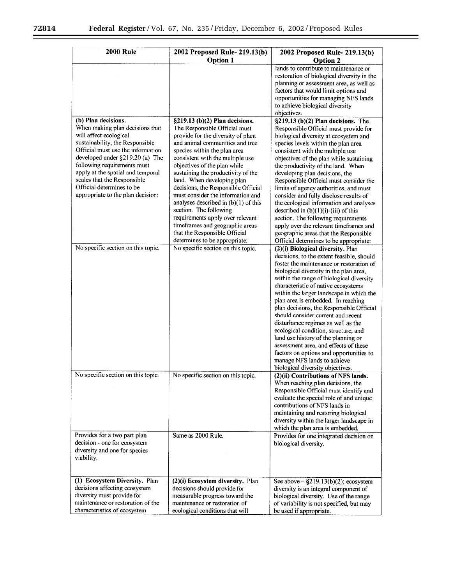$\equiv$ 

 $\equiv$ 

| <b>2000 Rule</b>                                                                                                                                                                                                                                                                                                                             | 2002 Proposed Rule- 219.13(b)                                                                                                                                                                                                                                                                                                                                                                                                                                                                         | 2002 Proposed Rule- 219.13(b)                                                                                                                                                                                                                                                                                                                                                                                                                                                                                                                                                                                                                                                                           |
|----------------------------------------------------------------------------------------------------------------------------------------------------------------------------------------------------------------------------------------------------------------------------------------------------------------------------------------------|-------------------------------------------------------------------------------------------------------------------------------------------------------------------------------------------------------------------------------------------------------------------------------------------------------------------------------------------------------------------------------------------------------------------------------------------------------------------------------------------------------|---------------------------------------------------------------------------------------------------------------------------------------------------------------------------------------------------------------------------------------------------------------------------------------------------------------------------------------------------------------------------------------------------------------------------------------------------------------------------------------------------------------------------------------------------------------------------------------------------------------------------------------------------------------------------------------------------------|
|                                                                                                                                                                                                                                                                                                                                              | <b>Option 1</b>                                                                                                                                                                                                                                                                                                                                                                                                                                                                                       | <b>Option 2</b>                                                                                                                                                                                                                                                                                                                                                                                                                                                                                                                                                                                                                                                                                         |
|                                                                                                                                                                                                                                                                                                                                              |                                                                                                                                                                                                                                                                                                                                                                                                                                                                                                       | lands to contribute to maintenance or<br>restoration of biological diversity in the<br>planning or assessment area, as well as<br>factors that would limit options and<br>opportunities for managing NFS lands<br>to achieve biological diversity<br>objectives.                                                                                                                                                                                                                                                                                                                                                                                                                                        |
| (b) Plan decisions.                                                                                                                                                                                                                                                                                                                          | $\S219.13$ (b)(2) Plan decisions.                                                                                                                                                                                                                                                                                                                                                                                                                                                                     | $\overline{\S219.13}$ (b)(2) Plan decisions. The                                                                                                                                                                                                                                                                                                                                                                                                                                                                                                                                                                                                                                                        |
| When making plan decisions that<br>will affect ecological<br>sustainability, the Responsible<br>Official must use the information<br>developed under $\S219.20$ (a) The<br>following requirements must<br>apply at the spatial and temporal<br>scales that the Responsible<br>Official determines to be<br>appropriate to the plan decision: | The Responsible Official must<br>provide for the diversity of plant<br>and animal communities and tree<br>species within the plan area<br>consistent with the multiple use<br>objectives of the plan while<br>sustaining the productivity of the<br>land. When developing plan<br>decisions, the Responsible Official<br>must consider the information and<br>analyses described in $(b)(1)$ of this<br>section. The following<br>requirements apply over relevant<br>timeframes and geographic areas | Responsible Official must provide for<br>biological diversity at ecosystem and<br>species levels within the plan area<br>consistent with the multiple use<br>objectives of the plan while sustaining<br>the productivity of the land. When<br>developing plan decisions, the<br>Responsible Official must consider the<br>limits of agency authorities, and must<br>consider and fully disclose results of<br>the ecological information and analyses<br>described in $(b)(1)(i)$ -(iii) of this<br>section. The following requirements<br>apply over the relevant timeframes and                                                                                                                       |
|                                                                                                                                                                                                                                                                                                                                              | that the Responsible Official<br>determines to be appropriate:                                                                                                                                                                                                                                                                                                                                                                                                                                        | geographic areas that the Responsible<br>Official determines to be appropriate:                                                                                                                                                                                                                                                                                                                                                                                                                                                                                                                                                                                                                         |
| No specific section on this topic.<br>No specific section on this topic.                                                                                                                                                                                                                                                                     | No specific section on this topic.                                                                                                                                                                                                                                                                                                                                                                                                                                                                    | (2)(i) Biological diversity. Plan<br>decisions, to the extent feasible, should<br>foster the maintenance or restoration of<br>biological diversity in the plan area,<br>within the range of biological diversity<br>characteristic of native ecosystems<br>within the larger landscape in which the<br>plan area is embedded. In reaching<br>plan decisions, the Responsible Official<br>should consider current and recent<br>disturbance regimes as well as the<br>ecological condition, structure, and<br>land use history of the planning or<br>assessment area, and effects of these<br>factors on options and opportunities to<br>manage NFS lands to achieve<br>biological diversity objectives. |
|                                                                                                                                                                                                                                                                                                                                              | No specific section on this topic.                                                                                                                                                                                                                                                                                                                                                                                                                                                                    | (2)(ii) Contributions of NFS lands.<br>When reaching plan decisions, the<br>Responsible Official must identify and<br>evaluate the special role of and unique<br>contributions of NFS lands in<br>maintaining and restoring biological<br>diversity within the larger landscape in<br>which the plan area is embedded.                                                                                                                                                                                                                                                                                                                                                                                  |
| Provides for a two part plan<br>decision - one for ecosystem<br>diversity and one for species<br>viability.                                                                                                                                                                                                                                  | Same as 2000 Rule.                                                                                                                                                                                                                                                                                                                                                                                                                                                                                    | Provides for one integrated decision on<br>biological diversity.                                                                                                                                                                                                                                                                                                                                                                                                                                                                                                                                                                                                                                        |
| (1) Ecosystem Diversity. Plan<br>decisions affecting ecosystem<br>diversity must provide for<br>maintenance or restoration of the                                                                                                                                                                                                            | (2)(i) Ecosystem diversity. Plan<br>decisions should provide for<br>measurable progress toward the<br>maintenance or restoration of                                                                                                                                                                                                                                                                                                                                                                   | See above $-$ §219.13(b)(2); ecosystem<br>diversity is an integral component of<br>biological diversity. Use of the range<br>of variability is not specified, but may                                                                                                                                                                                                                                                                                                                                                                                                                                                                                                                                   |
| characteristics of ecosystem                                                                                                                                                                                                                                                                                                                 | ecological conditions that will                                                                                                                                                                                                                                                                                                                                                                                                                                                                       | be used if appropriate.                                                                                                                                                                                                                                                                                                                                                                                                                                                                                                                                                                                                                                                                                 |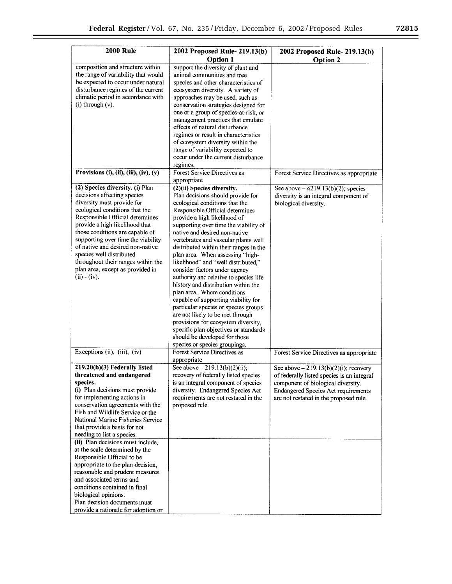| <b>2000 Rule</b>                                                       | 2002 Proposed Rule- 219.13(b)                                           | 2002 Proposed Rule- 219.13(b)                                  |
|------------------------------------------------------------------------|-------------------------------------------------------------------------|----------------------------------------------------------------|
|                                                                        | <b>Option 1</b>                                                         | <b>Option 2</b>                                                |
| composition and structure within                                       | support the diversity of plant and                                      |                                                                |
| the range of variability that would                                    | animal communities and tree                                             |                                                                |
| be expected to occur under natural                                     | species and other characteristics of                                    |                                                                |
| disturbance regimes of the current                                     | ecosystem diversity. A variety of                                       |                                                                |
| climatic period in accordance with                                     | approaches may be used, such as                                         |                                                                |
| $(i)$ through $(v)$ .                                                  | conservation strategies designed for                                    |                                                                |
|                                                                        | one or a group of species-at-risk, or                                   |                                                                |
|                                                                        | management practices that emulate<br>effects of natural disturbance     |                                                                |
|                                                                        | regimes or result in characteristics                                    |                                                                |
|                                                                        | of ecosystem diversity within the                                       |                                                                |
|                                                                        | range of variability expected to                                        |                                                                |
|                                                                        | occur under the current disturbance                                     |                                                                |
|                                                                        | regimes.                                                                |                                                                |
| Provisions (i), (ii), (iii), (iv), (v)                                 | Forest Service Directives as                                            | Forest Service Directives as appropriate                       |
|                                                                        | appropriate                                                             |                                                                |
| (2) Species diversity. (i) Plan<br>decisions affecting species         | (2)(ii) Species diversity.<br>Plan decisions should provide for         | See above $-\frac{6}{2}$ 19.13(b)(2); species                  |
| diversity must provide for                                             | ecological conditions that the                                          | diversity is an integral component of<br>biological diversity. |
| ecological conditions that the                                         | Responsible Official determines                                         |                                                                |
| Responsible Official determines                                        | provide a high likelihood of                                            |                                                                |
| provide a high likelihood that                                         | supporting over time the viability of                                   |                                                                |
| those conditions are capable of                                        | native and desired non-native                                           |                                                                |
| supporting over time the viability                                     | vertebrates and vascular plants well                                    |                                                                |
| of native and desired non-native                                       | distributed within their ranges in the                                  |                                                                |
| species well distributed                                               | plan area. When assessing "high-                                        |                                                                |
| throughout their ranges within the<br>plan area, except as provided in | likelihood" and "well distributed,"                                     |                                                                |
| $(ii) - (iv).$                                                         | consider factors under agency<br>authority and relative to species life |                                                                |
|                                                                        | history and distribution within the                                     |                                                                |
|                                                                        | plan area. Where conditions                                             |                                                                |
|                                                                        | capable of supporting viability for                                     |                                                                |
|                                                                        | particular species or species groups                                    |                                                                |
|                                                                        | are not likely to be met through                                        |                                                                |
|                                                                        | provisions for ecosystem diversity,                                     |                                                                |
|                                                                        | specific plan objectives or standards                                   |                                                                |
|                                                                        | should be developed for those                                           |                                                                |
| Exceptions (ii), (iii), (iv)                                           | species or species groupings.<br>Forest Service Directives as           |                                                                |
|                                                                        | appropriate                                                             | Forest Service Directives as appropriate                       |
| 219.20(b)(3) Federally listed                                          | See above $-219.13(b)(2)(ii)$ ;                                         | See above $-219.13(b)(2)(i)$ ; recovery                        |
| threatened and endangered                                              | recovery of federally listed species                                    | of federally listed species is an integral                     |
| species.                                                               | is an integral component of species                                     | component of biological diversity.                             |
| (i) Plan decisions must provide                                        | diversity. Endangered Species Act                                       | <b>Endangered Species Act requirements</b>                     |
| for implementing actions in                                            | requirements are not restated in the                                    | are not restated in the proposed rule.                         |
| conservation agreements with the<br>Fish and Wildlife Service or the   | proposed rule.                                                          |                                                                |
| National Marine Fisheries Service                                      |                                                                         |                                                                |
| that provide a basis for not                                           |                                                                         |                                                                |
| needing to list a species.                                             |                                                                         |                                                                |
| (ii) Plan decisions must include,                                      |                                                                         |                                                                |
| at the scale determined by the                                         |                                                                         |                                                                |
| Responsible Official to be                                             |                                                                         |                                                                |
| appropriate to the plan decision,                                      |                                                                         |                                                                |
| reasonable and prudent measures                                        |                                                                         |                                                                |
| and associated terms and                                               |                                                                         |                                                                |
| conditions contained in final<br>biological opinions.                  |                                                                         |                                                                |
| Plan decision documents must                                           |                                                                         |                                                                |
| provide a rationale for adoption or                                    |                                                                         |                                                                |